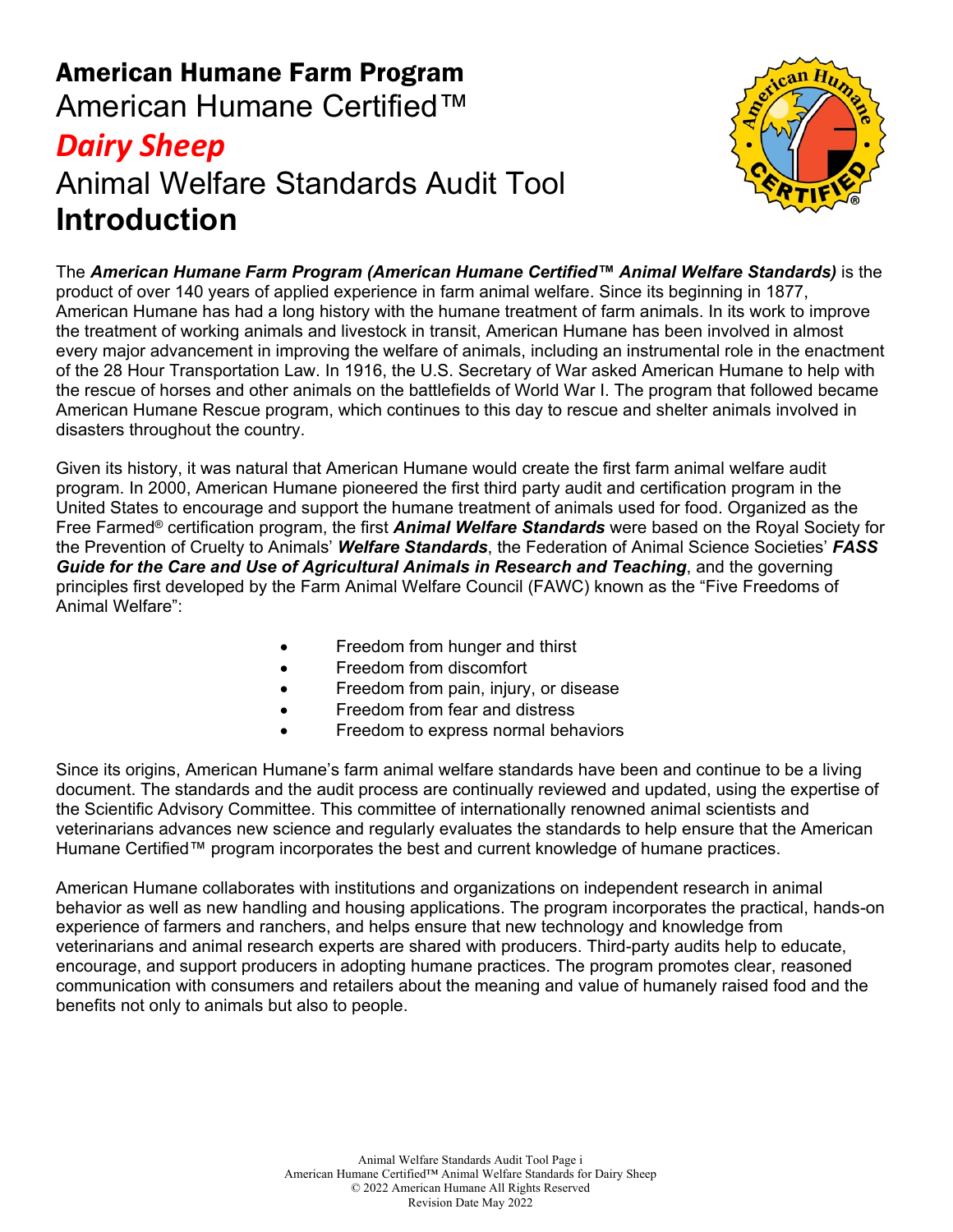## American Humane Farm Program American Humane Certified™ *Dairy Sheep* Animal Welfare Standards Audit Tool **Introduction**



The *American Humane Farm Program (American Humane Certified™ Animal Welfare Standards)* is the product of over 140 years of applied experience in farm animal welfare. Since its beginning in 1877, American Humane has had a long history with the humane treatment of farm animals. In its work to improve the treatment of working animals and livestock in transit, American Humane has been involved in almost every major advancement in improving the welfare of animals, including an instrumental role in the enactment of the 28 Hour Transportation Law. In 1916, the U.S. Secretary of War asked American Humane to help with the rescue of horses and other animals on the battlefields of World War I. The program that followed became American Humane Rescue program, which continues to this day to rescue and shelter animals involved in disasters throughout the country.

Given its history, it was natural that American Humane would create the first farm animal welfare audit program. In 2000, American Humane pioneered the first third party audit and certification program in the United States to encourage and support the humane treatment of animals used for food. Organized as the Free Farmed® certification program, the first *Animal Welfare Standards* were based on the Royal Society for the Prevention of Cruelty to Animals' *Welfare Standards*, the Federation of Animal Science Societies' *FASS Guide for the Care and Use of Agricultural Animals in Research and Teaching*, and the governing principles first developed by the Farm Animal Welfare Council (FAWC) known as the "Five Freedoms of Animal Welfare":

- Freedom from hunger and thirst
- Freedom from discomfort
- Freedom from pain, injury, or disease
- Freedom from fear and distress
- Freedom to express normal behaviors

Since its origins, American Humane's farm animal welfare standards have been and continue to be a living document. The standards and the audit process are continually reviewed and updated, using the expertise of the Scientific Advisory Committee. This committee of internationally renowned animal scientists and veterinarians advances new science and regularly evaluates the standards to help ensure that the American Humane Certified™ program incorporates the best and current knowledge of humane practices.

American Humane collaborates with institutions and organizations on independent research in animal behavior as well as new handling and housing applications. The program incorporates the practical, hands-on experience of farmers and ranchers, and helps ensure that new technology and knowledge from veterinarians and animal research experts are shared with producers. Third-party audits help to educate, encourage, and support producers in adopting humane practices. The program promotes clear, reasoned communication with consumers and retailers about the meaning and value of humanely raised food and the benefits not only to animals but also to people.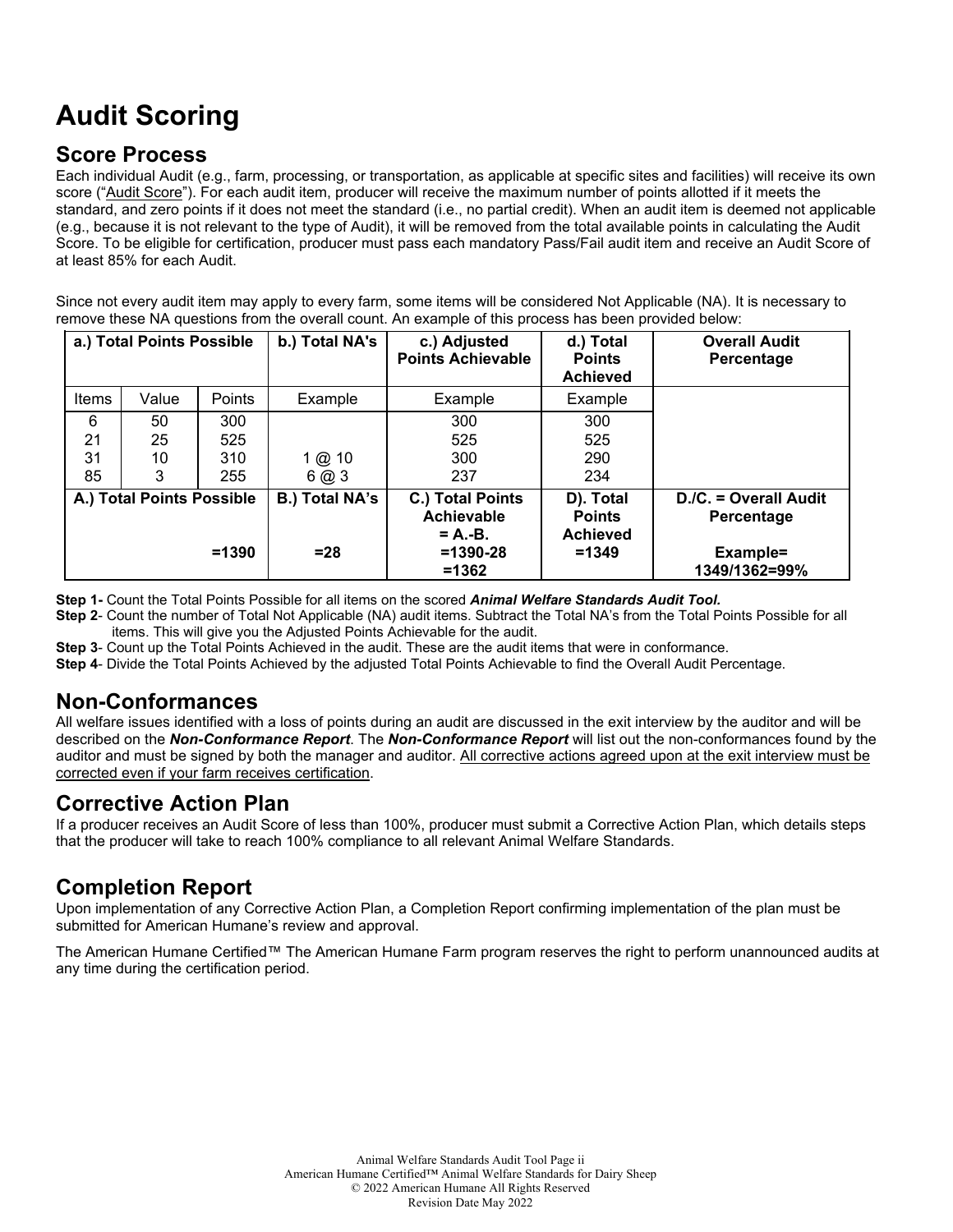## **Audit Scoring**

#### **Score Process**

Each individual Audit (e.g., farm, processing, or transportation, as applicable at specific sites and facilities) will receive its own score ("Audit Score"). For each audit item, producer will receive the maximum number of points allotted if it meets the standard, and zero points if it does not meet the standard (i.e., no partial credit). When an audit item is deemed not applicable (e.g., because it is not relevant to the type of Audit), it will be removed from the total available points in calculating the Audit Score. To be eligible for certification, producer must pass each mandatory Pass/Fail audit item and receive an Audit Score of at least 85% for each Audit.

Since not every audit item may apply to every farm, some items will be considered Not Applicable (NA). It is necessary to remove these NA questions from the overall count. An example of this process has been provided below:

| a.) Total Points Possible |                           | b.) Total NA's | c.) Adjusted<br><b>Points Achievable</b> | d.) Total<br><b>Points</b><br><b>Achieved</b> | <b>Overall Audit</b><br>Percentage            |                                     |
|---------------------------|---------------------------|----------------|------------------------------------------|-----------------------------------------------|-----------------------------------------------|-------------------------------------|
| Items                     | Value                     | Points         | Example                                  | Example                                       | Example                                       |                                     |
| 6                         | 50                        | 300            |                                          | 300                                           | 300                                           |                                     |
| 21                        | 25                        | 525            |                                          | 525                                           | 525                                           |                                     |
| 31                        | 10                        | 310            | 1 @ 10                                   | 300                                           | 290                                           |                                     |
| 85                        | 3                         | 255            | 6@3                                      | 237                                           | 234                                           |                                     |
|                           | A.) Total Points Possible |                | <b>B.) Total NA's</b>                    | C.) Total Points<br>Achievable<br>$= A.-B.$   | D). Total<br><b>Points</b><br><b>Achieved</b> | D./C. = Overall Audit<br>Percentage |
|                           |                           | $=1390$        | $= 28$                                   | $=1390-28$<br>$=1362$                         | $=1349$                                       | Example=<br>1349/1362=99%           |

**Step 1-** Count the Total Points Possible for all items on the scored *Animal Welfare Standards Audit Tool.*

**Step 2**- Count the number of Total Not Applicable (NA) audit items. Subtract the Total NA's from the Total Points Possible for all items. This will give you the Adjusted Points Achievable for the audit.

**Step 3**- Count up the Total Points Achieved in the audit. These are the audit items that were in conformance.

**Step 4**- Divide the Total Points Achieved by the adjusted Total Points Achievable to find the Overall Audit Percentage.

#### **Non-Conformances**

All welfare issues identified with a loss of points during an audit are discussed in the exit interview by the auditor and will be described on the *Non-Conformance Report*. The *Non-Conformance Report* will list out the non-conformances found by the auditor and must be signed by both the manager and auditor. All corrective actions agreed upon at the exit interview must be corrected even if your farm receives certification.

#### **Corrective Action Plan**

If a producer receives an Audit Score of less than 100%, producer must submit a Corrective Action Plan, which details steps that the producer will take to reach 100% compliance to all relevant Animal Welfare Standards.

### **Completion Report**

Upon implementation of any Corrective Action Plan, a Completion Report confirming implementation of the plan must be submitted for American Humane's review and approval.

The American Humane Certified™ The American Humane Farm program reserves the right to perform unannounced audits at any time during the certification period.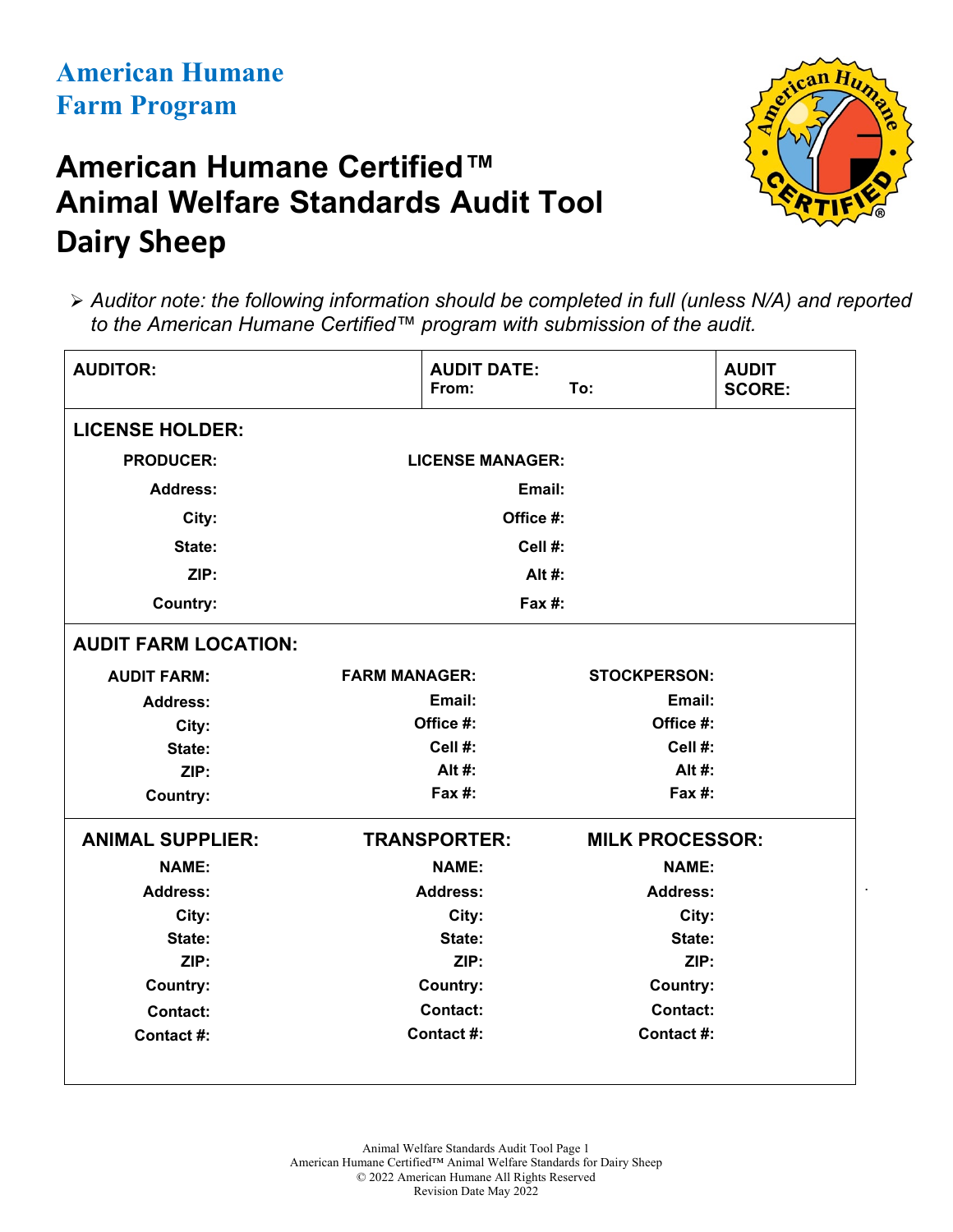# **American Humane Certified™ Animal Welfare Standards Audit Tool Dairy Sheep**



.

 *Auditor note: the following information should be completed in full (unless N/A) and reported to the American Humane Certified™ program with submission of the audit.*

| <b>LICENSE HOLDER:</b><br><b>PRODUCER:</b><br><b>LICENSE MANAGER:</b><br><b>Address:</b><br>Email:<br>City:<br>Office #:<br>Cell #:<br>State:<br>ZIP:<br>Alt #:<br>Fax #:<br><b>Country:</b><br><b>AUDIT FARM LOCATION:</b><br><b>FARM MANAGER:</b><br><b>STOCKPERSON:</b><br><b>AUDIT FARM:</b><br>Email:<br>Email:<br><b>Address:</b><br>Office #:<br>Office #:<br>City:<br>Cell #:<br>Cell #:<br>State:<br>Alt #:<br>Alt #:<br>ZIP:<br>Fax #:<br>Fax #:<br><b>Country:</b><br><b>ANIMAL SUPPLIER:</b><br><b>TRANSPORTER:</b><br><b>MILK PROCESSOR:</b><br><b>NAME:</b><br><b>NAME:</b><br><b>NAME:</b><br><b>Address:</b><br><b>Address:</b><br><b>Address:</b><br>City:<br>City:<br>City: | <b>AUDITOR:</b> | <b>AUDIT DATE:</b><br>From: | To: | <b>AUDIT</b><br><b>SCORE:</b> |
|-----------------------------------------------------------------------------------------------------------------------------------------------------------------------------------------------------------------------------------------------------------------------------------------------------------------------------------------------------------------------------------------------------------------------------------------------------------------------------------------------------------------------------------------------------------------------------------------------------------------------------------------------------------------------------------------------|-----------------|-----------------------------|-----|-------------------------------|
|                                                                                                                                                                                                                                                                                                                                                                                                                                                                                                                                                                                                                                                                                               |                 |                             |     |                               |
|                                                                                                                                                                                                                                                                                                                                                                                                                                                                                                                                                                                                                                                                                               |                 |                             |     |                               |
|                                                                                                                                                                                                                                                                                                                                                                                                                                                                                                                                                                                                                                                                                               |                 |                             |     |                               |
|                                                                                                                                                                                                                                                                                                                                                                                                                                                                                                                                                                                                                                                                                               |                 |                             |     |                               |
|                                                                                                                                                                                                                                                                                                                                                                                                                                                                                                                                                                                                                                                                                               |                 |                             |     |                               |
|                                                                                                                                                                                                                                                                                                                                                                                                                                                                                                                                                                                                                                                                                               |                 |                             |     |                               |
|                                                                                                                                                                                                                                                                                                                                                                                                                                                                                                                                                                                                                                                                                               |                 |                             |     |                               |
|                                                                                                                                                                                                                                                                                                                                                                                                                                                                                                                                                                                                                                                                                               |                 |                             |     |                               |
|                                                                                                                                                                                                                                                                                                                                                                                                                                                                                                                                                                                                                                                                                               |                 |                             |     |                               |
|                                                                                                                                                                                                                                                                                                                                                                                                                                                                                                                                                                                                                                                                                               |                 |                             |     |                               |
|                                                                                                                                                                                                                                                                                                                                                                                                                                                                                                                                                                                                                                                                                               |                 |                             |     |                               |
|                                                                                                                                                                                                                                                                                                                                                                                                                                                                                                                                                                                                                                                                                               |                 |                             |     |                               |
|                                                                                                                                                                                                                                                                                                                                                                                                                                                                                                                                                                                                                                                                                               |                 |                             |     |                               |
|                                                                                                                                                                                                                                                                                                                                                                                                                                                                                                                                                                                                                                                                                               |                 |                             |     |                               |
|                                                                                                                                                                                                                                                                                                                                                                                                                                                                                                                                                                                                                                                                                               |                 |                             |     |                               |
|                                                                                                                                                                                                                                                                                                                                                                                                                                                                                                                                                                                                                                                                                               |                 |                             |     |                               |
|                                                                                                                                                                                                                                                                                                                                                                                                                                                                                                                                                                                                                                                                                               |                 |                             |     |                               |
|                                                                                                                                                                                                                                                                                                                                                                                                                                                                                                                                                                                                                                                                                               |                 |                             |     |                               |
| State:<br>State:<br>State:                                                                                                                                                                                                                                                                                                                                                                                                                                                                                                                                                                                                                                                                    |                 |                             |     |                               |
| ZIP:<br>ZIP:<br>ZIP:                                                                                                                                                                                                                                                                                                                                                                                                                                                                                                                                                                                                                                                                          |                 |                             |     |                               |
| <b>Country:</b><br><b>Country:</b><br><b>Country:</b>                                                                                                                                                                                                                                                                                                                                                                                                                                                                                                                                                                                                                                         |                 |                             |     |                               |
| <b>Contact:</b><br><b>Contact:</b><br><b>Contact:</b>                                                                                                                                                                                                                                                                                                                                                                                                                                                                                                                                                                                                                                         |                 |                             |     |                               |
| Contact #:<br>Contact #:<br>Contact #:                                                                                                                                                                                                                                                                                                                                                                                                                                                                                                                                                                                                                                                        |                 |                             |     |                               |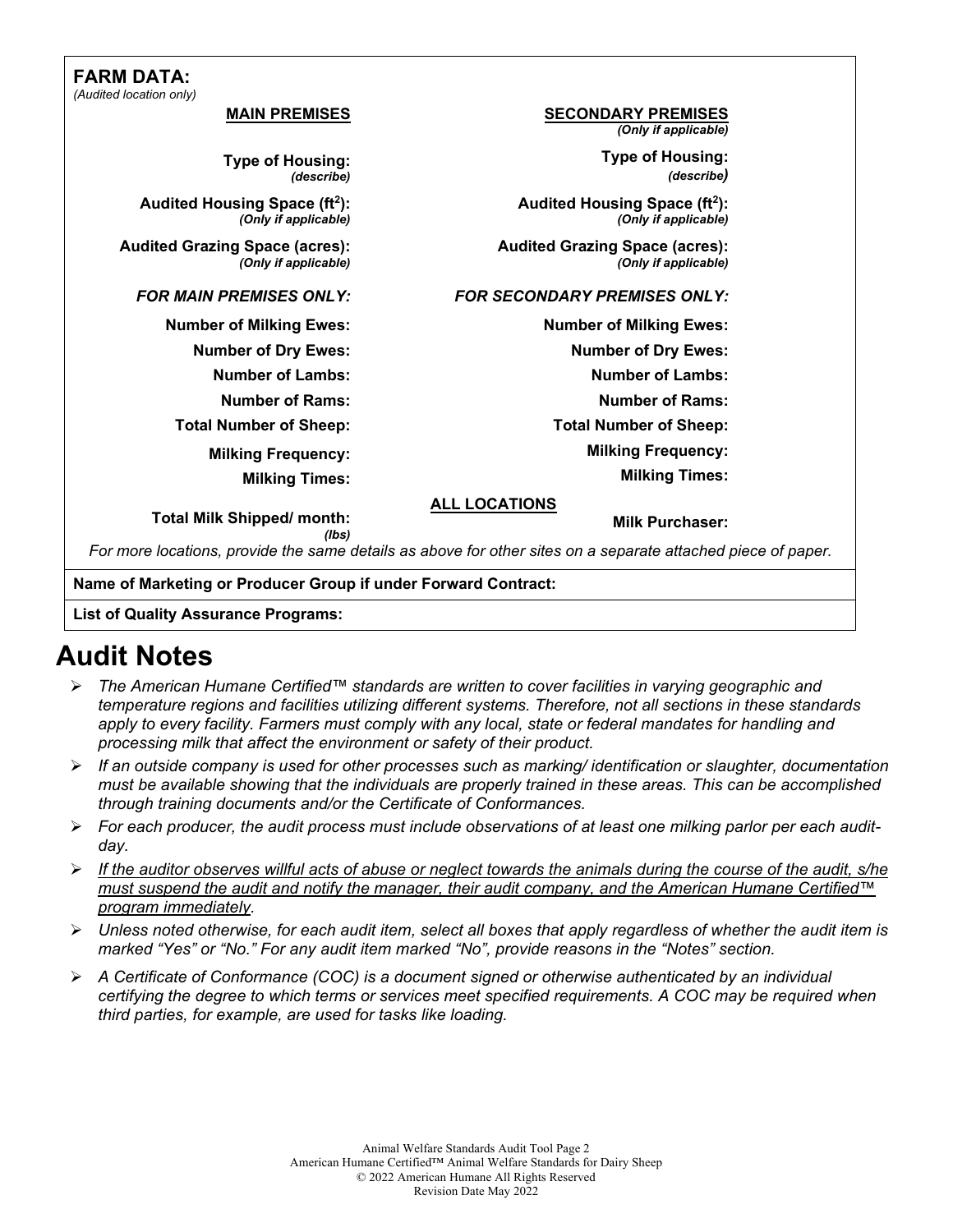#### **FARM DATA:** *(Audited location only)*

|                                                                                                              | udited location only)                                             |
|--------------------------------------------------------------------------------------------------------------|-------------------------------------------------------------------|
| <b>SECONDARY PREMISES</b><br>(Only if applicable)                                                            | <b>MAIN PREMISES</b>                                              |
| <b>Type of Housing:</b><br>(describe)                                                                        | <b>Type of Housing:</b><br>(describe)                             |
| Audited Housing Space (ft <sup>2</sup> ):<br>(Only if applicable)                                            | Audited Housing Space (ft <sup>2</sup> ):<br>(Only if applicable) |
| <b>Audited Grazing Space (acres):</b><br>(Only if applicable)                                                | <b>Audited Grazing Space (acres):</b><br>(Only if applicable)     |
| <b>FOR SECONDARY PREMISES ONLY:</b>                                                                          | <b>FOR MAIN PREMISES ONLY:</b>                                    |
| <b>Number of Milking Ewes:</b>                                                                               | <b>Number of Milking Ewes:</b>                                    |
| <b>Number of Dry Ewes:</b>                                                                                   | <b>Number of Dry Ewes:</b>                                        |
| <b>Number of Lambs:</b>                                                                                      | <b>Number of Lambs:</b>                                           |
| <b>Number of Rams:</b>                                                                                       | <b>Number of Rams:</b>                                            |
| <b>Total Number of Sheep:</b>                                                                                | <b>Total Number of Sheep:</b>                                     |
| <b>Milking Frequency:</b>                                                                                    | <b>Milking Frequency:</b>                                         |
| <b>Milking Times:</b>                                                                                        | <b>Milking Times:</b>                                             |
| <b>ALL LOCATIONS</b><br><b>Milk Purchaser:</b>                                                               | <b>Total Milk Shipped/ month:</b><br>(lbs)                        |
| For more locations, provide the same details as above for other sites on a separate attached piece of paper. |                                                                   |
|                                                                                                              |                                                                   |

**Name of Marketing or Producer Group if under Forward Contract:**

**List of Quality Assurance Programs:**

## **Audit Notes**

- *The American Humane Certified™ standards are written to cover facilities in varying geographic and temperature regions and facilities utilizing different systems. Therefore, not all sections in these standards*  apply to every facility. Farmers must comply with any local, state or federal mandates for handling and *processing milk that affect the environment or safety of their product.*
- *If an outside company is used for other processes such as marking/ identification or slaughter, documentation must be available showing that the individuals are properly trained in these areas. This can be accomplished through training documents and/or the Certificate of Conformances.*
- *For each producer, the audit process must include observations of at least one milking parlor per each auditday.*
- *If the auditor observes willful acts of abuse or neglect towards the animals during the course of the audit, s/he must suspend the audit and notify the manager, their audit company, and the American Humane Certified™ program immediately.*
- *Unless noted otherwise, for each audit item, select all boxes that apply regardless of whether the audit item is marked "Yes" or "No." For any audit item marked "No", provide reasons in the "Notes" section.*
- *A Certificate of Conformance (COC) is a document signed or otherwise authenticated by an individual certifying the degree to which terms or services meet specified requirements. A COC may be required when third parties, for example, are used for tasks like loading.*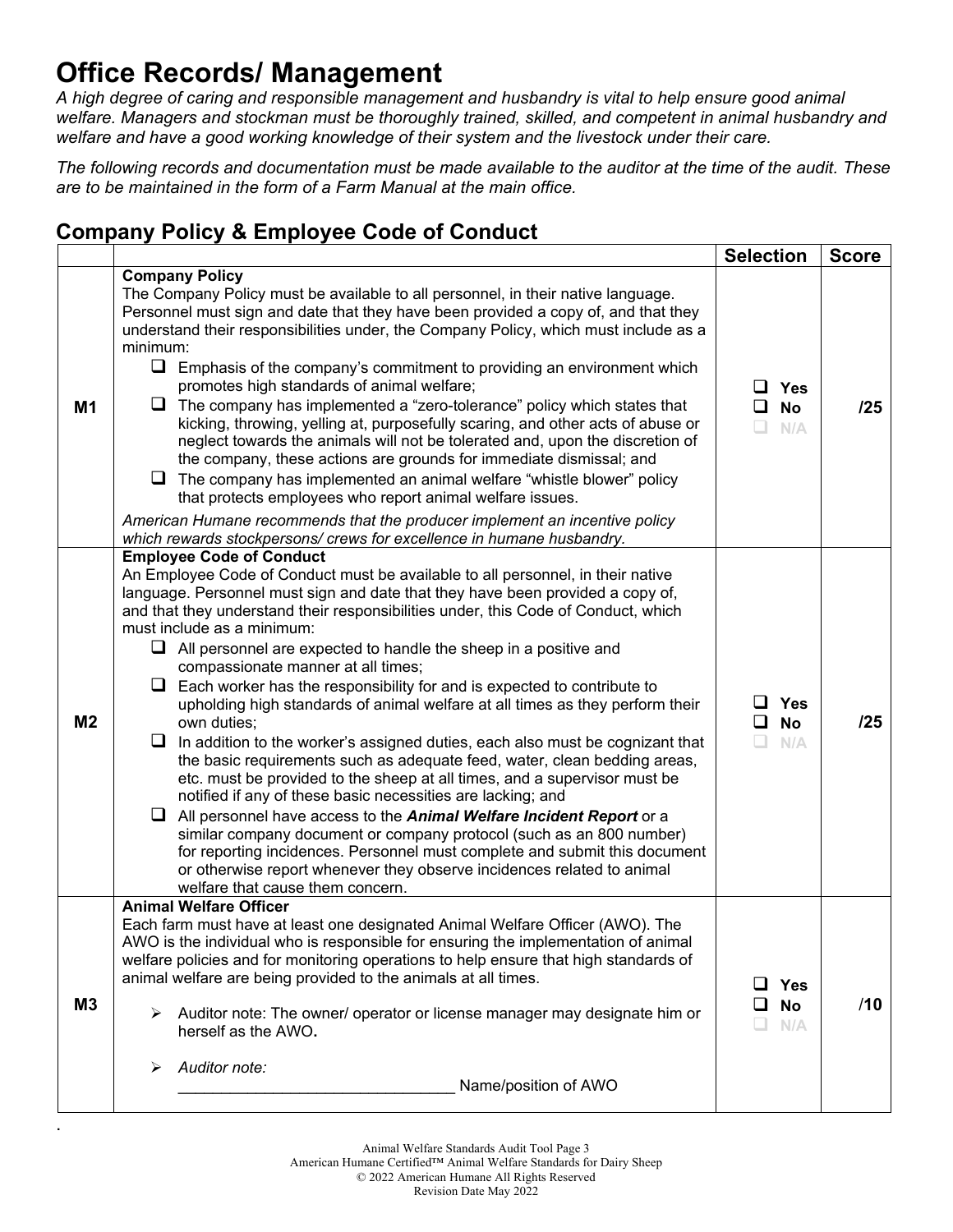## **Office Records/ Management**

.

*A high degree of caring and responsible management and husbandry is vital to help ensure good animal welfare. Managers and stockman must be thoroughly trained, skilled, and competent in animal husbandry and welfare and have a good working knowledge of their system and the livestock under their care.*

*The following records and documentation must be made available to the auditor at the time of the audit. These are to be maintained in the form of a Farm Manual at the main office.*

## **Company Policy & Employee Code of Conduct**

|                |                                                                                                                                                                                                                                                                                                                                                                                                                                                                                                                                                                                                                                                                                                                                                                                                                                                                                                                                                                                                                                                                                                                                                                                                                                                                                                                                                          | <b>Selection</b>                                   | <b>Score</b> |
|----------------|----------------------------------------------------------------------------------------------------------------------------------------------------------------------------------------------------------------------------------------------------------------------------------------------------------------------------------------------------------------------------------------------------------------------------------------------------------------------------------------------------------------------------------------------------------------------------------------------------------------------------------------------------------------------------------------------------------------------------------------------------------------------------------------------------------------------------------------------------------------------------------------------------------------------------------------------------------------------------------------------------------------------------------------------------------------------------------------------------------------------------------------------------------------------------------------------------------------------------------------------------------------------------------------------------------------------------------------------------------|----------------------------------------------------|--------------|
| M <sub>1</sub> | <b>Company Policy</b><br>The Company Policy must be available to all personnel, in their native language.<br>Personnel must sign and date that they have been provided a copy of, and that they<br>understand their responsibilities under, the Company Policy, which must include as a<br>minimum:<br>$\Box$<br>Emphasis of the company's commitment to providing an environment which<br>promotes high standards of animal welfare;<br>The company has implemented a "zero-tolerance" policy which states that<br>kicking, throwing, yelling at, purposefully scaring, and other acts of abuse or<br>neglect towards the animals will not be tolerated and, upon the discretion of<br>the company, these actions are grounds for immediate dismissal; and<br>$\Box$ The company has implemented an animal welfare "whistle blower" policy<br>that protects employees who report animal welfare issues.<br>American Humane recommends that the producer implement an incentive policy                                                                                                                                                                                                                                                                                                                                                                   | ப<br>Yes<br>◻<br><b>No</b><br>$\Box$<br>N/A        | /25          |
| M <sub>2</sub> | which rewards stockpersons/ crews for excellence in humane husbandry.<br><b>Employee Code of Conduct</b><br>An Employee Code of Conduct must be available to all personnel, in their native<br>language. Personnel must sign and date that they have been provided a copy of,<br>and that they understand their responsibilities under, this Code of Conduct, which<br>must include as a minimum:<br>$\Box$ All personnel are expected to handle the sheep in a positive and<br>compassionate manner at all times;<br>Each worker has the responsibility for and is expected to contribute to<br>upholding high standards of animal welfare at all times as they perform their<br>own duties;<br>In addition to the worker's assigned duties, each also must be cognizant that<br>the basic requirements such as adequate feed, water, clean bedding areas,<br>etc. must be provided to the sheep at all times, and a supervisor must be<br>notified if any of these basic necessities are lacking; and<br>All personnel have access to the Animal Welfare Incident Report or a<br>⊔<br>similar company document or company protocol (such as an 800 number)<br>for reporting incidences. Personnel must complete and submit this document<br>or otherwise report whenever they observe incidences related to animal<br>welfare that cause them concern. | <b>Yes</b><br>ப<br>ப<br><b>No</b><br>$\Box$<br>N/A | /25          |
| M3             | <b>Animal Welfare Officer</b><br>Each farm must have at least one designated Animal Welfare Officer (AWO). The<br>AWO is the individual who is responsible for ensuring the implementation of animal<br>welfare policies and for monitoring operations to help ensure that high standards of<br>animal welfare are being provided to the animals at all times.<br>Auditor note: The owner/ operator or license manager may designate him or<br>➤<br>herself as the AWO.<br>Auditor note:<br>Name/position of AWO                                                                                                                                                                                                                                                                                                                                                                                                                                                                                                                                                                                                                                                                                                                                                                                                                                         | <b>Yes</b><br>ப<br><b>No</b><br>ப<br>N/A           | /10          |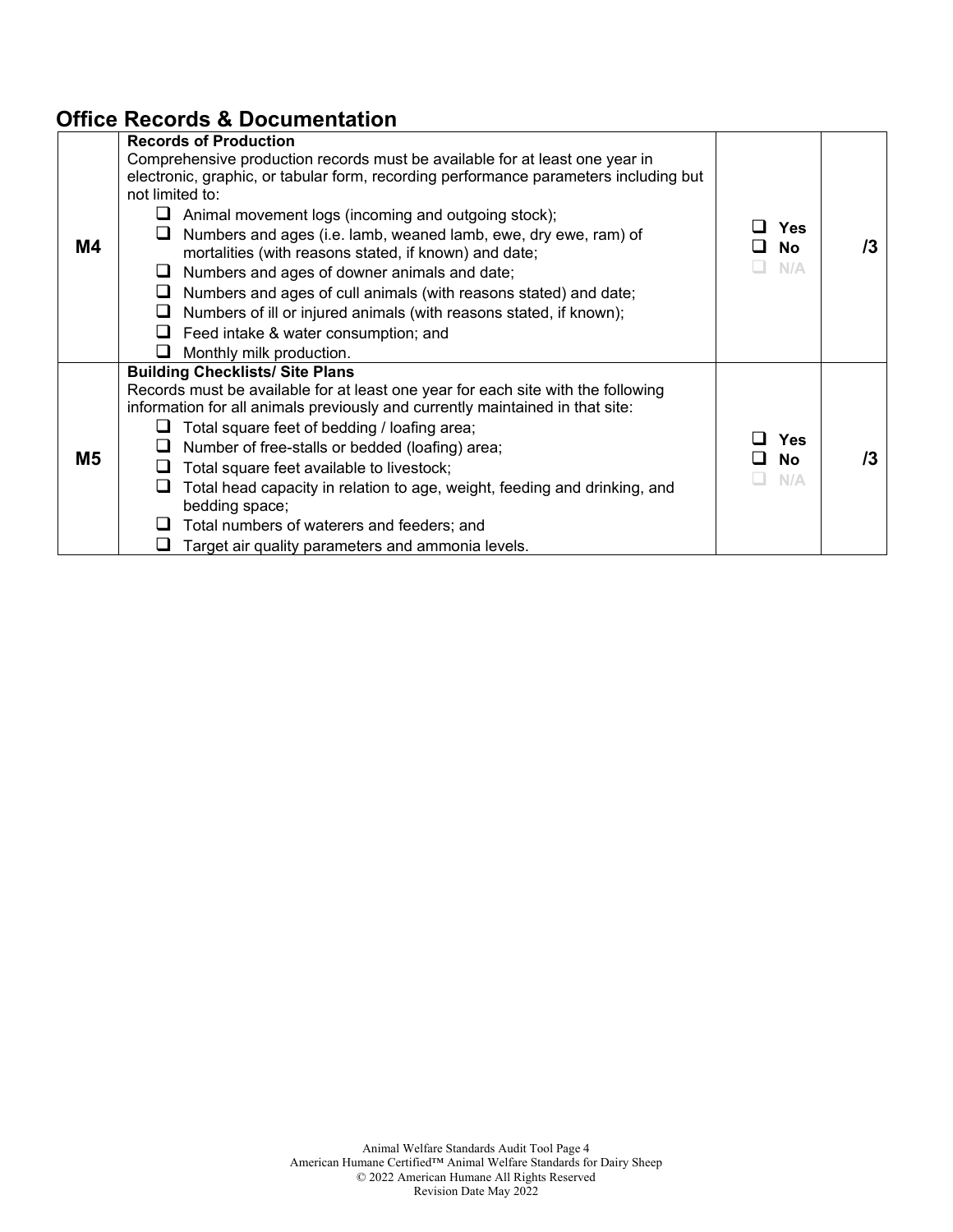## **Office Records & Documentation**

|    | <b>Records of Production</b>                                                                                                                                                                                                                                                                                                                                                                                                                                                             |                                |    |
|----|------------------------------------------------------------------------------------------------------------------------------------------------------------------------------------------------------------------------------------------------------------------------------------------------------------------------------------------------------------------------------------------------------------------------------------------------------------------------------------------|--------------------------------|----|
|    | Comprehensive production records must be available for at least one year in<br>electronic, graphic, or tabular form, recording performance parameters including but<br>not limited to:                                                                                                                                                                                                                                                                                                   |                                |    |
| M4 | $\Box$ Animal movement logs (incoming and outgoing stock);<br>Numbers and ages (i.e. lamb, weaned lamb, ewe, dry ewe, ram) of<br>ப<br>mortalities (with reasons stated, if known) and date;<br>Numbers and ages of downer animals and date;<br>⊔<br>$\Box$ Numbers and ages of cull animals (with reasons stated) and date;<br>$\Box$ Numbers of ill or injured animals (with reasons stated, if known);<br>$\Box$ Feed intake & water consumption; and<br>Monthly milk production.<br>ப | <b>Yes</b><br><b>No</b><br>N/A | /3 |
| M5 | <b>Building Checklists/ Site Plans</b><br>Records must be available for at least one year for each site with the following<br>information for all animals previously and currently maintained in that site:<br>Total square feet of bedding / loafing area;<br>Number of free-stalls or bedded (loafing) area;<br>Total square feet available to livestock;<br>Total head capacity in relation to age, weight, feeding and drinking, and                                                 | <b>Yes</b><br><b>No</b><br>N/A | /3 |
|    | bedding space;<br>Total numbers of waterers and feeders; and<br>$\Box$<br>Target air quality parameters and ammonia levels.                                                                                                                                                                                                                                                                                                                                                              |                                |    |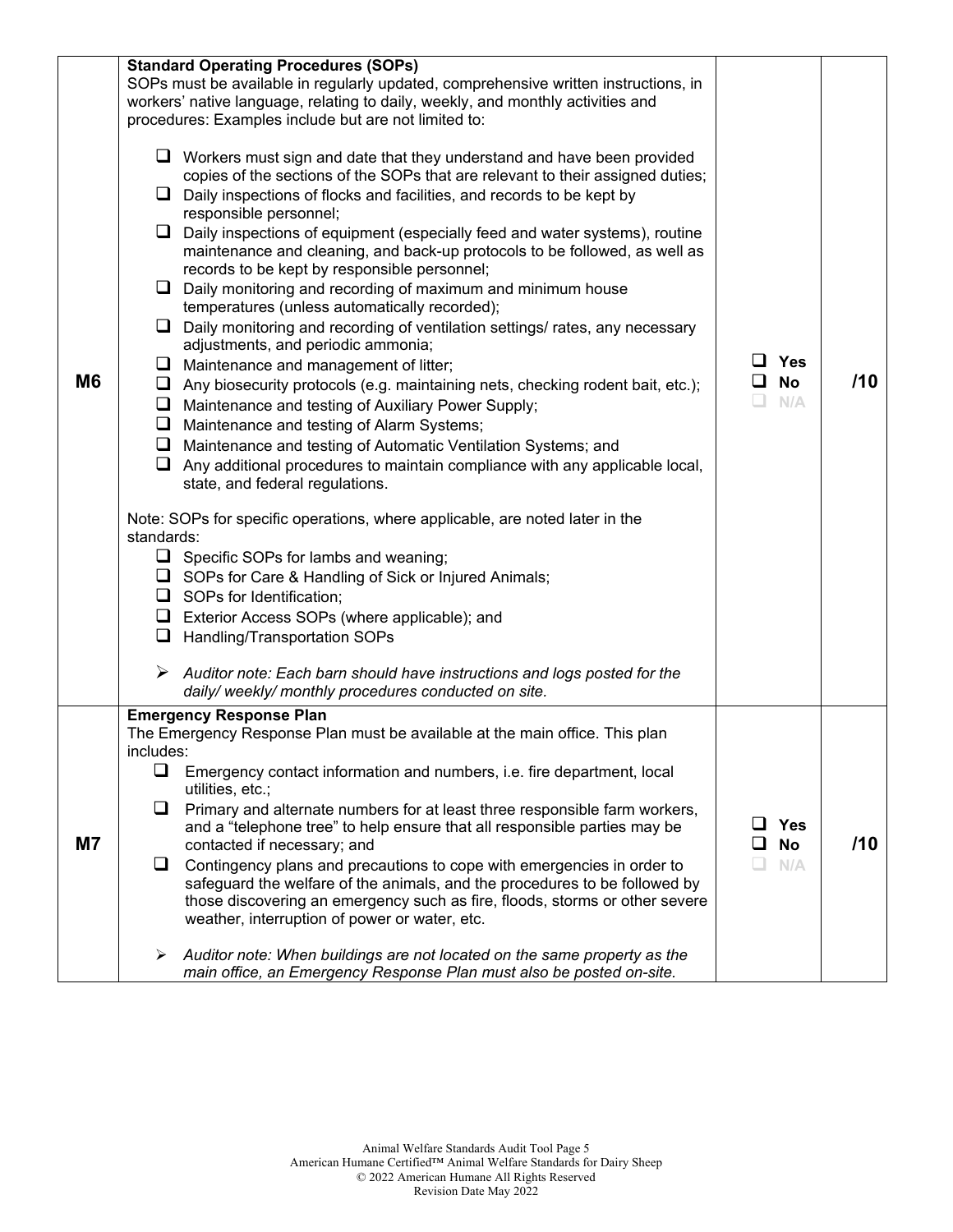| M <sub>6</sub> | <b>Standard Operating Procedures (SOPs)</b><br>SOPs must be available in regularly updated, comprehensive written instructions, in<br>workers' native language, relating to daily, weekly, and monthly activities and<br>procedures: Examples include but are not limited to:<br>$\Box$ Workers must sign and date that they understand and have been provided<br>copies of the sections of the SOPs that are relevant to their assigned duties;<br>Daily inspections of flocks and facilities, and records to be kept by<br>⊔.<br>responsible personnel;<br>$\Box$ Daily inspections of equipment (especially feed and water systems), routine<br>maintenance and cleaning, and back-up protocols to be followed, as well as<br>records to be kept by responsible personnel;<br>$\Box$ Daily monitoring and recording of maximum and minimum house<br>temperatures (unless automatically recorded);<br>$\Box$ Daily monitoring and recording of ventilation settings/ rates, any necessary<br>adjustments, and periodic ammonia;<br>$\Box$ Maintenance and management of litter;<br>$\Box$ Any biosecurity protocols (e.g. maintaining nets, checking rodent bait, etc.);<br>$\Box$ Maintenance and testing of Auxiliary Power Supply;<br>$\Box$ Maintenance and testing of Alarm Systems;<br>$\Box$ Maintenance and testing of Automatic Ventilation Systems; and<br>$\Box$ Any additional procedures to maintain compliance with any applicable local,<br>state, and federal regulations.<br>Note: SOPs for specific operations, where applicable, are noted later in the<br>standards:<br>$\Box$ Specific SOPs for lambs and weaning;<br>$\Box$ SOPs for Care & Handling of Sick or Injured Animals;<br>$\Box$ SOPs for Identification;<br>$\Box$ Exterior Access SOPs (where applicable); and<br>$\Box$ Handling/Transportation SOPs<br>$\triangleright$ Auditor note: Each barn should have instructions and logs posted for the | <b>Yes</b><br><b>No</b><br>N/A | /10 |
|----------------|----------------------------------------------------------------------------------------------------------------------------------------------------------------------------------------------------------------------------------------------------------------------------------------------------------------------------------------------------------------------------------------------------------------------------------------------------------------------------------------------------------------------------------------------------------------------------------------------------------------------------------------------------------------------------------------------------------------------------------------------------------------------------------------------------------------------------------------------------------------------------------------------------------------------------------------------------------------------------------------------------------------------------------------------------------------------------------------------------------------------------------------------------------------------------------------------------------------------------------------------------------------------------------------------------------------------------------------------------------------------------------------------------------------------------------------------------------------------------------------------------------------------------------------------------------------------------------------------------------------------------------------------------------------------------------------------------------------------------------------------------------------------------------------------------------------------------------------------------------------------------------------------------------------------------------------|--------------------------------|-----|
|                | daily/weekly/monthly procedures conducted on site.<br><b>Emergency Response Plan</b>                                                                                                                                                                                                                                                                                                                                                                                                                                                                                                                                                                                                                                                                                                                                                                                                                                                                                                                                                                                                                                                                                                                                                                                                                                                                                                                                                                                                                                                                                                                                                                                                                                                                                                                                                                                                                                                   |                                |     |
| <b>M7</b>      | The Emergency Response Plan must be available at the main office. This plan<br>includes:<br>$\Box$<br>Emergency contact information and numbers, i.e. fire department, local<br>utilities, etc.;<br>$\Box$<br>Primary and alternate numbers for at least three responsible farm workers,<br>and a "telephone tree" to help ensure that all responsible parties may be<br>contacted if necessary; and<br>Contingency plans and precautions to cope with emergencies in order to<br>⊔<br>safeguard the welfare of the animals, and the procedures to be followed by<br>those discovering an emergency such as fire, floods, storms or other severe<br>weather, interruption of power or water, etc.<br>Auditor note: When buildings are not located on the same property as the<br>➤<br>main office, an Emergency Response Plan must also be posted on-site.                                                                                                                                                                                                                                                                                                                                                                                                                                                                                                                                                                                                                                                                                                                                                                                                                                                                                                                                                                                                                                                                             | <b>Yes</b><br><b>No</b><br>N/A | /10 |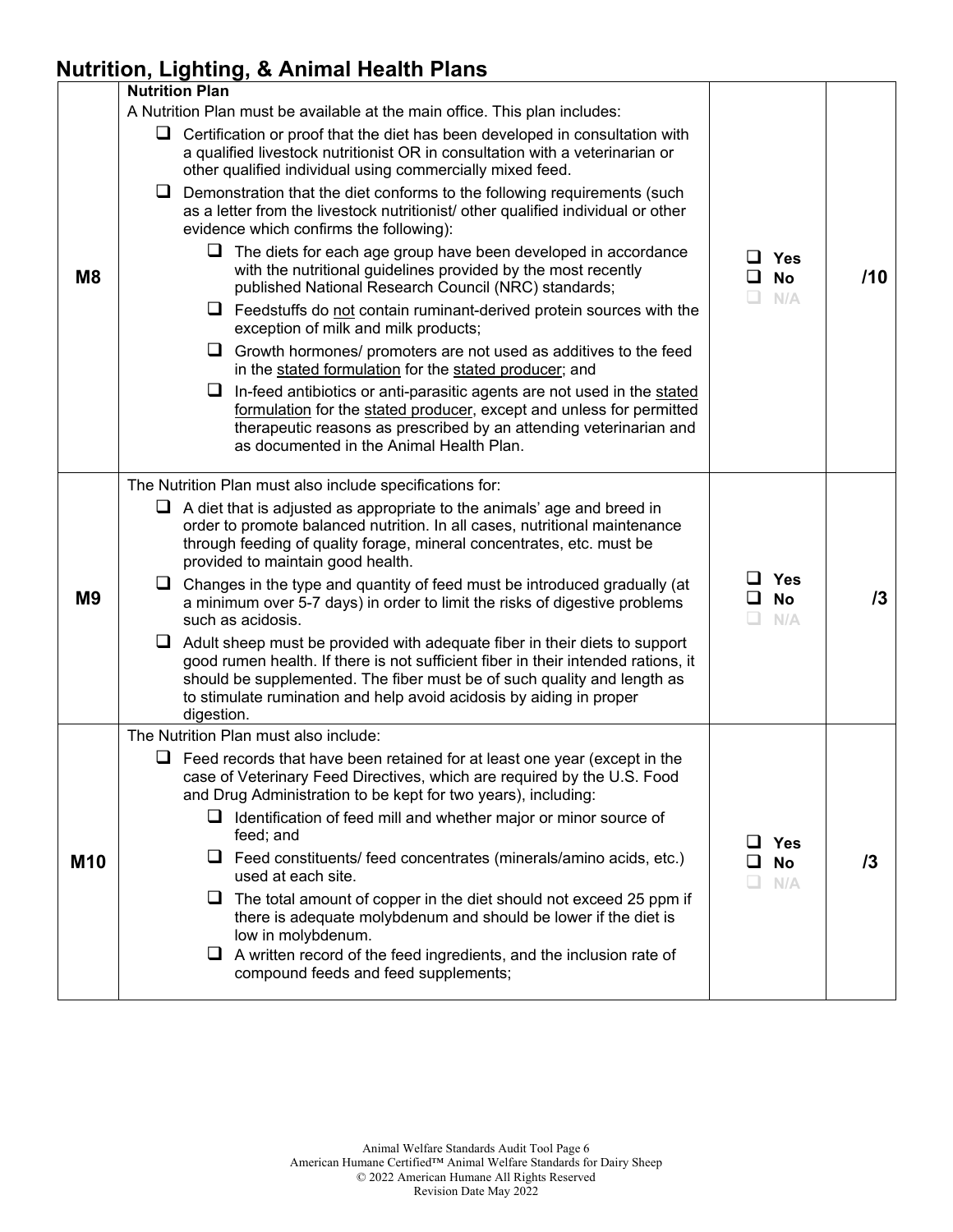## **Nutrition, Lighting, & Animal Health Plans**

|                | <b>Nutrition Plan</b>                                                                                                                                                                                                                                                                                                                  |                                           |            |
|----------------|----------------------------------------------------------------------------------------------------------------------------------------------------------------------------------------------------------------------------------------------------------------------------------------------------------------------------------------|-------------------------------------------|------------|
|                | A Nutrition Plan must be available at the main office. This plan includes:                                                                                                                                                                                                                                                             |                                           |            |
|                | $\Box$ Certification or proof that the diet has been developed in consultation with<br>a qualified livestock nutritionist OR in consultation with a veterinarian or<br>other qualified individual using commercially mixed feed.                                                                                                       |                                           |            |
|                | $\Box$ Demonstration that the diet conforms to the following requirements (such<br>as a letter from the livestock nutritionist/ other qualified individual or other<br>evidence which confirms the following):                                                                                                                         |                                           |            |
| M <sub>8</sub> | $\Box$ The diets for each age group have been developed in accordance<br>with the nutritional guidelines provided by the most recently<br>published National Research Council (NRC) standards;                                                                                                                                         | $\Box$ Yes<br><b>No</b><br>ப<br>N/A<br>L. | /10        |
|                | $\Box$ Feedstuffs do not contain ruminant-derived protein sources with the<br>exception of milk and milk products;                                                                                                                                                                                                                     |                                           |            |
|                | ப<br>Growth hormones/ promoters are not used as additives to the feed<br>in the stated formulation for the stated producer; and                                                                                                                                                                                                        |                                           |            |
|                | $\Box$ In-feed antibiotics or anti-parasitic agents are not used in the stated<br>formulation for the stated producer, except and unless for permitted<br>therapeutic reasons as prescribed by an attending veterinarian and<br>as documented in the Animal Health Plan.                                                               |                                           |            |
|                | The Nutrition Plan must also include specifications for:                                                                                                                                                                                                                                                                               |                                           |            |
| M <sub>9</sub> | $\Box$ A diet that is adjusted as appropriate to the animals' age and breed in<br>order to promote balanced nutrition. In all cases, nutritional maintenance<br>through feeding of quality forage, mineral concentrates, etc. must be<br>provided to maintain good health.                                                             |                                           |            |
|                | □ Changes in the type and quantity of feed must be introduced gradually (at<br>a minimum over 5-7 days) in order to limit the risks of digestive problems<br>such as acidosis.                                                                                                                                                         | $\Box$ Yes<br><b>No</b><br>ப<br>N/A       | 13         |
|                | $\Box$ Adult sheep must be provided with adequate fiber in their diets to support<br>good rumen health. If there is not sufficient fiber in their intended rations, it<br>should be supplemented. The fiber must be of such quality and length as<br>to stimulate rumination and help avoid acidosis by aiding in proper<br>digestion. |                                           |            |
|                | The Nutrition Plan must also include:                                                                                                                                                                                                                                                                                                  |                                           |            |
|                | $\Box$ Feed records that have been retained for at least one year (except in the<br>case of Veterinary Feed Directives, which are required by the U.S. Food<br>and Drug Administration to be kept for two years), including:                                                                                                           |                                           |            |
| <b>M10</b>     | $\Box$ Identification of feed mill and whether major or minor source of<br>feed; and                                                                                                                                                                                                                                                   | <b>Yes</b>                                |            |
|                | $\Box$ Feed constituents/ feed concentrates (minerals/amino acids, etc.)<br>used at each site.                                                                                                                                                                                                                                         | <b>No</b><br>N/A                          | $\sqrt{3}$ |
|                | $\Box$ The total amount of copper in the diet should not exceed 25 ppm if<br>there is adequate molybdenum and should be lower if the diet is<br>low in molybdenum.                                                                                                                                                                     |                                           |            |
|                | $\Box$ A written record of the feed ingredients, and the inclusion rate of<br>compound feeds and feed supplements;                                                                                                                                                                                                                     |                                           |            |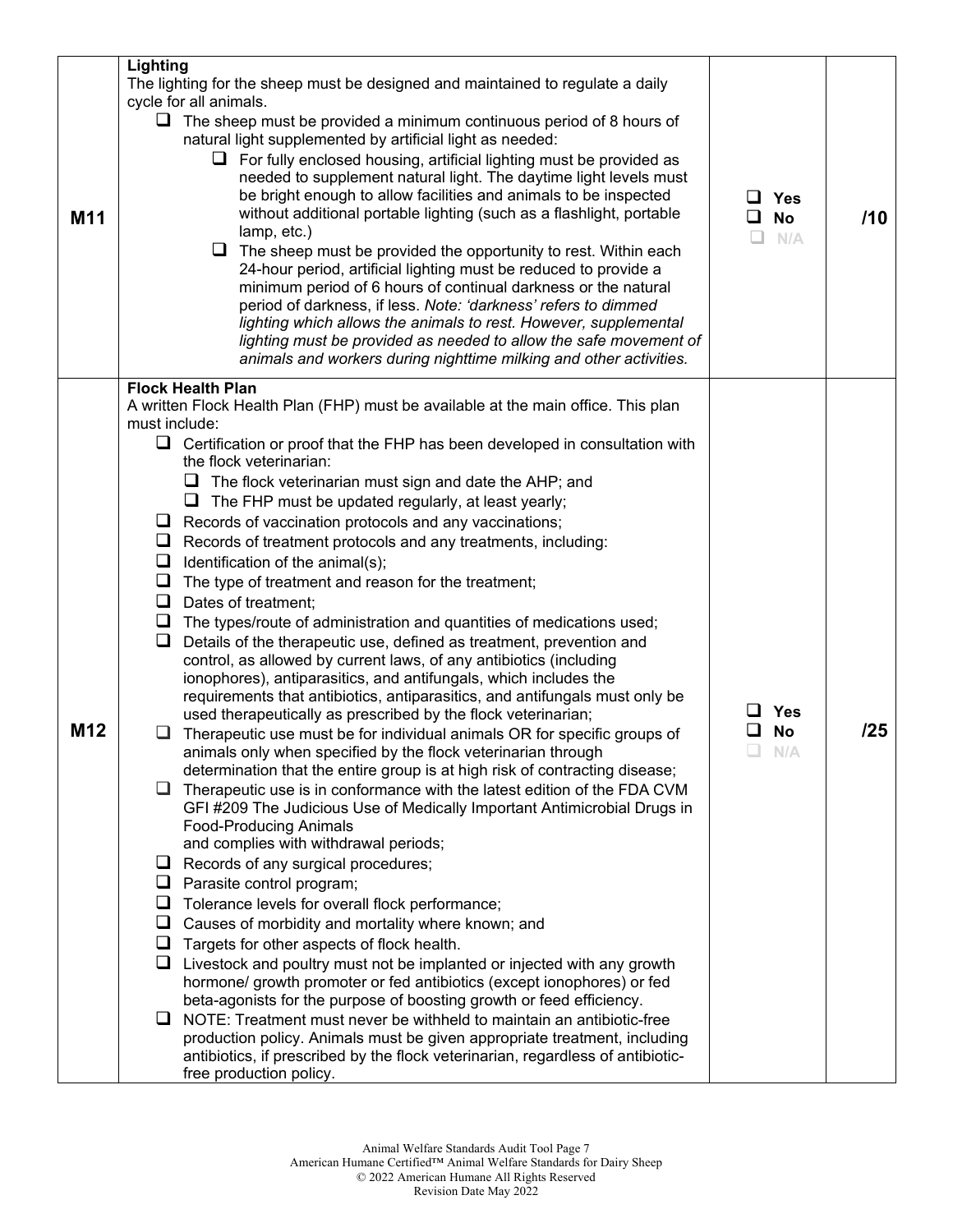|                 | Lighting                                                                                                                                                                                                                                                                                                                                                                                                                                                                                                                                                                                                                                                                                                                                                                                                                                                                                                                                                                                                                                                                                                                                                                                                                                                                                                                                                                                                                                                                                                                                                                                                                                                                                                                                                                                                                                                                                                                                                                                                                                                                                                                                                                                                                                                                                                                                                     |                                     |     |
|-----------------|--------------------------------------------------------------------------------------------------------------------------------------------------------------------------------------------------------------------------------------------------------------------------------------------------------------------------------------------------------------------------------------------------------------------------------------------------------------------------------------------------------------------------------------------------------------------------------------------------------------------------------------------------------------------------------------------------------------------------------------------------------------------------------------------------------------------------------------------------------------------------------------------------------------------------------------------------------------------------------------------------------------------------------------------------------------------------------------------------------------------------------------------------------------------------------------------------------------------------------------------------------------------------------------------------------------------------------------------------------------------------------------------------------------------------------------------------------------------------------------------------------------------------------------------------------------------------------------------------------------------------------------------------------------------------------------------------------------------------------------------------------------------------------------------------------------------------------------------------------------------------------------------------------------------------------------------------------------------------------------------------------------------------------------------------------------------------------------------------------------------------------------------------------------------------------------------------------------------------------------------------------------------------------------------------------------------------------------------------------------|-------------------------------------|-----|
| M11             | The lighting for the sheep must be designed and maintained to regulate a daily<br>cycle for all animals.<br>$\Box$ The sheep must be provided a minimum continuous period of 8 hours of<br>natural light supplemented by artificial light as needed:<br>$\Box$ For fully enclosed housing, artificial lighting must be provided as<br>needed to supplement natural light. The daytime light levels must<br>be bright enough to allow facilities and animals to be inspected<br>without additional portable lighting (such as a flashlight, portable<br>lamp, etc.)<br>The sheep must be provided the opportunity to rest. Within each<br>⊔<br>24-hour period, artificial lighting must be reduced to provide a<br>minimum period of 6 hours of continual darkness or the natural<br>period of darkness, if less. Note: 'darkness' refers to dimmed<br>lighting which allows the animals to rest. However, supplemental<br>lighting must be provided as needed to allow the safe movement of<br>animals and workers during nighttime milking and other activities.                                                                                                                                                                                                                                                                                                                                                                                                                                                                                                                                                                                                                                                                                                                                                                                                                                                                                                                                                                                                                                                                                                                                                                                                                                                                                            | $\Box$ Yes<br>ப<br>No<br>N/A        | /10 |
| M <sub>12</sub> | <b>Flock Health Plan</b><br>A written Flock Health Plan (FHP) must be available at the main office. This plan<br>must include:<br>$\Box$ Certification or proof that the FHP has been developed in consultation with<br>the flock veterinarian:<br>The flock veterinarian must sign and date the AHP; and<br>⊔<br>The FHP must be updated regularly, at least yearly;<br>⊔<br>$\Box$ Records of vaccination protocols and any vaccinations;<br>Records of treatment protocols and any treatments, including:<br>⊔<br>Identification of the animal(s);<br>u.<br>$\Box$ The type of treatment and reason for the treatment;<br>$\Box$ Dates of treatment;<br>$\Box$ The types/route of administration and quantities of medications used;<br>Details of the therapeutic use, defined as treatment, prevention and<br>⊔<br>control, as allowed by current laws, of any antibiotics (including<br>ionophores), antiparasitics, and antifungals, which includes the<br>requirements that antibiotics, antiparasitics, and antifungals must only be<br>used therapeutically as prescribed by the flock veterinarian;<br>Therapeutic use must be for individual animals OR for specific groups of<br>animals only when specified by the flock veterinarian through<br>determination that the entire group is at high risk of contracting disease;<br>$\Box$ Therapeutic use is in conformance with the latest edition of the FDA CVM<br>GFI #209 The Judicious Use of Medically Important Antimicrobial Drugs in<br><b>Food-Producing Animals</b><br>and complies with withdrawal periods;<br>$\Box$ Records of any surgical procedures;<br>$\Box$ Parasite control program;<br>Tolerance levels for overall flock performance;<br>⊔<br>Causes of morbidity and mortality where known; and<br>⊔<br>$\Box$ Targets for other aspects of flock health.<br>$\Box$ Livestock and poultry must not be implanted or injected with any growth<br>hormone/ growth promoter or fed antibiotics (except ionophores) or fed<br>beta-agonists for the purpose of boosting growth or feed efficiency.<br>$\Box$ NOTE: Treatment must never be withheld to maintain an antibiotic-free<br>production policy. Animals must be given appropriate treatment, including<br>antibiotics, if prescribed by the flock veterinarian, regardless of antibiotic-<br>free production policy. | <b>Yes</b><br><b>No</b><br>⊔<br>N/A | /25 |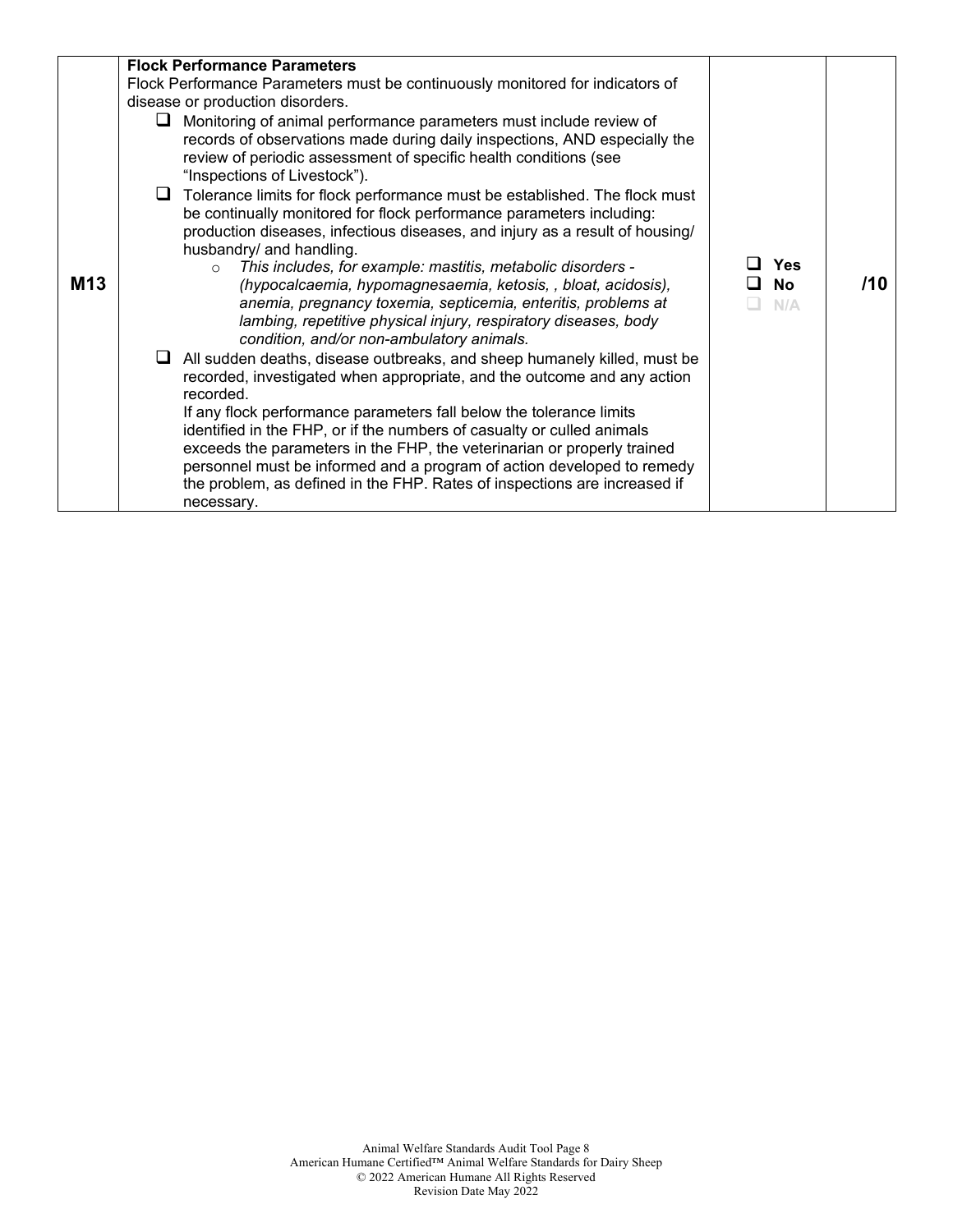| <b>M13</b> | <b>Flock Performance Parameters</b><br>Flock Performance Parameters must be continuously monitored for indicators of<br>disease or production disorders.<br>$\Box$ Monitoring of animal performance parameters must include review of<br>records of observations made during daily inspections, AND especially the<br>review of periodic assessment of specific health conditions (see<br>"Inspections of Livestock").<br>$\Box$ Tolerance limits for flock performance must be established. The flock must<br>be continually monitored for flock performance parameters including:<br>production diseases, infectious diseases, and injury as a result of housing/<br>husbandry/ and handling.<br>This includes, for example: mastitis, metabolic disorders -<br>$\circ$<br>(hypocalcaemia, hypomagnesaemia, ketosis, , bloat, acidosis),<br>anemia, pregnancy toxemia, septicemia, enteritis, problems at<br>lambing, repetitive physical injury, respiratory diseases, body<br>condition, and/or non-ambulatory animals.<br>$\Box$ All sudden deaths, disease outbreaks, and sheep humanely killed, must be<br>recorded, investigated when appropriate, and the outcome and any action<br>recorded.<br>If any flock performance parameters fall below the tolerance limits<br>identified in the FHP, or if the numbers of casualty or culled animals | <b>Yes</b><br><b>No</b><br>N/A | /10 |
|------------|---------------------------------------------------------------------------------------------------------------------------------------------------------------------------------------------------------------------------------------------------------------------------------------------------------------------------------------------------------------------------------------------------------------------------------------------------------------------------------------------------------------------------------------------------------------------------------------------------------------------------------------------------------------------------------------------------------------------------------------------------------------------------------------------------------------------------------------------------------------------------------------------------------------------------------------------------------------------------------------------------------------------------------------------------------------------------------------------------------------------------------------------------------------------------------------------------------------------------------------------------------------------------------------------------------------------------------------------------------|--------------------------------|-----|
|            | exceeds the parameters in the FHP, the veterinarian or properly trained<br>personnel must be informed and a program of action developed to remedy<br>the problem, as defined in the FHP. Rates of inspections are increased if<br>necessary.                                                                                                                                                                                                                                                                                                                                                                                                                                                                                                                                                                                                                                                                                                                                                                                                                                                                                                                                                                                                                                                                                                            |                                |     |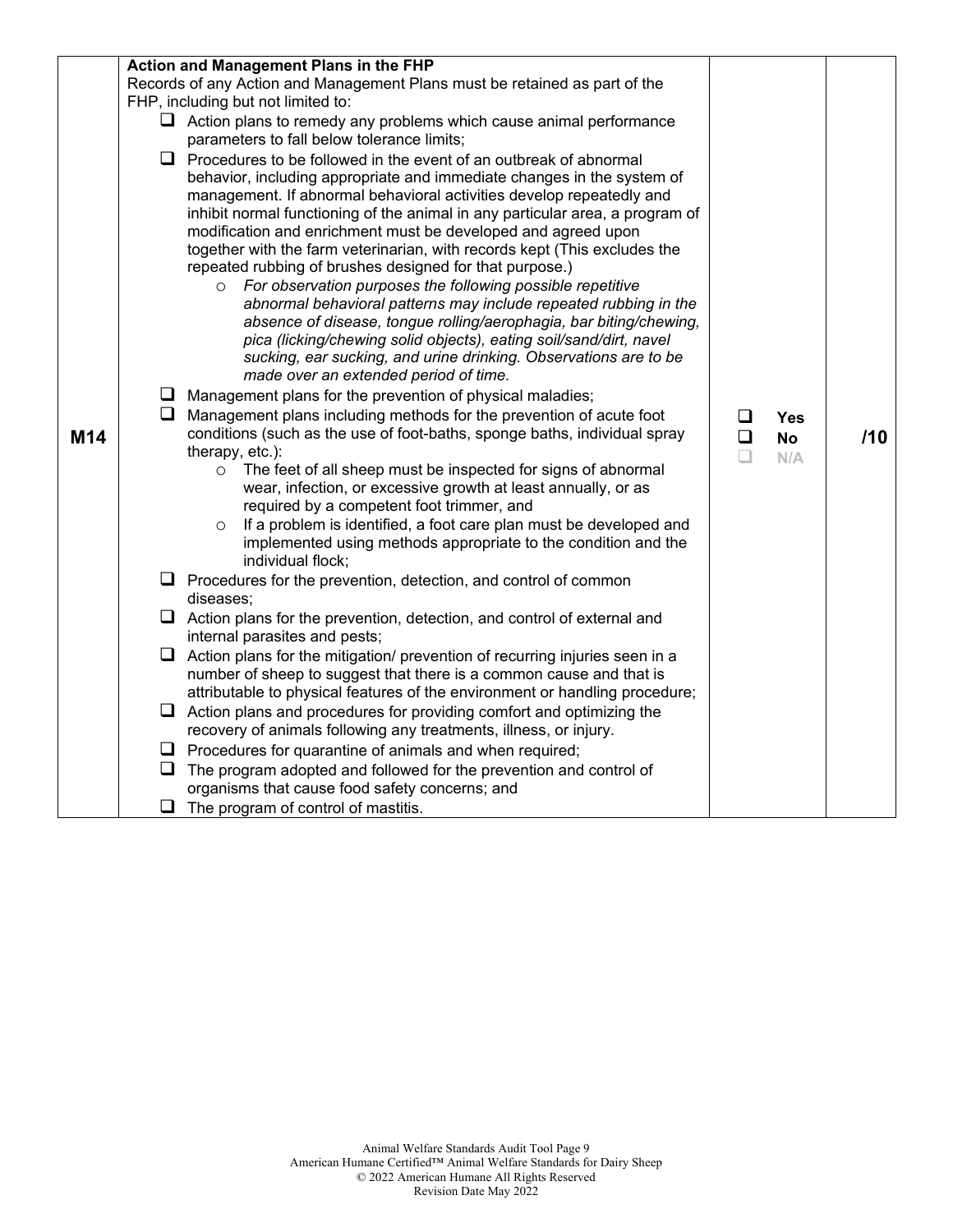|     |        | Action and Management Plans in the FHP                                                                                                                                                                                                                                                                                                                                                                                                                                                                                                                                                                                                                                                                                                                                                                                                                                                                                                                                                                                                                                                                                                                                                                                                                                                                                                               |                  |                         |     |
|-----|--------|------------------------------------------------------------------------------------------------------------------------------------------------------------------------------------------------------------------------------------------------------------------------------------------------------------------------------------------------------------------------------------------------------------------------------------------------------------------------------------------------------------------------------------------------------------------------------------------------------------------------------------------------------------------------------------------------------------------------------------------------------------------------------------------------------------------------------------------------------------------------------------------------------------------------------------------------------------------------------------------------------------------------------------------------------------------------------------------------------------------------------------------------------------------------------------------------------------------------------------------------------------------------------------------------------------------------------------------------------|------------------|-------------------------|-----|
|     |        | Records of any Action and Management Plans must be retained as part of the                                                                                                                                                                                                                                                                                                                                                                                                                                                                                                                                                                                                                                                                                                                                                                                                                                                                                                                                                                                                                                                                                                                                                                                                                                                                           |                  |                         |     |
|     |        | FHP, including but not limited to:                                                                                                                                                                                                                                                                                                                                                                                                                                                                                                                                                                                                                                                                                                                                                                                                                                                                                                                                                                                                                                                                                                                                                                                                                                                                                                                   |                  |                         |     |
|     |        | $\Box$ Action plans to remedy any problems which cause animal performance                                                                                                                                                                                                                                                                                                                                                                                                                                                                                                                                                                                                                                                                                                                                                                                                                                                                                                                                                                                                                                                                                                                                                                                                                                                                            |                  |                         |     |
|     |        | parameters to fall below tolerance limits;                                                                                                                                                                                                                                                                                                                                                                                                                                                                                                                                                                                                                                                                                                                                                                                                                                                                                                                                                                                                                                                                                                                                                                                                                                                                                                           |                  |                         |     |
| M14 | ⊔      | $\Box$ Procedures to be followed in the event of an outbreak of abnormal<br>behavior, including appropriate and immediate changes in the system of<br>management. If abnormal behavioral activities develop repeatedly and<br>inhibit normal functioning of the animal in any particular area, a program of<br>modification and enrichment must be developed and agreed upon<br>together with the farm veterinarian, with records kept (This excludes the<br>repeated rubbing of brushes designed for that purpose.)<br>For observation purposes the following possible repetitive<br>abnormal behavioral patterns may include repeated rubbing in the<br>absence of disease, tongue rolling/aerophagia, bar biting/chewing,<br>pica (licking/chewing solid objects), eating soil/sand/dirt, navel<br>sucking, ear sucking, and urine drinking. Observations are to be<br>made over an extended period of time.<br>$\Box$ Management plans for the prevention of physical maladies;<br>Management plans including methods for the prevention of acute foot<br>conditions (such as the use of foot-baths, sponge baths, individual spray<br>therapy, etc.):<br>The feet of all sheep must be inspected for signs of abnormal<br>$\circ$<br>wear, infection, or excessive growth at least annually, or as<br>required by a competent foot trimmer, and | $\Box$<br>$\Box$ | Yes<br><b>No</b><br>N/A | /10 |
|     |        | If a problem is identified, a foot care plan must be developed and<br>$\circ$<br>implemented using methods appropriate to the condition and the                                                                                                                                                                                                                                                                                                                                                                                                                                                                                                                                                                                                                                                                                                                                                                                                                                                                                                                                                                                                                                                                                                                                                                                                      |                  |                         |     |
|     |        | individual flock;                                                                                                                                                                                                                                                                                                                                                                                                                                                                                                                                                                                                                                                                                                                                                                                                                                                                                                                                                                                                                                                                                                                                                                                                                                                                                                                                    |                  |                         |     |
|     |        | $\Box$ Procedures for the prevention, detection, and control of common<br>diseases;                                                                                                                                                                                                                                                                                                                                                                                                                                                                                                                                                                                                                                                                                                                                                                                                                                                                                                                                                                                                                                                                                                                                                                                                                                                                  |                  |                         |     |
|     |        | $\Box$ Action plans for the prevention, detection, and control of external and<br>internal parasites and pests;                                                                                                                                                                                                                                                                                                                                                                                                                                                                                                                                                                                                                                                                                                                                                                                                                                                                                                                                                                                                                                                                                                                                                                                                                                      |                  |                         |     |
|     | $\Box$ | Action plans for the mitigation/ prevention of recurring injuries seen in a<br>number of sheep to suggest that there is a common cause and that is                                                                                                                                                                                                                                                                                                                                                                                                                                                                                                                                                                                                                                                                                                                                                                                                                                                                                                                                                                                                                                                                                                                                                                                                   |                  |                         |     |
|     |        | attributable to physical features of the environment or handling procedure;                                                                                                                                                                                                                                                                                                                                                                                                                                                                                                                                                                                                                                                                                                                                                                                                                                                                                                                                                                                                                                                                                                                                                                                                                                                                          |                  |                         |     |
|     |        | $\Box$ Action plans and procedures for providing comfort and optimizing the<br>recovery of animals following any treatments, illness, or injury.                                                                                                                                                                                                                                                                                                                                                                                                                                                                                                                                                                                                                                                                                                                                                                                                                                                                                                                                                                                                                                                                                                                                                                                                     |                  |                         |     |
|     |        | $\Box$ Procedures for quarantine of animals and when required;                                                                                                                                                                                                                                                                                                                                                                                                                                                                                                                                                                                                                                                                                                                                                                                                                                                                                                                                                                                                                                                                                                                                                                                                                                                                                       |                  |                         |     |
|     | ❏      | The program adopted and followed for the prevention and control of                                                                                                                                                                                                                                                                                                                                                                                                                                                                                                                                                                                                                                                                                                                                                                                                                                                                                                                                                                                                                                                                                                                                                                                                                                                                                   |                  |                         |     |
|     |        | organisms that cause food safety concerns; and                                                                                                                                                                                                                                                                                                                                                                                                                                                                                                                                                                                                                                                                                                                                                                                                                                                                                                                                                                                                                                                                                                                                                                                                                                                                                                       |                  |                         |     |
|     | ❏      | The program of control of mastitis.                                                                                                                                                                                                                                                                                                                                                                                                                                                                                                                                                                                                                                                                                                                                                                                                                                                                                                                                                                                                                                                                                                                                                                                                                                                                                                                  |                  |                         |     |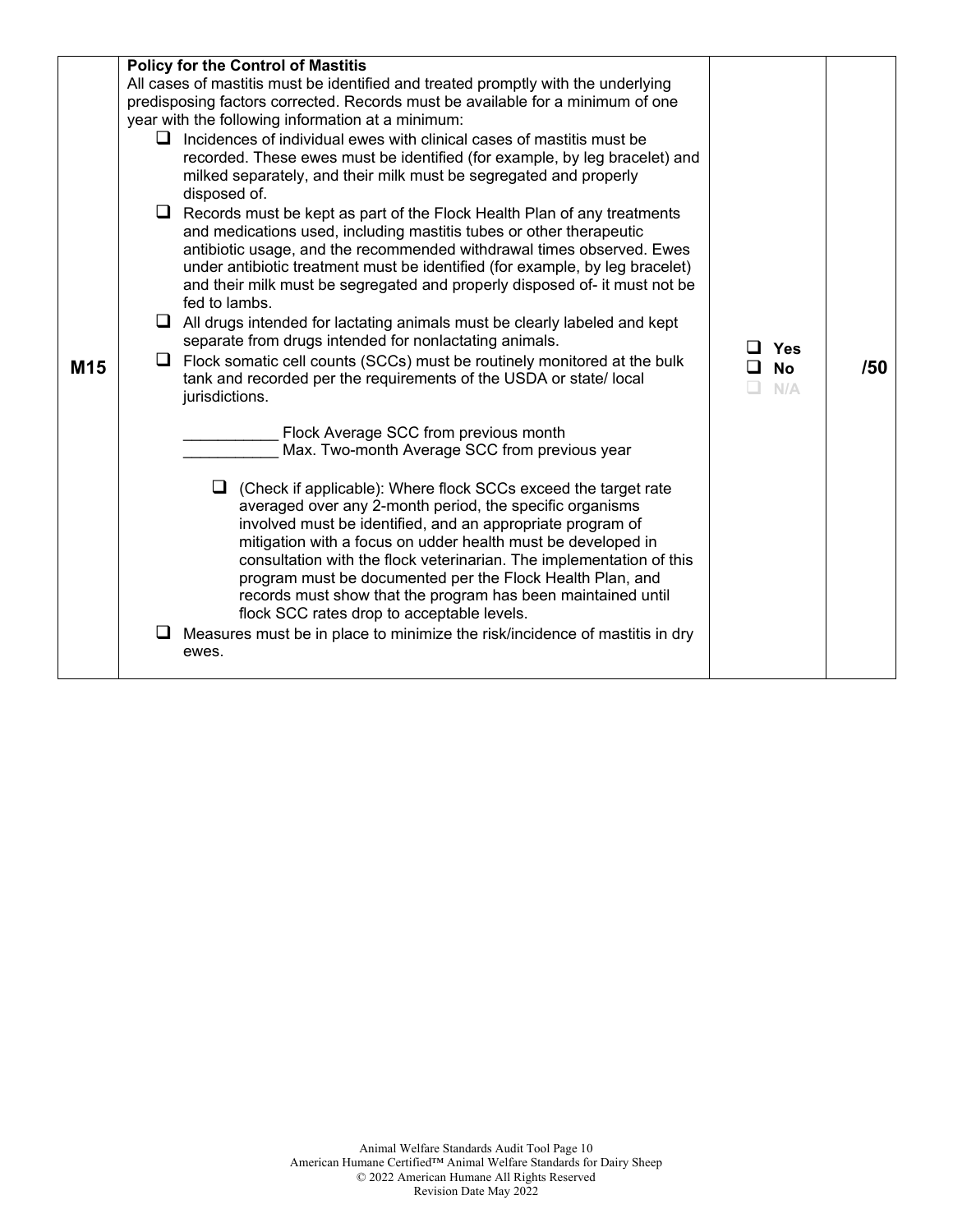|     | <b>Policy for the Control of Mastitis</b><br>All cases of mastitis must be identified and treated promptly with the underlying<br>predisposing factors corrected. Records must be available for a minimum of one<br>year with the following information at a minimum:<br>$\Box$ Incidences of individual ewes with clinical cases of mastitis must be<br>recorded. These ewes must be identified (for example, by leg bracelet) and<br>milked separately, and their milk must be segregated and properly<br>disposed of.                                                                                                                                                                                                              |                         |     |
|-----|---------------------------------------------------------------------------------------------------------------------------------------------------------------------------------------------------------------------------------------------------------------------------------------------------------------------------------------------------------------------------------------------------------------------------------------------------------------------------------------------------------------------------------------------------------------------------------------------------------------------------------------------------------------------------------------------------------------------------------------|-------------------------|-----|
| M15 | $\Box$ Records must be kept as part of the Flock Health Plan of any treatments<br>and medications used, including mastitis tubes or other therapeutic<br>antibiotic usage, and the recommended withdrawal times observed. Ewes<br>under antibiotic treatment must be identified (for example, by leg bracelet)<br>and their milk must be segregated and properly disposed of- it must not be<br>fed to lambs.<br>$\Box$ All drugs intended for lactating animals must be clearly labeled and kept<br>separate from drugs intended for nonlactating animals.<br>$\Box$ Flock somatic cell counts (SCCs) must be routinely monitored at the bulk<br>tank and recorded per the requirements of the USDA or state/local<br>jurisdictions. | Yes<br><b>No</b><br>N/A | /50 |
|     | Flock Average SCC from previous month<br>Max. Two-month Average SCC from previous year<br>(Check if applicable): Where flock SCCs exceed the target rate<br>averaged over any 2-month period, the specific organisms<br>involved must be identified, and an appropriate program of<br>mitigation with a focus on udder health must be developed in<br>consultation with the flock veterinarian. The implementation of this<br>program must be documented per the Flock Health Plan, and<br>records must show that the program has been maintained until<br>flock SCC rates drop to acceptable levels.<br>Measures must be in place to minimize the risk/incidence of mastitis in dry<br>ewes.                                         |                         |     |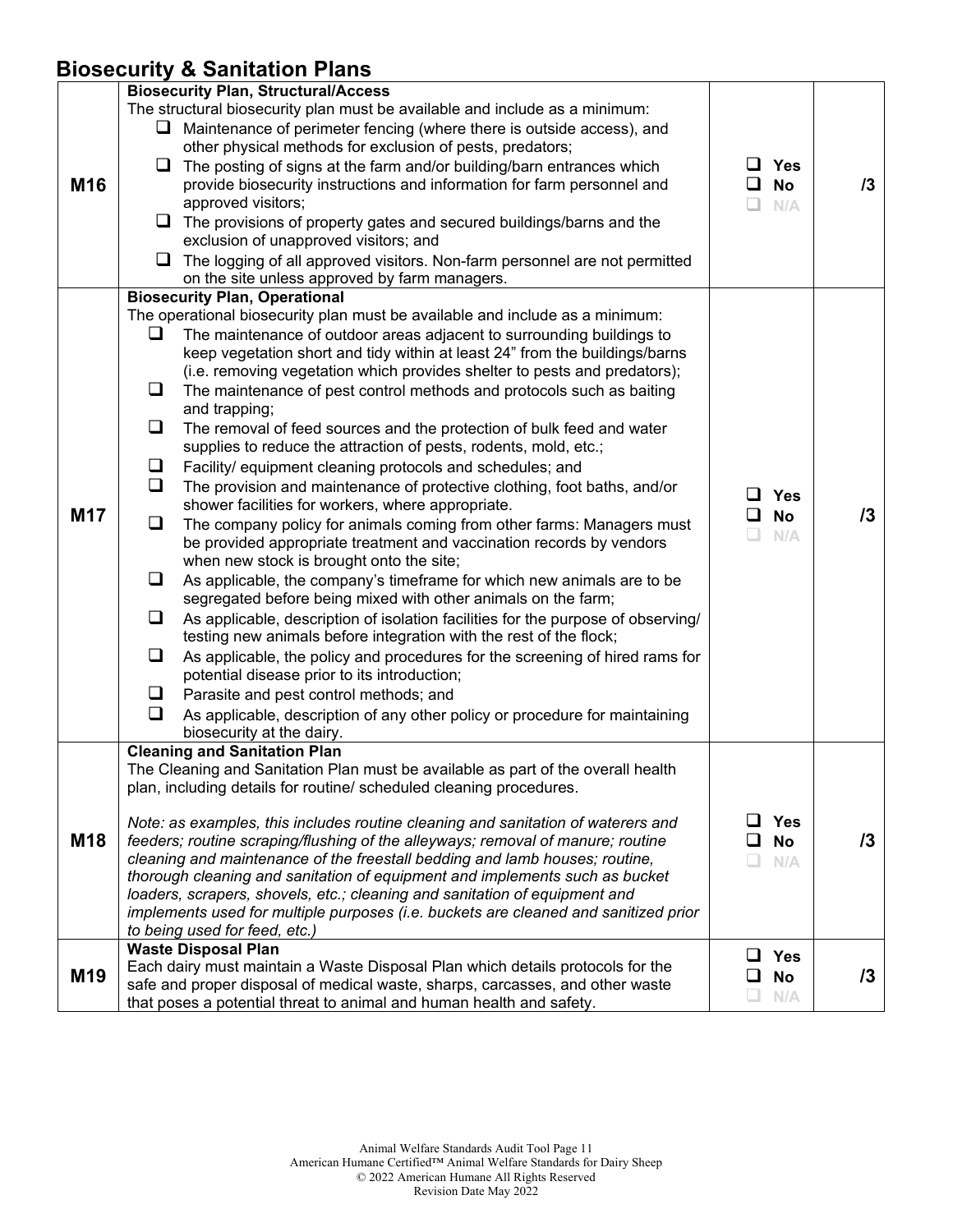### **Biosecurity & Sanitation Plans**

|                 | $\frac{1}{2}$                                                                                                                                                                                                                                                                                                                                                                                                                                                                                                                                                                                                                                                                                                                                                                                                                                                                                                                                                                                                                                                                                                                                                                                                                                                                                                                                                                                                                                                                                                                                                                                                                                           |                                                |            |
|-----------------|---------------------------------------------------------------------------------------------------------------------------------------------------------------------------------------------------------------------------------------------------------------------------------------------------------------------------------------------------------------------------------------------------------------------------------------------------------------------------------------------------------------------------------------------------------------------------------------------------------------------------------------------------------------------------------------------------------------------------------------------------------------------------------------------------------------------------------------------------------------------------------------------------------------------------------------------------------------------------------------------------------------------------------------------------------------------------------------------------------------------------------------------------------------------------------------------------------------------------------------------------------------------------------------------------------------------------------------------------------------------------------------------------------------------------------------------------------------------------------------------------------------------------------------------------------------------------------------------------------------------------------------------------------|------------------------------------------------|------------|
| M16             | <b>Biosecurity Plan, Structural/Access</b><br>The structural biosecurity plan must be available and include as a minimum:<br>$\Box$ Maintenance of perimeter fencing (where there is outside access), and<br>other physical methods for exclusion of pests, predators;<br>$\Box$ The posting of signs at the farm and/or building/barn entrances which<br>provide biosecurity instructions and information for farm personnel and<br>approved visitors;<br>$\Box$ The provisions of property gates and secured buildings/barns and the<br>exclusion of unapproved visitors; and<br>$\Box$ The logging of all approved visitors. Non-farm personnel are not permitted<br>on the site unless approved by farm managers.                                                                                                                                                                                                                                                                                                                                                                                                                                                                                                                                                                                                                                                                                                                                                                                                                                                                                                                                   | <b>Yes</b><br>ப<br>ப<br><b>No</b><br>N/A<br>ш  | 13         |
| M17             | <b>Biosecurity Plan, Operational</b><br>The operational biosecurity plan must be available and include as a minimum:<br>❏<br>The maintenance of outdoor areas adjacent to surrounding buildings to<br>keep vegetation short and tidy within at least 24" from the buildings/barns<br>(i.e. removing vegetation which provides shelter to pests and predators);<br>The maintenance of pest control methods and protocols such as baiting<br>⊔<br>and trapping;<br>❏<br>The removal of feed sources and the protection of bulk feed and water<br>supplies to reduce the attraction of pests, rodents, mold, etc.;<br>Facility/ equipment cleaning protocols and schedules; and<br>$\Box$<br>❏<br>The provision and maintenance of protective clothing, foot baths, and/or<br>shower facilities for workers, where appropriate.<br>The company policy for animals coming from other farms: Managers must<br>ப<br>be provided appropriate treatment and vaccination records by vendors<br>when new stock is brought onto the site;<br>As applicable, the company's timeframe for which new animals are to be<br>⊔<br>segregated before being mixed with other animals on the farm;<br>As applicable, description of isolation facilities for the purpose of observing/<br>⊔<br>testing new animals before integration with the rest of the flock;<br>❏<br>As applicable, the policy and procedures for the screening of hired rams for<br>potential disease prior to its introduction;<br>Parasite and pest control methods; and<br>u<br>As applicable, description of any other policy or procedure for maintaining<br>$\Box$<br>biosecurity at the dairy. | <b>Yes</b><br><b>No</b><br>ப<br>n.<br>N/A      | 13         |
| M18             | <b>Cleaning and Sanitation Plan</b><br>The Cleaning and Sanitation Plan must be available as part of the overall health<br>plan, including details for routine/ scheduled cleaning procedures.<br>Note: as examples, this includes routine cleaning and sanitation of waterers and<br>feeders; routine scraping/flushing of the alleyways; removal of manure; routine<br>cleaning and maintenance of the freestall bedding and lamb houses; routine,<br>thorough cleaning and sanitation of equipment and implements such as bucket<br>loaders, scrapers, shovels, etc.; cleaning and sanitation of equipment and<br>implements used for multiple purposes (i.e. buckets are cleaned and sanitized prior<br>to being used for feed, etc.)                                                                                                                                                                                                                                                                                                                                                                                                                                                                                                                                                                                                                                                                                                                                                                                                                                                                                                               | <b>Yes</b><br>ப<br><b>No</b><br>N/A            | $\sqrt{3}$ |
| M <sub>19</sub> | <b>Waste Disposal Plan</b><br>Each dairy must maintain a Waste Disposal Plan which details protocols for the<br>safe and proper disposal of medical waste, sharps, carcasses, and other waste<br>that poses a potential threat to animal and human health and safety.                                                                                                                                                                                                                                                                                                                                                                                                                                                                                                                                                                                                                                                                                                                                                                                                                                                                                                                                                                                                                                                                                                                                                                                                                                                                                                                                                                                   | ப<br><b>Yes</b><br>❏<br><b>No</b><br>N/A<br>u. | $\sqrt{3}$ |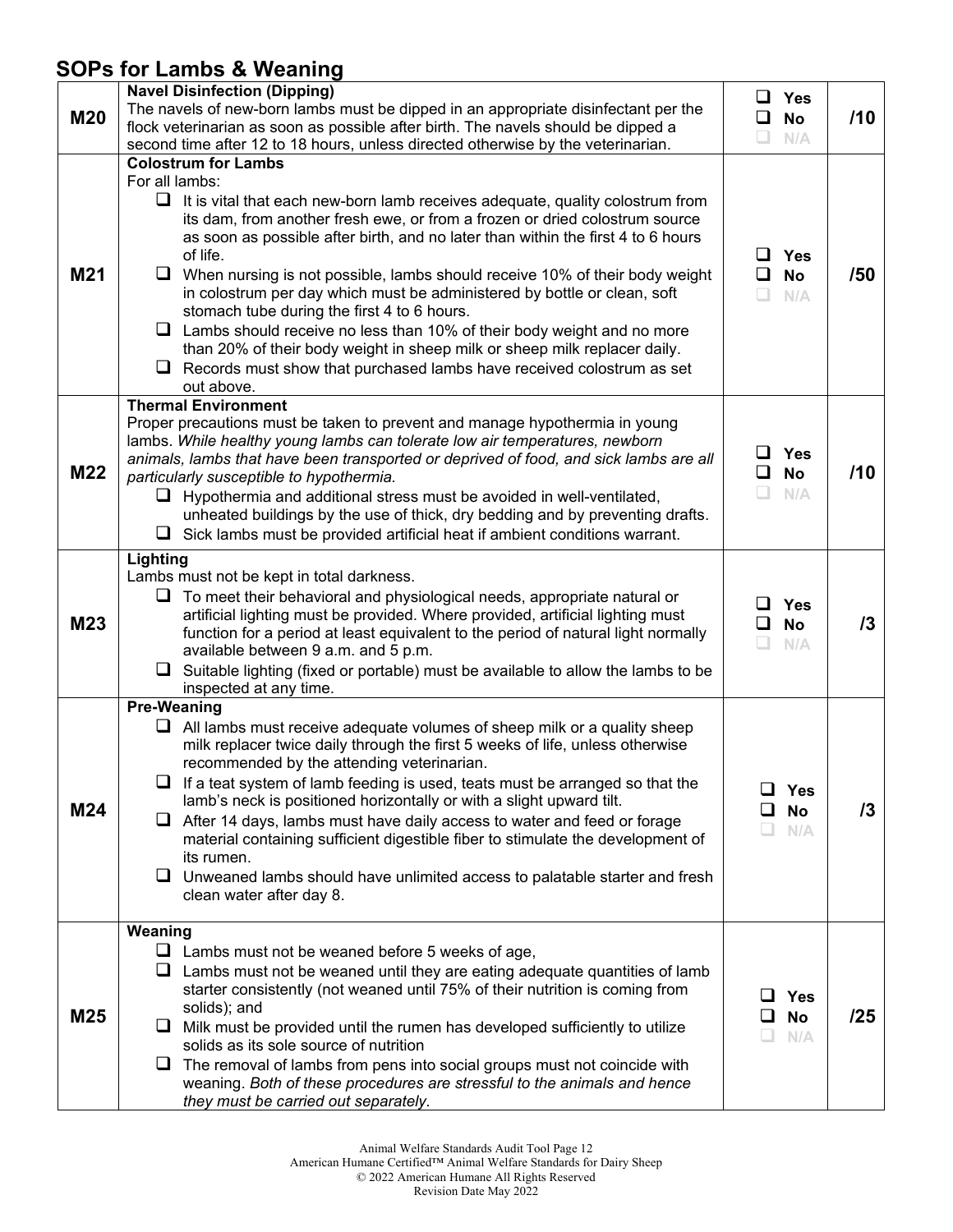## **SOPs for Lambs & Weaning**

| <b>M20</b> | <b>Navel Disinfection (Dipping)</b><br>The navels of new-born lambs must be dipped in an appropriate disinfectant per the<br>flock veterinarian as soon as possible after birth. The navels should be dipped a<br>second time after 12 to 18 hours, unless directed otherwise by the veterinarian.                                                                                                                                                                                                                                                                                                                                                                                                                                                                                                                             | ப<br>$\Box$  | $\Box$ Yes<br><b>No</b><br>N/A | /10 |
|------------|--------------------------------------------------------------------------------------------------------------------------------------------------------------------------------------------------------------------------------------------------------------------------------------------------------------------------------------------------------------------------------------------------------------------------------------------------------------------------------------------------------------------------------------------------------------------------------------------------------------------------------------------------------------------------------------------------------------------------------------------------------------------------------------------------------------------------------|--------------|--------------------------------|-----|
| M21        | <b>Colostrum for Lambs</b><br>For all lambs:<br>$\Box$<br>It is vital that each new-born lamb receives adequate, quality colostrum from<br>its dam, from another fresh ewe, or from a frozen or dried colostrum source<br>as soon as possible after birth, and no later than within the first 4 to 6 hours<br>of life.<br>When nursing is not possible, lambs should receive 10% of their body weight<br>u.<br>in colostrum per day which must be administered by bottle or clean, soft<br>stomach tube during the first 4 to 6 hours.<br>$\Box$ Lambs should receive no less than 10% of their body weight and no more<br>than 20% of their body weight in sheep milk or sheep milk replacer daily.<br>Records must show that purchased lambs have received colostrum as set<br>ப<br>out above.<br><b>Thermal Environment</b> | $\Box$<br>n  | $\Box$ Yes<br><b>No</b><br>N/A | /50 |
| M22        | Proper precautions must be taken to prevent and manage hypothermia in young<br>lambs. While healthy young lambs can tolerate low air temperatures, newborn<br>animals, lambs that have been transported or deprived of food, and sick lambs are all<br>particularly susceptible to hypothermia.<br>$\Box$ Hypothermia and additional stress must be avoided in well-ventilated,<br>unheated buildings by the use of thick, dry bedding and by preventing drafts.<br>$\Box$ Sick lambs must be provided artificial heat if ambient conditions warrant.                                                                                                                                                                                                                                                                          | ◻            | $\Box$ Yes<br><b>No</b><br>N/A | /10 |
| M23        | Lighting<br>Lambs must not be kept in total darkness.<br>$\Box$ To meet their behavioral and physiological needs, appropriate natural or<br>artificial lighting must be provided. Where provided, artificial lighting must<br>function for a period at least equivalent to the period of natural light normally<br>available between 9 a.m. and 5 p.m.<br>$\Box$<br>Suitable lighting (fixed or portable) must be available to allow the lambs to be<br>inspected at any time.                                                                                                                                                                                                                                                                                                                                                 | ப<br>◻<br>L. | <b>Yes</b><br><b>No</b><br>N/A | 13  |
| M24        | <b>Pre-Weaning</b><br>$\Box$ All lambs must receive adequate volumes of sheep milk or a quality sheep<br>milk replacer twice daily through the first 5 weeks of life, unless otherwise<br>recommended by the attending veterinarian.<br>$\Box$ If a teat system of lamb feeding is used, teats must be arranged so that the<br>lamb's neck is positioned horizontally or with a slight upward tilt.<br>$\Box$ After 14 days, lambs must have daily access to water and feed or forage<br>material containing sufficient digestible fiber to stimulate the development of<br>its rumen.<br>$\Box$ Unweaned lambs should have unlimited access to palatable starter and fresh<br>clean water after day 8.                                                                                                                        | ப            | <b>Yes</b><br><b>No</b><br>N/A | 13  |
| M25        | Weaning<br>$\Box$ Lambs must not be weaned before 5 weeks of age,<br>$\Box$ Lambs must not be weaned until they are eating adequate quantities of lamb<br>starter consistently (not weaned until 75% of their nutrition is coming from<br>solids); and<br>$\Box$ Milk must be provided until the rumen has developed sufficiently to utilize<br>solids as its sole source of nutrition<br>The removal of lambs from pens into social groups must not coincide with<br>weaning. Both of these procedures are stressful to the animals and hence<br>they must be carried out separately.                                                                                                                                                                                                                                         | ப<br>ப       | Yes<br><b>No</b><br>N/A        | /25 |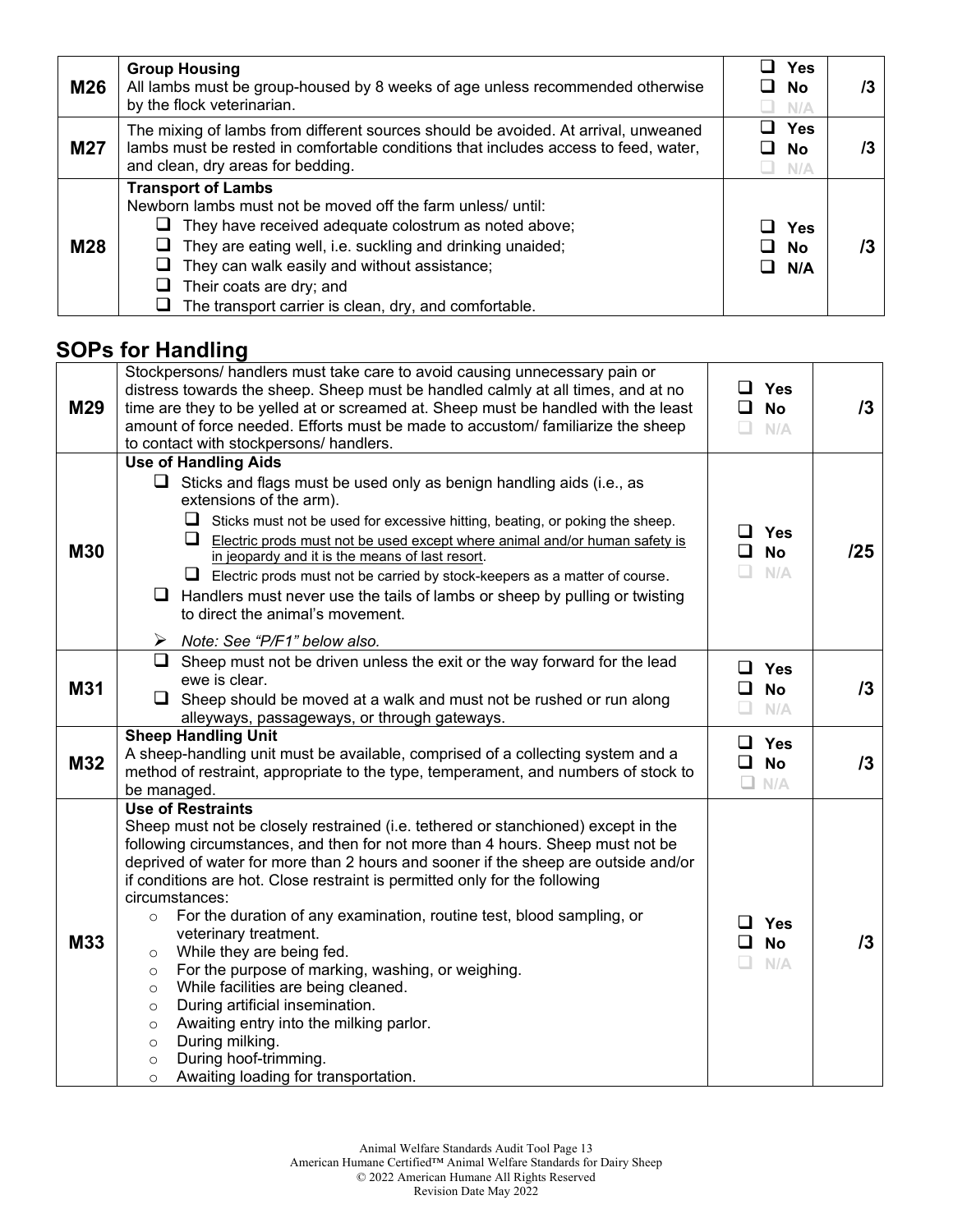| M26        | <b>Group Housing</b><br>All lambs must be group-housed by 8 weeks of age unless recommended otherwise<br>by the flock veterinarian.                                                                                                                                                                                                                 | Yes<br><b>No</b><br>N/A | /3 |
|------------|-----------------------------------------------------------------------------------------------------------------------------------------------------------------------------------------------------------------------------------------------------------------------------------------------------------------------------------------------------|-------------------------|----|
| <b>M27</b> | The mixing of lambs from different sources should be avoided. At arrival, unweaned<br>lambs must be rested in comfortable conditions that includes access to feed, water,<br>and clean, dry areas for bedding.                                                                                                                                      | Yes<br><b>No</b><br>N/A |    |
| <b>M28</b> | <b>Transport of Lambs</b><br>Newborn lambs must not be moved off the farm unless/ until:<br>They have received adequate colostrum as noted above;<br>They are eating well, i.e. suckling and drinking unaided;<br>They can walk easily and without assistance;<br>Their coats are dry; and<br>The transport carrier is clean, dry, and comfortable. | Yes<br>No<br>N/A        |    |

### **SOPs for Handling**

| M29        | Stockpersons/ handlers must take care to avoid causing unnecessary pain or<br>distress towards the sheep. Sheep must be handled calmly at all times, and at no<br>time are they to be yelled at or screamed at. Sheep must be handled with the least<br>amount of force needed. Efforts must be made to accustom/ familiarize the sheep<br>to contact with stockpersons/ handlers.                                                                                                                                                                                                                                                                                                                                                                                                                                                                                                    | ப<br>$\Box$<br>$\Box$             | <b>Yes</b><br><b>No</b><br>N/A | 13  |
|------------|---------------------------------------------------------------------------------------------------------------------------------------------------------------------------------------------------------------------------------------------------------------------------------------------------------------------------------------------------------------------------------------------------------------------------------------------------------------------------------------------------------------------------------------------------------------------------------------------------------------------------------------------------------------------------------------------------------------------------------------------------------------------------------------------------------------------------------------------------------------------------------------|-----------------------------------|--------------------------------|-----|
| <b>M30</b> | <b>Use of Handling Aids</b><br>$\Box$ Sticks and flags must be used only as benign handling aids (i.e., as<br>extensions of the arm).<br>⊔<br>Sticks must not be used for excessive hitting, beating, or poking the sheep.<br>ப<br>Electric prods must not be used except where animal and/or human safety is<br>in jeopardy and it is the means of last resort.<br>$\Box$ Electric prods must not be carried by stock-keepers as a matter of course.<br>$\Box$ Handlers must never use the tails of lambs or sheep by pulling or twisting<br>to direct the animal's movement.<br>$\triangleright$ Note: See "P/F1" below also.                                                                                                                                                                                                                                                       | ப<br>$\Box$<br>$\Box$             | <b>Yes</b><br><b>No</b><br>N/A | /25 |
| M31        | $\Box$ Sheep must not be driven unless the exit or the way forward for the lead<br>ewe is clear.<br>$\Box$ Sheep should be moved at a walk and must not be rushed or run along<br>alleyways, passageways, or through gateways.                                                                                                                                                                                                                                                                                                                                                                                                                                                                                                                                                                                                                                                        | $\Box$<br>$\Box$ No<br>$\Box$ N/A | Yes                            | 13  |
| M32        | <b>Sheep Handling Unit</b><br>A sheep-handling unit must be available, comprised of a collecting system and a<br>method of restraint, appropriate to the type, temperament, and numbers of stock to<br>be managed.                                                                                                                                                                                                                                                                                                                                                                                                                                                                                                                                                                                                                                                                    | $\Box$ Yes<br>0<br>$\square$ N/A  | <b>No</b>                      | 13  |
| M33        | <b>Use of Restraints</b><br>Sheep must not be closely restrained (i.e. tethered or stanchioned) except in the<br>following circumstances, and then for not more than 4 hours. Sheep must not be<br>deprived of water for more than 2 hours and sooner if the sheep are outside and/or<br>if conditions are hot. Close restraint is permitted only for the following<br>circumstances:<br>For the duration of any examination, routine test, blood sampling, or<br>$\circ$<br>veterinary treatment.<br>While they are being fed.<br>$\circ$<br>For the purpose of marking, washing, or weighing.<br>$\circ$<br>While facilities are being cleaned.<br>$\circ$<br>During artificial insemination.<br>$\circ$<br>Awaiting entry into the milking parlor.<br>$\circ$<br>During milking.<br>$\circ$<br>During hoof-trimming.<br>$\circ$<br>Awaiting loading for transportation.<br>$\circ$ | n                                 | <b>Yes</b><br><b>No</b><br>N/A | 13  |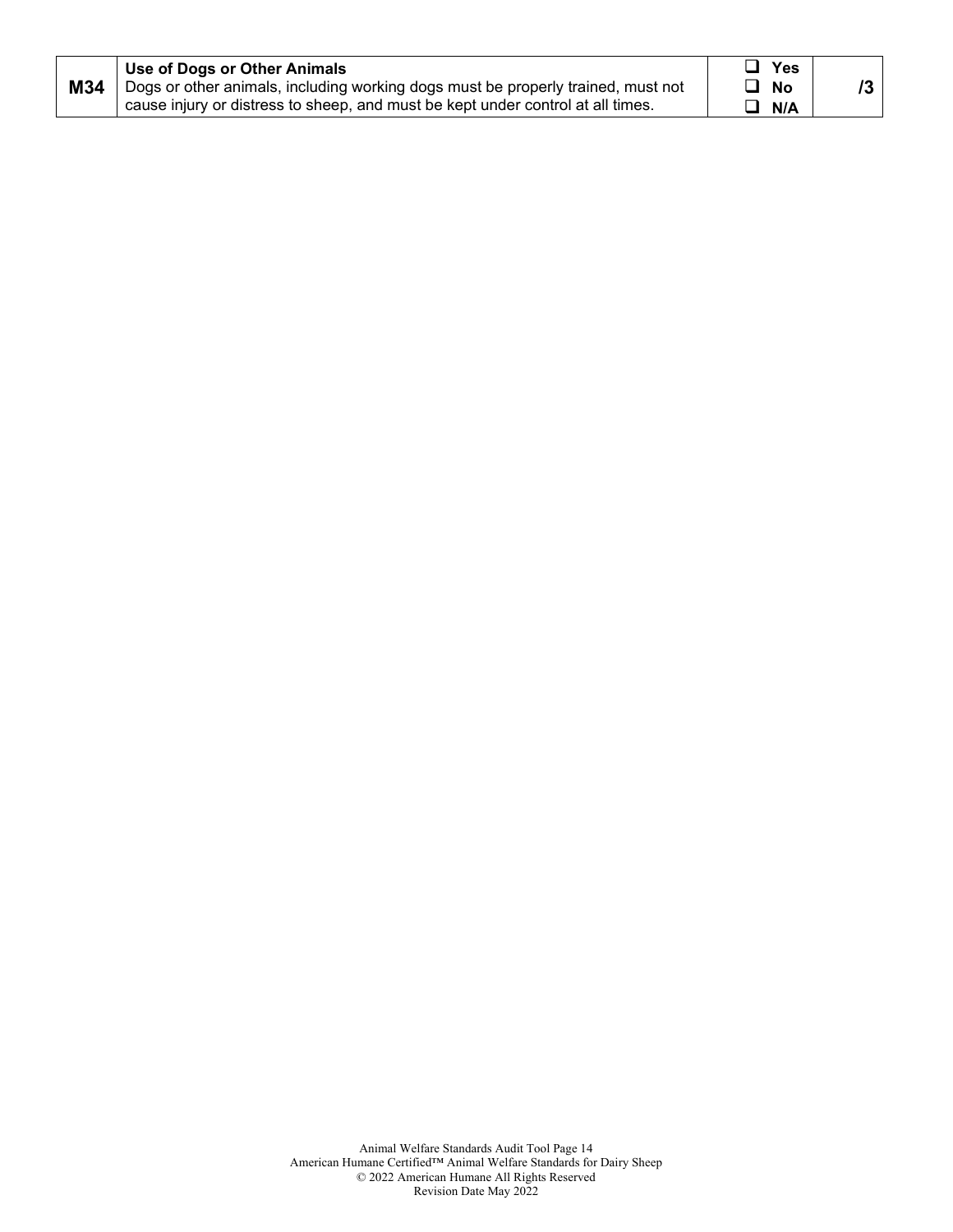| M34<br>Dogs or other animals, including working dogs must be properly trained, must not<br>No<br>cause injury or distress to sheep, and must be kept under control at all times.<br>N/A |  | Use of Dogs or Other Animals | Yes |  |
|-----------------------------------------------------------------------------------------------------------------------------------------------------------------------------------------|--|------------------------------|-----|--|
|-----------------------------------------------------------------------------------------------------------------------------------------------------------------------------------------|--|------------------------------|-----|--|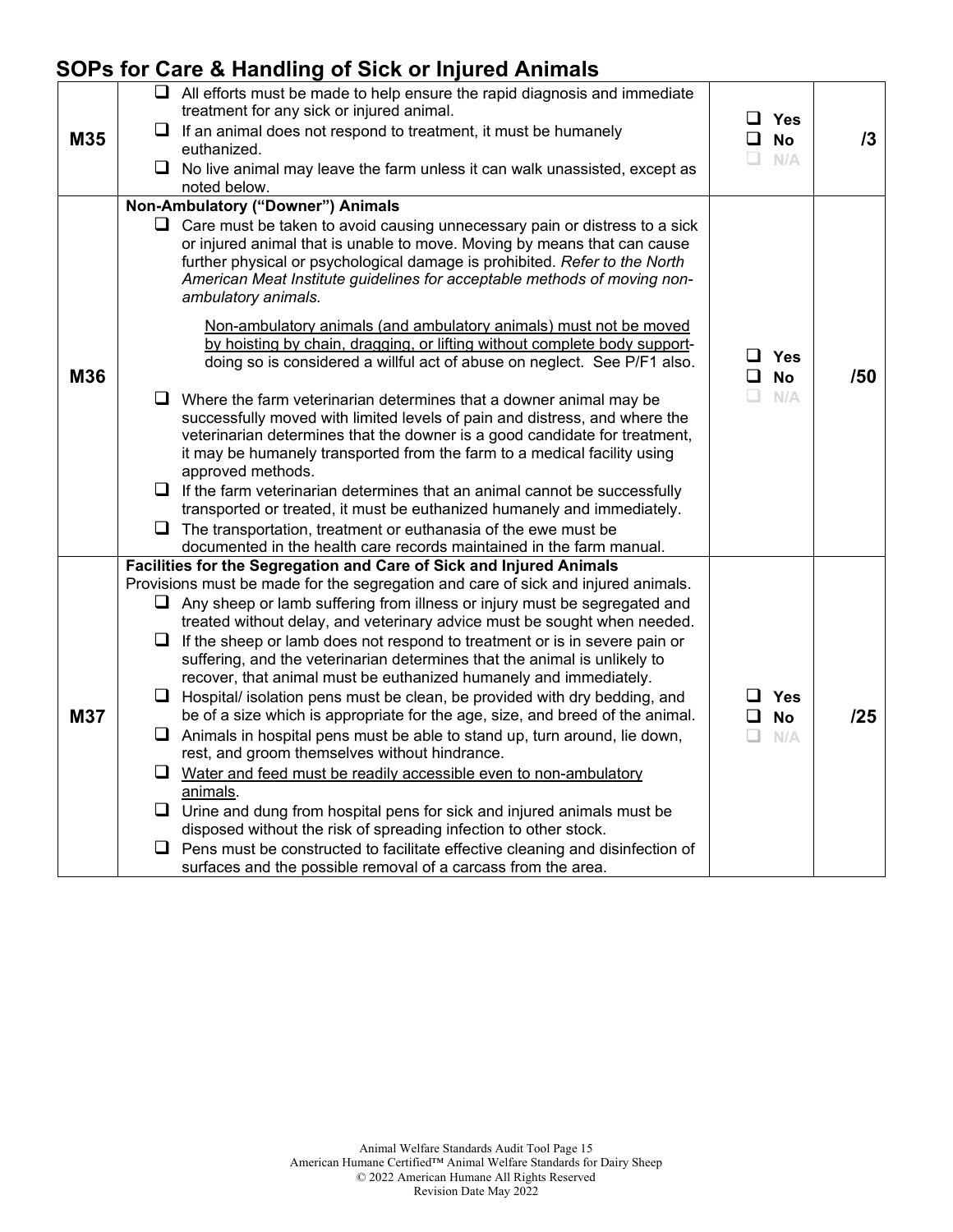## **SOPs for Care & Handling of Sick or Injured Animals**

| <b>No</b> | 13                                                                                              |
|-----------|-------------------------------------------------------------------------------------------------|
| N/A       |                                                                                                 |
|           |                                                                                                 |
|           |                                                                                                 |
|           |                                                                                                 |
| <b>No</b> | /50                                                                                             |
| N/A       |                                                                                                 |
|           |                                                                                                 |
|           |                                                                                                 |
|           |                                                                                                 |
|           |                                                                                                 |
|           |                                                                                                 |
|           |                                                                                                 |
|           |                                                                                                 |
|           |                                                                                                 |
|           | 125                                                                                             |
|           |                                                                                                 |
|           |                                                                                                 |
|           |                                                                                                 |
|           |                                                                                                 |
|           |                                                                                                 |
|           |                                                                                                 |
|           | □<br>Yes<br>❏<br>o.<br>$\square$ Yes<br>$\Box$<br>$\Box$<br>□ Yes<br>0<br><b>No</b><br>n<br>N/A |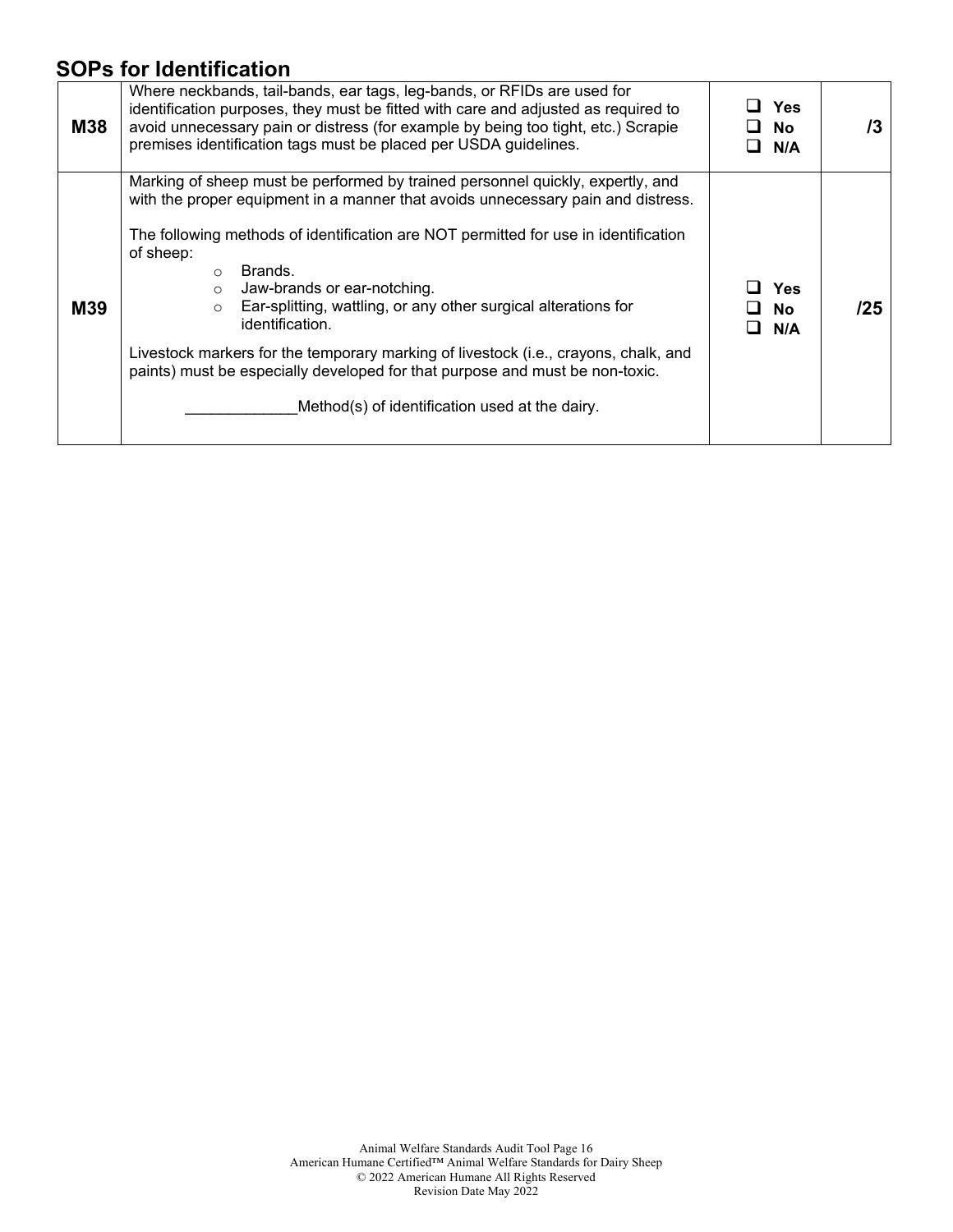## **SOPs for Identification**

| M38        | Where neckbands, tail-bands, ear tags, leg-bands, or RFIDs are used for<br>identification purposes, they must be fitted with care and adjusted as required to<br>avoid unnecessary pain or distress (for example by being too tight, etc.) Scrapie<br>premises identification tags must be placed per USDA guidelines.                                                                                                                                                                                                                                                                                                                                             | ⊔ Yes<br><b>No</b><br>N/A | /3  |
|------------|--------------------------------------------------------------------------------------------------------------------------------------------------------------------------------------------------------------------------------------------------------------------------------------------------------------------------------------------------------------------------------------------------------------------------------------------------------------------------------------------------------------------------------------------------------------------------------------------------------------------------------------------------------------------|---------------------------|-----|
| <b>M39</b> | Marking of sheep must be performed by trained personnel quickly, expertly, and<br>with the proper equipment in a manner that avoids unnecessary pain and distress.<br>The following methods of identification are NOT permitted for use in identification<br>of sheep:<br>Brands.<br>$\bigcirc$<br>Jaw-brands or ear-notching.<br>$\circ$<br>Ear-splitting, wattling, or any other surgical alterations for<br>$\circ$<br>identification.<br>Livestock markers for the temporary marking of livestock (i.e., crayons, chalk, and<br>paints) must be especially developed for that purpose and must be non-toxic.<br>Method(s) of identification used at the dairy. | <b>Yes</b><br>No.<br>N/A  | /25 |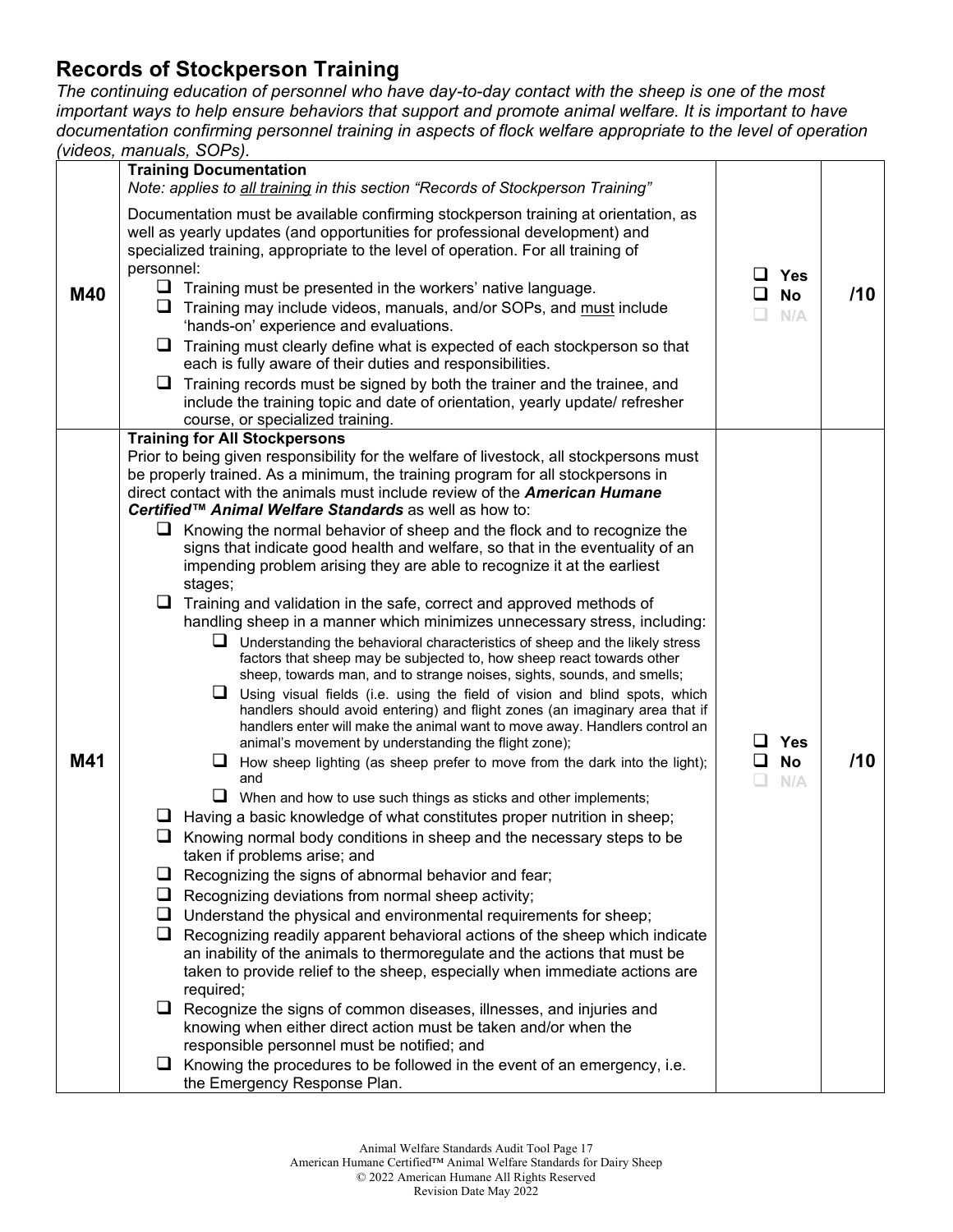#### **Records of Stockperson Training**

*The continuing education of personnel who have day-to-day contact with the sheep is one of the most important ways to help ensure behaviors that support and promote animal welfare. It is important to have documentation confirming personnel training in aspects of flock welfare appropriate to the level of operation (videos, manuals, SOPs).*

|     | <b>Training Documentation</b>                                                                                                                                                                                                                                                                                                                                                                                                                                                                                                                                                                                                                                                                                                                                                                                                                                                                                                                                                                                                                                                                                                                                                                                                                                                                                                                                                                                                                                                                                                                                                                                                                                                                                                                                                                                        |                                     |     |
|-----|----------------------------------------------------------------------------------------------------------------------------------------------------------------------------------------------------------------------------------------------------------------------------------------------------------------------------------------------------------------------------------------------------------------------------------------------------------------------------------------------------------------------------------------------------------------------------------------------------------------------------------------------------------------------------------------------------------------------------------------------------------------------------------------------------------------------------------------------------------------------------------------------------------------------------------------------------------------------------------------------------------------------------------------------------------------------------------------------------------------------------------------------------------------------------------------------------------------------------------------------------------------------------------------------------------------------------------------------------------------------------------------------------------------------------------------------------------------------------------------------------------------------------------------------------------------------------------------------------------------------------------------------------------------------------------------------------------------------------------------------------------------------------------------------------------------------|-------------------------------------|-----|
|     | Note: applies to all training in this section "Records of Stockperson Training"                                                                                                                                                                                                                                                                                                                                                                                                                                                                                                                                                                                                                                                                                                                                                                                                                                                                                                                                                                                                                                                                                                                                                                                                                                                                                                                                                                                                                                                                                                                                                                                                                                                                                                                                      |                                     |     |
| M40 | Documentation must be available confirming stockperson training at orientation, as<br>well as yearly updates (and opportunities for professional development) and<br>specialized training, appropriate to the level of operation. For all training of<br>personnel:<br>$\Box$ Training must be presented in the workers' native language.<br>⊔<br>Training may include videos, manuals, and/or SOPs, and must include<br>'hands-on' experience and evaluations.<br>⊔<br>Training must clearly define what is expected of each stockperson so that<br>each is fully aware of their duties and responsibilities.<br>❏<br>Training records must be signed by both the trainer and the trainee, and<br>include the training topic and date of orientation, yearly update/ refresher<br>course, or specialized training.                                                                                                                                                                                                                                                                                                                                                                                                                                                                                                                                                                                                                                                                                                                                                                                                                                                                                                                                                                                                  | ப<br><b>Yes</b><br><b>No</b><br>N/A | /10 |
|     |                                                                                                                                                                                                                                                                                                                                                                                                                                                                                                                                                                                                                                                                                                                                                                                                                                                                                                                                                                                                                                                                                                                                                                                                                                                                                                                                                                                                                                                                                                                                                                                                                                                                                                                                                                                                                      |                                     |     |
| M41 | <b>Training for All Stockpersons</b><br>Prior to being given responsibility for the welfare of livestock, all stockpersons must<br>be properly trained. As a minimum, the training program for all stockpersons in<br>direct contact with the animals must include review of the American Humane<br>Certified™ Animal Welfare Standards as well as how to:<br>$\Box$ Knowing the normal behavior of sheep and the flock and to recognize the<br>signs that indicate good health and welfare, so that in the eventuality of an<br>impending problem arising they are able to recognize it at the earliest<br>stages;<br>$\Box$ Training and validation in the safe, correct and approved methods of<br>handling sheep in a manner which minimizes unnecessary stress, including:<br>$\Box$ Understanding the behavioral characteristics of sheep and the likely stress<br>factors that sheep may be subjected to, how sheep react towards other<br>sheep, towards man, and to strange noises, sights, sounds, and smells;<br>Using visual fields (i.e. using the field of vision and blind spots, which<br>handlers should avoid entering) and flight zones (an imaginary area that if<br>handlers enter will make the animal want to move away. Handlers control an<br>animal's movement by understanding the flight zone);<br>$\Box$ How sheep lighting (as sheep prefer to move from the dark into the light);<br>and<br>$\Box$ When and how to use such things as sticks and other implements;<br>$\Box$ Having a basic knowledge of what constitutes proper nutrition in sheep;<br>Knowing normal body conditions in sheep and the necessary steps to be<br>taken if problems arise; and<br>⊔<br>Recognizing the signs of abnormal behavior and fear;<br>Recognizing deviations from normal sheep activity;<br>⊔ | ப<br><b>Yes</b><br>◻<br>No<br>N/A   | /10 |
|     | ⊔<br>Understand the physical and environmental requirements for sheep;                                                                                                                                                                                                                                                                                                                                                                                                                                                                                                                                                                                                                                                                                                                                                                                                                                                                                                                                                                                                                                                                                                                                                                                                                                                                                                                                                                                                                                                                                                                                                                                                                                                                                                                                               |                                     |     |
|     | Recognizing readily apparent behavioral actions of the sheep which indicate<br>⊔<br>an inability of the animals to thermoregulate and the actions that must be<br>taken to provide relief to the sheep, especially when immediate actions are<br>required;                                                                                                                                                                                                                                                                                                                                                                                                                                                                                                                                                                                                                                                                                                                                                                                                                                                                                                                                                                                                                                                                                                                                                                                                                                                                                                                                                                                                                                                                                                                                                           |                                     |     |
|     | $\Box$ Recognize the signs of common diseases, illnesses, and injuries and                                                                                                                                                                                                                                                                                                                                                                                                                                                                                                                                                                                                                                                                                                                                                                                                                                                                                                                                                                                                                                                                                                                                                                                                                                                                                                                                                                                                                                                                                                                                                                                                                                                                                                                                           |                                     |     |
|     | knowing when either direct action must be taken and/or when the<br>responsible personnel must be notified; and                                                                                                                                                                                                                                                                                                                                                                                                                                                                                                                                                                                                                                                                                                                                                                                                                                                                                                                                                                                                                                                                                                                                                                                                                                                                                                                                                                                                                                                                                                                                                                                                                                                                                                       |                                     |     |
|     | Knowing the procedures to be followed in the event of an emergency, i.e.<br>u.<br>the Emergency Response Plan.                                                                                                                                                                                                                                                                                                                                                                                                                                                                                                                                                                                                                                                                                                                                                                                                                                                                                                                                                                                                                                                                                                                                                                                                                                                                                                                                                                                                                                                                                                                                                                                                                                                                                                       |                                     |     |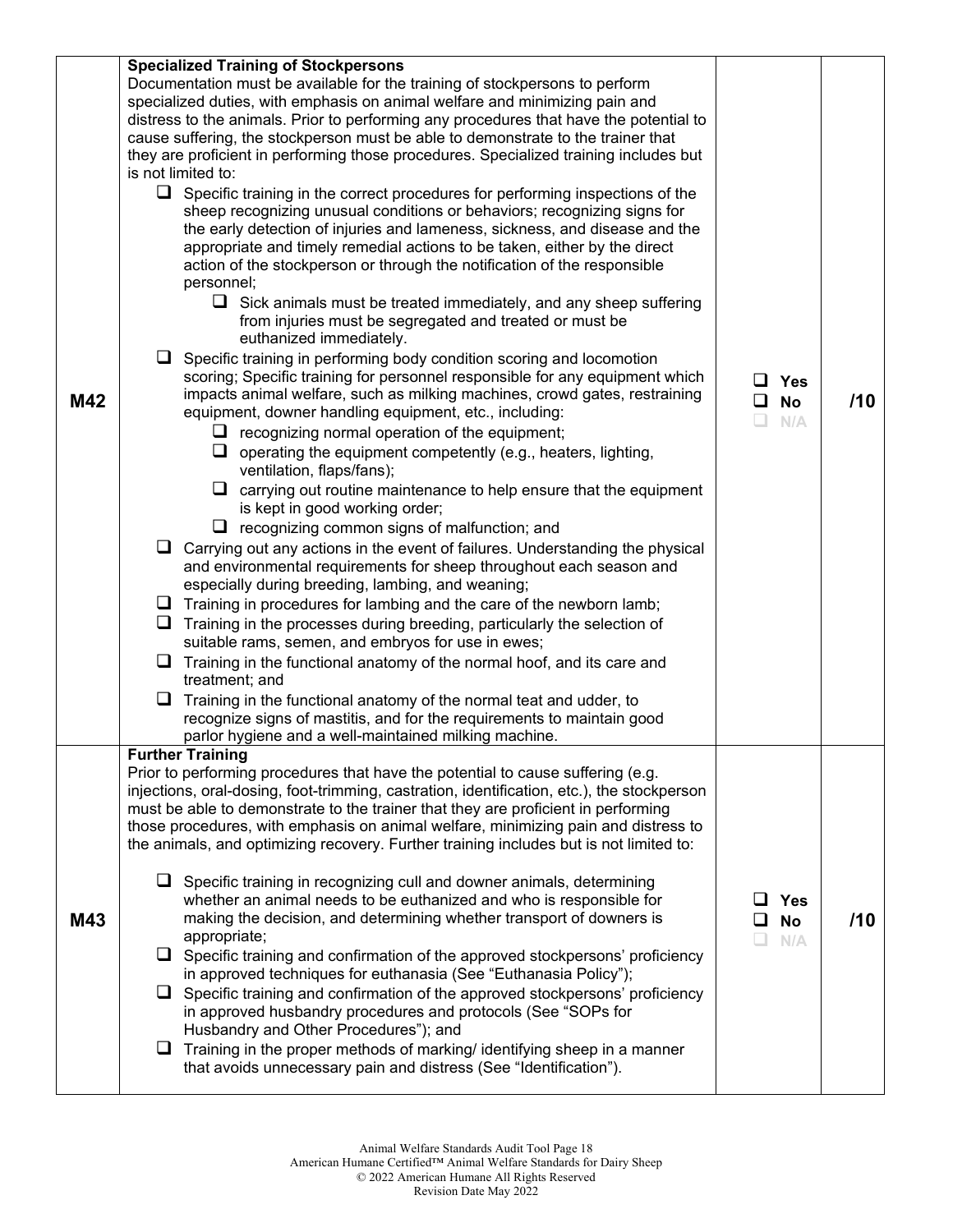| M42 | <b>Specialized Training of Stockpersons</b><br>Documentation must be available for the training of stockpersons to perform<br>specialized duties, with emphasis on animal welfare and minimizing pain and<br>distress to the animals. Prior to performing any procedures that have the potential to<br>cause suffering, the stockperson must be able to demonstrate to the trainer that<br>they are proficient in performing those procedures. Specialized training includes but<br>is not limited to:<br>$\Box$<br>Specific training in the correct procedures for performing inspections of the<br>sheep recognizing unusual conditions or behaviors; recognizing signs for<br>the early detection of injuries and lameness, sickness, and disease and the<br>appropriate and timely remedial actions to be taken, either by the direct<br>action of the stockperson or through the notification of the responsible<br>personnel;<br>$\Box$ Sick animals must be treated immediately, and any sheep suffering<br>from injuries must be segregated and treated or must be<br>euthanized immediately.<br>$\Box$ Specific training in performing body condition scoring and locomotion<br>scoring; Specific training for personnel responsible for any equipment which<br>impacts animal welfare, such as milking machines, crowd gates, restraining<br>equipment, downer handling equipment, etc., including:<br>$\Box$ recognizing normal operation of the equipment;<br>$\Box$ operating the equipment competently (e.g., heaters, lighting,<br>ventilation, flaps/fans);<br>$\Box$ carrying out routine maintenance to help ensure that the equipment<br>is kept in good working order;<br>recognizing common signs of malfunction; and<br>Carrying out any actions in the event of failures. Understanding the physical<br>u.<br>and environmental requirements for sheep throughout each season and<br>especially during breeding, lambing, and weaning;<br>$\Box$ Training in procedures for lambing and the care of the newborn lamb;<br>Training in the processes during breeding, particularly the selection of<br>u.<br>suitable rams, semen, and embryos for use in ewes;<br>$\Box$ Training in the functional anatomy of the normal hoof, and its care and<br>treatment; and<br>Q.<br>Training in the functional anatomy of the normal teat and udder, to<br>recognize signs of mastitis, and for the requirements to maintain good<br>parlor hygiene and a well-maintained milking machine. | $\Box$ Yes<br><b>No</b><br>⊔.<br>n.<br>N/A | /10 |
|-----|----------------------------------------------------------------------------------------------------------------------------------------------------------------------------------------------------------------------------------------------------------------------------------------------------------------------------------------------------------------------------------------------------------------------------------------------------------------------------------------------------------------------------------------------------------------------------------------------------------------------------------------------------------------------------------------------------------------------------------------------------------------------------------------------------------------------------------------------------------------------------------------------------------------------------------------------------------------------------------------------------------------------------------------------------------------------------------------------------------------------------------------------------------------------------------------------------------------------------------------------------------------------------------------------------------------------------------------------------------------------------------------------------------------------------------------------------------------------------------------------------------------------------------------------------------------------------------------------------------------------------------------------------------------------------------------------------------------------------------------------------------------------------------------------------------------------------------------------------------------------------------------------------------------------------------------------------------------------------------------------------------------------------------------------------------------------------------------------------------------------------------------------------------------------------------------------------------------------------------------------------------------------------------------------------------------------------------------------------------------------------------------------------------------------------------------------------------------------------------------------------------|--------------------------------------------|-----|
| M43 | <b>Further Training</b><br>Prior to performing procedures that have the potential to cause suffering (e.g.<br>injections, oral-dosing, foot-trimming, castration, identification, etc.), the stockperson<br>must be able to demonstrate to the trainer that they are proficient in performing<br>those procedures, with emphasis on animal welfare, minimizing pain and distress to<br>the animals, and optimizing recovery. Further training includes but is not limited to:<br>$\Box$ Specific training in recognizing cull and downer animals, determining<br>whether an animal needs to be euthanized and who is responsible for<br>making the decision, and determining whether transport of downers is<br>appropriate;<br>$\Box$ Specific training and confirmation of the approved stockpersons' proficiency<br>in approved techniques for euthanasia (See "Euthanasia Policy");<br>$\Box$ Specific training and confirmation of the approved stockpersons' proficiency<br>in approved husbandry procedures and protocols (See "SOPs for<br>Husbandry and Other Procedures"); and<br>$\Box$ Training in the proper methods of marking/ identifying sheep in a manner<br>that avoids unnecessary pain and distress (See "Identification").                                                                                                                                                                                                                                                                                                                                                                                                                                                                                                                                                                                                                                                                                                                                                                                                                                                                                                                                                                                                                                                                                                                                                                                                                                                         | <b>Yes</b><br><b>No</b><br>N/A             | /10 |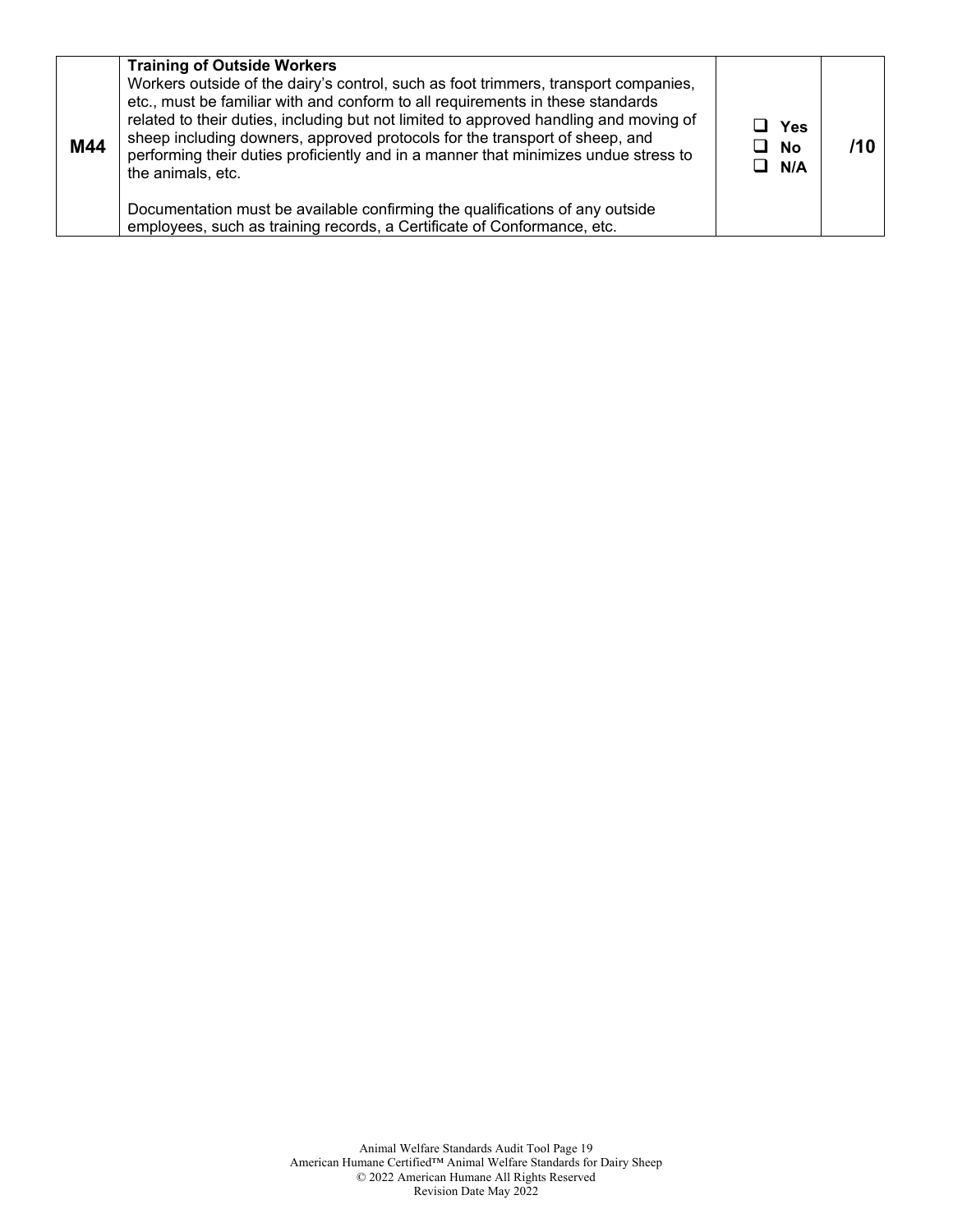| M44 | <b>Training of Outside Workers</b><br>Workers outside of the dairy's control, such as foot trimmers, transport companies,<br>etc., must be familiar with and conform to all requirements in these standards<br>related to their duties, including but not limited to approved handling and moving of<br>sheep including downers, approved protocols for the transport of sheep, and<br>performing their duties proficiently and in a manner that minimizes undue stress to<br>the animals, etc. | ⊔ Yes<br>$\Box$ No<br>$\Box$ N/A |  |
|-----|-------------------------------------------------------------------------------------------------------------------------------------------------------------------------------------------------------------------------------------------------------------------------------------------------------------------------------------------------------------------------------------------------------------------------------------------------------------------------------------------------|----------------------------------|--|
|     | Documentation must be available confirming the qualifications of any outside<br>employees, such as training records, a Certificate of Conformance, etc.                                                                                                                                                                                                                                                                                                                                         |                                  |  |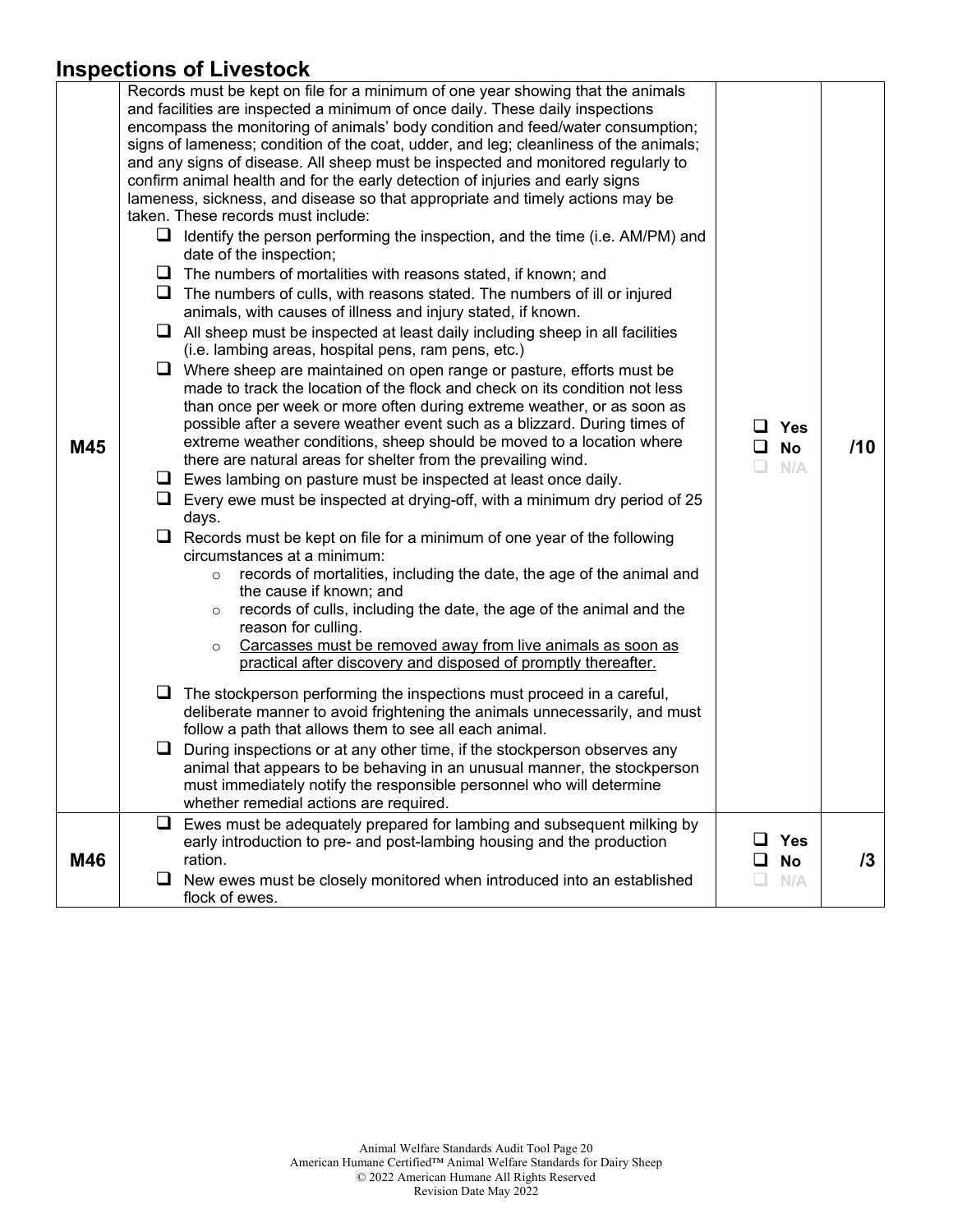#### **Inspections of Livestock**

|     |   | ווואפטנוטווא טו בועפאנטט                                                                                                                                                                                                                                                                                                                                                                                                                                                                                                                                                                                                                                                                                                                                                                                                                                                                                                                                                                                                                                                                                                                                                                                                                                                                                                                                                                                                                                                                                                                                                                                                                                                                                                                                                                                                                                                                                                                                                                                                                                                                                                                                                                                                                                                                                                                                                                                                                                                                                                                                                                                                                                                                                                                                  |   |                                |     |
|-----|---|-----------------------------------------------------------------------------------------------------------------------------------------------------------------------------------------------------------------------------------------------------------------------------------------------------------------------------------------------------------------------------------------------------------------------------------------------------------------------------------------------------------------------------------------------------------------------------------------------------------------------------------------------------------------------------------------------------------------------------------------------------------------------------------------------------------------------------------------------------------------------------------------------------------------------------------------------------------------------------------------------------------------------------------------------------------------------------------------------------------------------------------------------------------------------------------------------------------------------------------------------------------------------------------------------------------------------------------------------------------------------------------------------------------------------------------------------------------------------------------------------------------------------------------------------------------------------------------------------------------------------------------------------------------------------------------------------------------------------------------------------------------------------------------------------------------------------------------------------------------------------------------------------------------------------------------------------------------------------------------------------------------------------------------------------------------------------------------------------------------------------------------------------------------------------------------------------------------------------------------------------------------------------------------------------------------------------------------------------------------------------------------------------------------------------------------------------------------------------------------------------------------------------------------------------------------------------------------------------------------------------------------------------------------------------------------------------------------------------------------------------------------|---|--------------------------------|-----|
| M45 | u | Records must be kept on file for a minimum of one year showing that the animals<br>and facilities are inspected a minimum of once daily. These daily inspections<br>encompass the monitoring of animals' body condition and feed/water consumption;<br>signs of lameness; condition of the coat, udder, and leg; cleanliness of the animals;<br>and any signs of disease. All sheep must be inspected and monitored regularly to<br>confirm animal health and for the early detection of injuries and early signs<br>lameness, sickness, and disease so that appropriate and timely actions may be<br>taken. These records must include:<br>$\Box$ Identify the person performing the inspection, and the time (i.e. AM/PM) and<br>date of the inspection;<br>$\Box$ The numbers of mortalities with reasons stated, if known; and<br>$\Box$ The numbers of culls, with reasons stated. The numbers of ill or injured<br>animals, with causes of illness and injury stated, if known.<br>$\Box$ All sheep must be inspected at least daily including sheep in all facilities<br>(i.e. lambing areas, hospital pens, ram pens, etc.)<br>$\Box$ Where sheep are maintained on open range or pasture, efforts must be<br>made to track the location of the flock and check on its condition not less<br>than once per week or more often during extreme weather, or as soon as<br>possible after a severe weather event such as a blizzard. During times of<br>extreme weather conditions, sheep should be moved to a location where<br>there are natural areas for shelter from the prevailing wind.<br>$\Box$ Ewes lambing on pasture must be inspected at least once daily.<br>$\Box$ Every ewe must be inspected at drying-off, with a minimum dry period of 25<br>days.<br>$\Box$ Records must be kept on file for a minimum of one year of the following<br>circumstances at a minimum:<br>records of mortalities, including the date, the age of the animal and<br>$\circ$<br>the cause if known; and<br>records of culls, including the date, the age of the animal and the<br>$\circ$<br>reason for culling.<br>Carcasses must be removed away from live animals as soon as<br>$\circ$<br>practical after discovery and disposed of promptly thereafter.<br>The stockperson performing the inspections must proceed in a careful,<br>deliberate manner to avoid frightening the animals unnecessarily, and must<br>follow a path that allows them to see all each animal.<br>During inspections or at any other time, if the stockperson observes any<br>animal that appears to be behaving in an unusual manner, the stockperson<br>must immediately notify the responsible personnel who will determine<br>whether remedial actions are required. | ப | $\Box$ Yes<br><b>No</b><br>N/A | /10 |
|     |   | $\Box$ Ewes must be adequately prepared for lambing and subsequent milking by                                                                                                                                                                                                                                                                                                                                                                                                                                                                                                                                                                                                                                                                                                                                                                                                                                                                                                                                                                                                                                                                                                                                                                                                                                                                                                                                                                                                                                                                                                                                                                                                                                                                                                                                                                                                                                                                                                                                                                                                                                                                                                                                                                                                                                                                                                                                                                                                                                                                                                                                                                                                                                                                             |   |                                |     |
| M46 | ப | early introduction to pre- and post-lambing housing and the production<br>ration.<br>New ewes must be closely monitored when introduced into an established<br>flock of ewes.                                                                                                                                                                                                                                                                                                                                                                                                                                                                                                                                                                                                                                                                                                                                                                                                                                                                                                                                                                                                                                                                                                                                                                                                                                                                                                                                                                                                                                                                                                                                                                                                                                                                                                                                                                                                                                                                                                                                                                                                                                                                                                                                                                                                                                                                                                                                                                                                                                                                                                                                                                             |   | <b>Yes</b><br><b>No</b><br>N/A | 13  |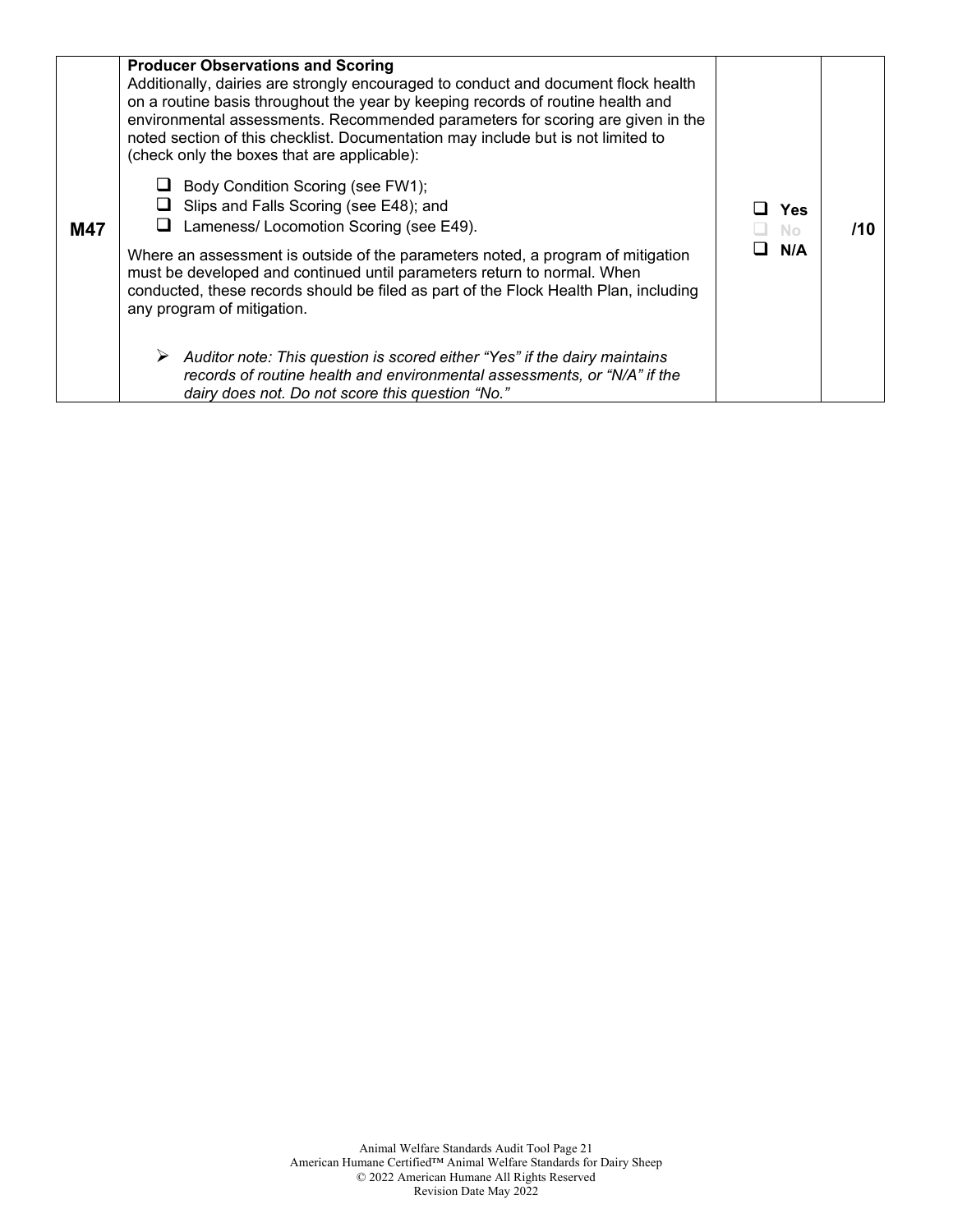| M47 | <b>Producer Observations and Scoring</b><br>Additionally, dairies are strongly encouraged to conduct and document flock health<br>on a routine basis throughout the year by keeping records of routine health and<br>environmental assessments. Recommended parameters for scoring are given in the<br>noted section of this checklist. Documentation may include but is not limited to<br>(check only the boxes that are applicable):<br>Body Condition Scoring (see FW1);<br>Slips and Falls Scoring (see E48); and<br>Lameness/ Locomotion Scoring (see E49).<br>Where an assessment is outside of the parameters noted, a program of mitigation<br>must be developed and continued until parameters return to normal. When<br>conducted, these records should be filed as part of the Flock Health Plan, including<br>any program of mitigation.<br>Auditor note: This question is scored either "Yes" if the dairy maintains<br>records of routine health and environmental assessments, or "N/A" if the<br>dairy does not. Do not score this question "No." | Yes<br>No<br>N/A | 71 O |
|-----|-------------------------------------------------------------------------------------------------------------------------------------------------------------------------------------------------------------------------------------------------------------------------------------------------------------------------------------------------------------------------------------------------------------------------------------------------------------------------------------------------------------------------------------------------------------------------------------------------------------------------------------------------------------------------------------------------------------------------------------------------------------------------------------------------------------------------------------------------------------------------------------------------------------------------------------------------------------------------------------------------------------------------------------------------------------------|------------------|------|
|-----|-------------------------------------------------------------------------------------------------------------------------------------------------------------------------------------------------------------------------------------------------------------------------------------------------------------------------------------------------------------------------------------------------------------------------------------------------------------------------------------------------------------------------------------------------------------------------------------------------------------------------------------------------------------------------------------------------------------------------------------------------------------------------------------------------------------------------------------------------------------------------------------------------------------------------------------------------------------------------------------------------------------------------------------------------------------------|------------------|------|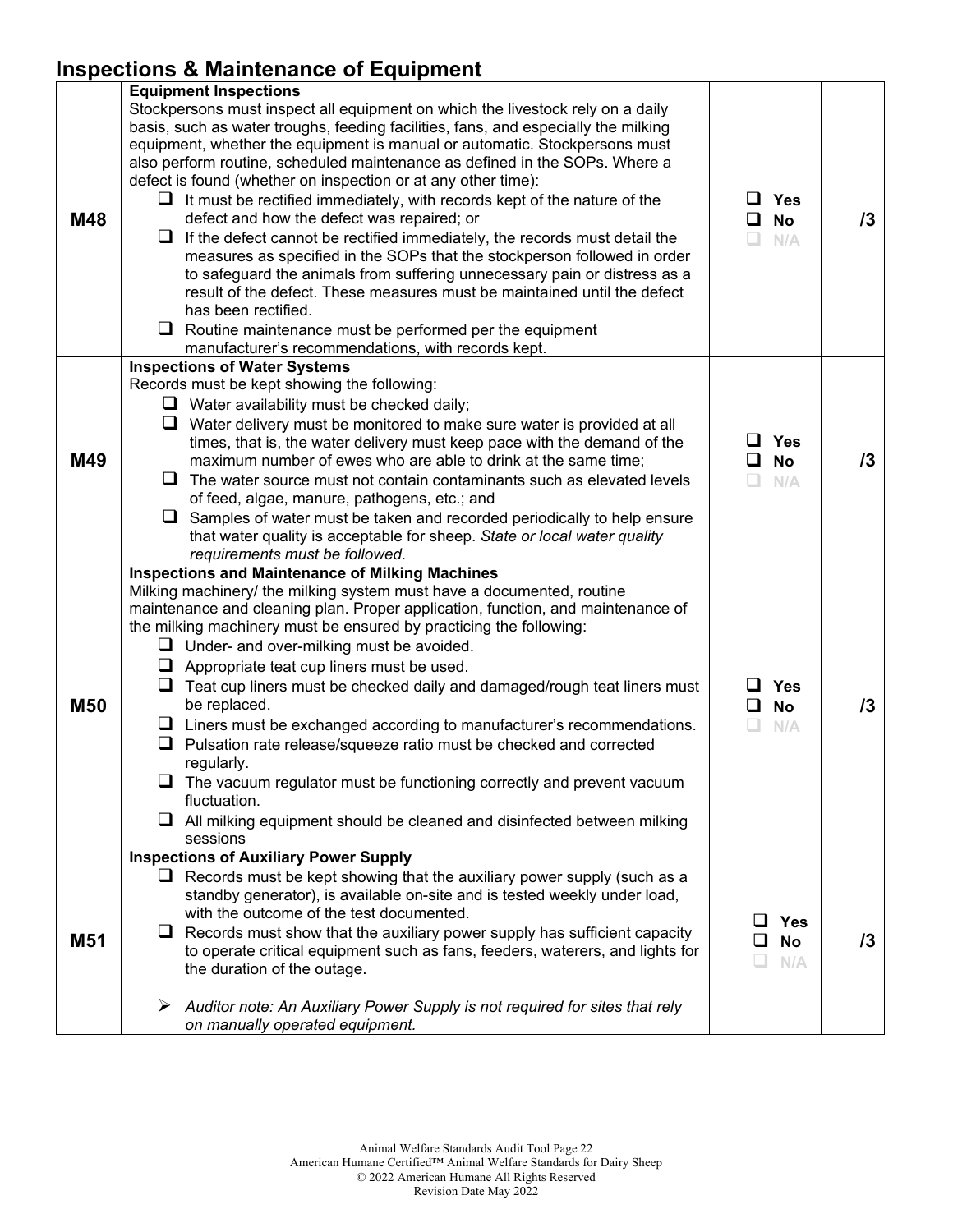## **Inspections & Maintenance of Equipment**

| M48        | <b>Equipment Inspections</b><br>Stockpersons must inspect all equipment on which the livestock rely on a daily<br>basis, such as water troughs, feeding facilities, fans, and especially the milking<br>equipment, whether the equipment is manual or automatic. Stockpersons must<br>also perform routine, scheduled maintenance as defined in the SOPs. Where a<br>defect is found (whether on inspection or at any other time):<br>It must be rectified immediately, with records kept of the nature of the<br>⊔<br>defect and how the defect was repaired; or<br>If the defect cannot be rectified immediately, the records must detail the<br>⊔<br>measures as specified in the SOPs that the stockperson followed in order<br>to safeguard the animals from suffering unnecessary pain or distress as a<br>result of the defect. These measures must be maintained until the defect<br>has been rectified.<br>Routine maintenance must be performed per the equipment<br>⊔<br>manufacturer's recommendations, with records kept. | Yes<br>ப<br><b>No</b><br>ப<br>$\Box$<br>N/A | 13 |
|------------|----------------------------------------------------------------------------------------------------------------------------------------------------------------------------------------------------------------------------------------------------------------------------------------------------------------------------------------------------------------------------------------------------------------------------------------------------------------------------------------------------------------------------------------------------------------------------------------------------------------------------------------------------------------------------------------------------------------------------------------------------------------------------------------------------------------------------------------------------------------------------------------------------------------------------------------------------------------------------------------------------------------------------------------|---------------------------------------------|----|
| M49        | <b>Inspections of Water Systems</b><br>Records must be kept showing the following:<br>$\Box$ Water availability must be checked daily;<br>Water delivery must be monitored to make sure water is provided at all<br>⊔<br>times, that is, the water delivery must keep pace with the demand of the<br>maximum number of ewes who are able to drink at the same time;<br>ப<br>The water source must not contain contaminants such as elevated levels<br>of feed, algae, manure, pathogens, etc.; and<br>$\Box$ Samples of water must be taken and recorded periodically to help ensure<br>that water quality is acceptable for sheep. State or local water quality<br>requirements must be followed.                                                                                                                                                                                                                                                                                                                                     | Yes<br>ப<br><b>No</b><br>ப<br>n<br>N/A      | 13 |
| <b>M50</b> | <b>Inspections and Maintenance of Milking Machines</b><br>Milking machinery/ the milking system must have a documented, routine<br>maintenance and cleaning plan. Proper application, function, and maintenance of<br>the milking machinery must be ensured by practicing the following:<br>$\Box$ Under- and over-milking must be avoided.<br>Appropriate teat cup liners must be used.<br>u.<br>Teat cup liners must be checked daily and damaged/rough teat liners must<br>⊔<br>be replaced.<br>Liners must be exchanged according to manufacturer's recommendations.<br>⊔<br>Pulsation rate release/squeeze ratio must be checked and corrected<br>regularly.<br>The vacuum regulator must be functioning correctly and prevent vacuum<br>fluctuation.<br>All milking equipment should be cleaned and disinfected between milking<br>⊔<br>sessions                                                                                                                                                                                 | Yes<br>l I<br><b>No</b><br>ப<br>N/A<br>u.   | 13 |
| M51        | <b>Inspections of Auxiliary Power Supply</b><br>$\Box$ Records must be kept showing that the auxiliary power supply (such as a<br>standby generator), is available on-site and is tested weekly under load,<br>with the outcome of the test documented.<br>Records must show that the auxiliary power supply has sufficient capacity<br>⊔<br>to operate critical equipment such as fans, feeders, waterers, and lights for<br>the duration of the outage.<br>➤<br>Auditor note: An Auxiliary Power Supply is not required for sites that rely<br>on manually operated equipment.                                                                                                                                                                                                                                                                                                                                                                                                                                                       | Yes<br>l 1<br><b>No</b><br>N/A              | 13 |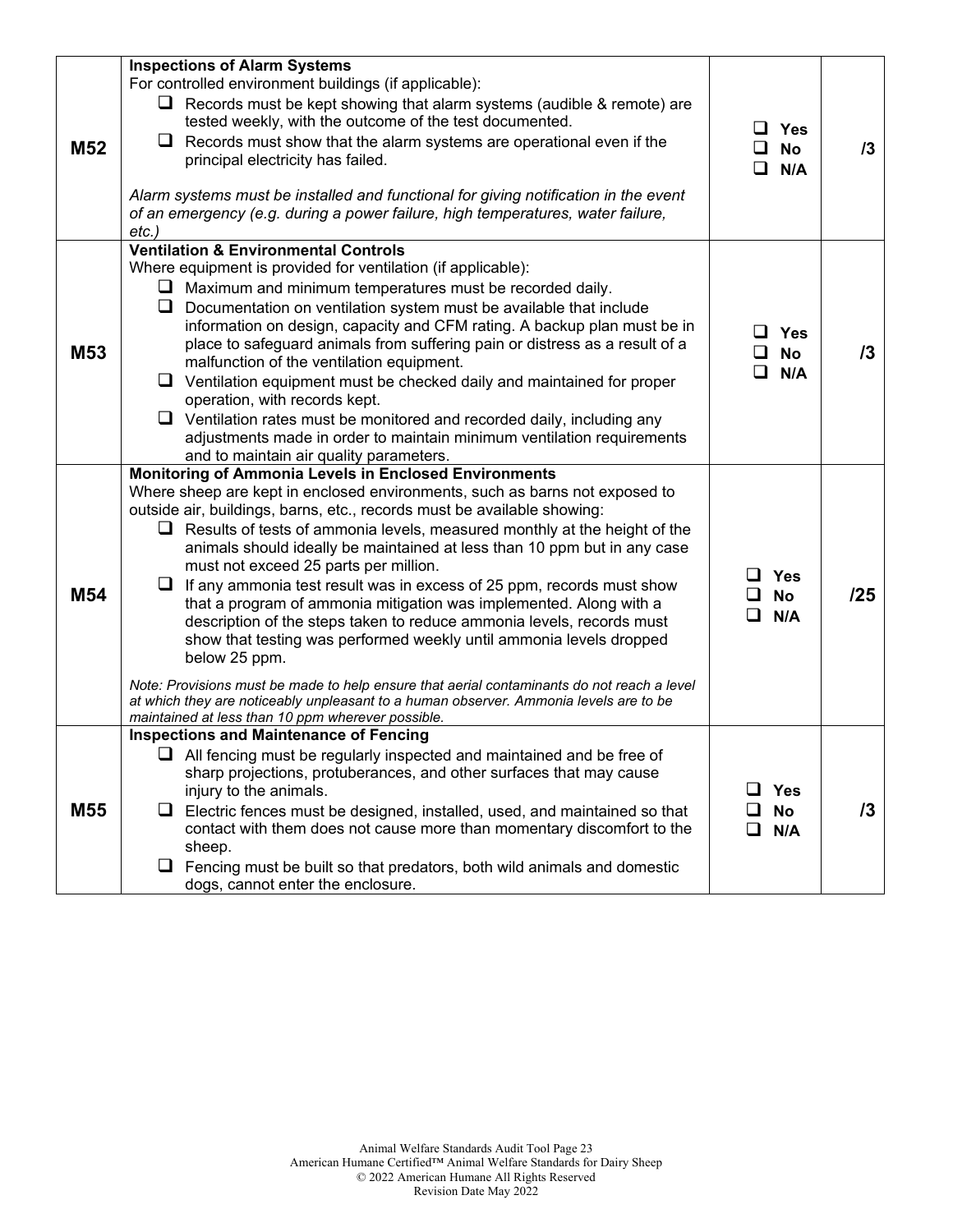|                 | <b>Inspections of Alarm Systems</b>                                                                                                                                                                                                                                                                                                                                                                                                                                                                                                                                                                                                                                                                                                                                                                                                                                                                                                                                                       |                                               |            |
|-----------------|-------------------------------------------------------------------------------------------------------------------------------------------------------------------------------------------------------------------------------------------------------------------------------------------------------------------------------------------------------------------------------------------------------------------------------------------------------------------------------------------------------------------------------------------------------------------------------------------------------------------------------------------------------------------------------------------------------------------------------------------------------------------------------------------------------------------------------------------------------------------------------------------------------------------------------------------------------------------------------------------|-----------------------------------------------|------------|
| M <sub>52</sub> | For controlled environment buildings (if applicable):<br>$\Box$ Records must be kept showing that alarm systems (audible & remote) are<br>tested weekly, with the outcome of the test documented.<br>Records must show that the alarm systems are operational even if the<br>u<br>principal electricity has failed.<br>Alarm systems must be installed and functional for giving notification in the event<br>of an emergency (e.g. during a power failure, high temperatures, water failure,<br>etc.)                                                                                                                                                                                                                                                                                                                                                                                                                                                                                    | $\Box$ Yes<br>$\square$ No<br>$\Box$<br>N/A   | 13         |
| M <sub>53</sub> | <b>Ventilation &amp; Environmental Controls</b><br>Where equipment is provided for ventilation (if applicable):<br>Maximum and minimum temperatures must be recorded daily.<br>u<br>Q.<br>Documentation on ventilation system must be available that include<br>information on design, capacity and CFM rating. A backup plan must be in<br>place to safeguard animals from suffering pain or distress as a result of a<br>malfunction of the ventilation equipment.<br>⊔<br>Ventilation equipment must be checked daily and maintained for proper<br>operation, with records kept.<br>$\Box$ Ventilation rates must be monitored and recorded daily, including any<br>adjustments made in order to maintain minimum ventilation requirements<br>and to maintain air quality parameters.                                                                                                                                                                                                  | $\square$ Yes<br>$\Box$ No<br>◻<br>N/A        | /3         |
| M54             | Monitoring of Ammonia Levels in Enclosed Environments<br>Where sheep are kept in enclosed environments, such as barns not exposed to<br>outside air, buildings, barns, etc., records must be available showing:<br>$\Box$ Results of tests of ammonia levels, measured monthly at the height of the<br>animals should ideally be maintained at less than 10 ppm but in any case<br>must not exceed 25 parts per million.<br>⊔<br>If any ammonia test result was in excess of 25 ppm, records must show<br>that a program of ammonia mitigation was implemented. Along with a<br>description of the steps taken to reduce ammonia levels, records must<br>show that testing was performed weekly until ammonia levels dropped<br>below 25 ppm.<br>Note: Provisions must be made to help ensure that aerial contaminants do not reach a level<br>at which they are noticeably unpleasant to a human observer. Ammonia levels are to be<br>maintained at less than 10 ppm wherever possible. | <b>Yes</b><br><b>No</b><br>□<br>N/A           | /25        |
| M <sub>55</sub> | <b>Inspections and Maintenance of Fencing</b><br>$\Box$ All fencing must be regularly inspected and maintained and be free of<br>sharp projections, protuberances, and other surfaces that may cause<br>injury to the animals.<br>Electric fences must be designed, installed, used, and maintained so that<br>u.<br>contact with them does not cause more than momentary discomfort to the<br>sheep.<br>Fencing must be built so that predators, both wild animals and domestic<br>⊔<br>dogs, cannot enter the enclosure.                                                                                                                                                                                                                                                                                                                                                                                                                                                                | <b>Yes</b><br><b>No</b><br>ப<br>$\Box$<br>N/A | $\sqrt{3}$ |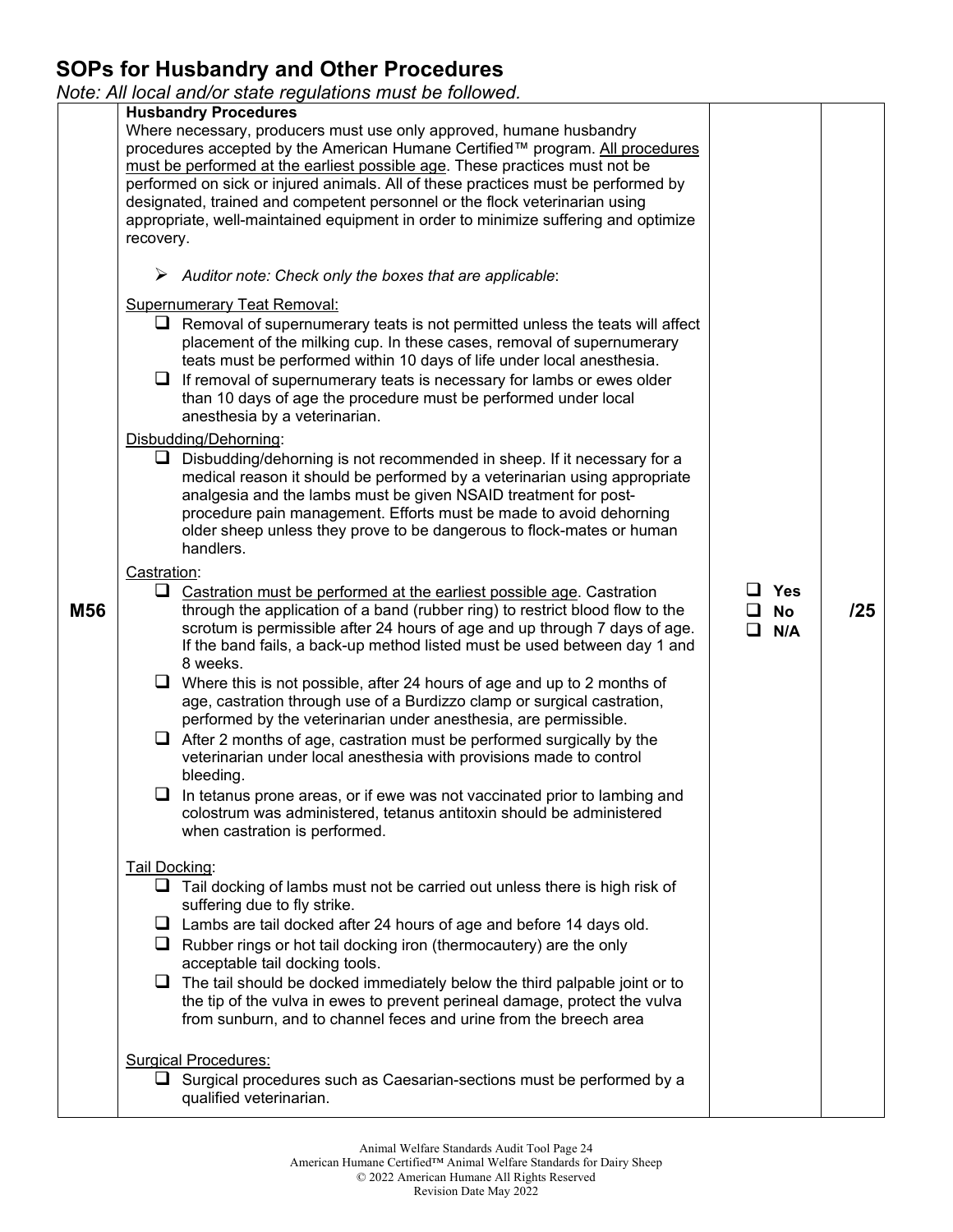## **SOPs for Husbandry and Other Procedures**

*Note: All local and/or state regulations must be followed.* 

|     | ivote. All local anu/or state regulations must be followed.                                                                                                 |            |     |
|-----|-------------------------------------------------------------------------------------------------------------------------------------------------------------|------------|-----|
|     | <b>Husbandry Procedures</b>                                                                                                                                 |            |     |
|     | Where necessary, producers must use only approved, humane husbandry                                                                                         |            |     |
|     | procedures accepted by the American Humane Certified™ program. All procedures                                                                               |            |     |
|     | must be performed at the earliest possible age. These practices must not be                                                                                 |            |     |
|     | performed on sick or injured animals. All of these practices must be performed by                                                                           |            |     |
|     | designated, trained and competent personnel or the flock veterinarian using                                                                                 |            |     |
|     | appropriate, well-maintained equipment in order to minimize suffering and optimize                                                                          |            |     |
|     | recovery.                                                                                                                                                   |            |     |
|     |                                                                                                                                                             |            |     |
|     | $\triangleright$ Auditor note: Check only the boxes that are applicable:                                                                                    |            |     |
|     | <b>Supernumerary Teat Removal:</b>                                                                                                                          |            |     |
|     | $\Box$ Removal of supernumerary teats is not permitted unless the teats will affect                                                                         |            |     |
|     | placement of the milking cup. In these cases, removal of supernumerary                                                                                      |            |     |
|     | teats must be performed within 10 days of life under local anesthesia.                                                                                      |            |     |
|     | $\Box$ If removal of supernumerary teats is necessary for lambs or ewes older                                                                               |            |     |
|     | than 10 days of age the procedure must be performed under local                                                                                             |            |     |
|     | anesthesia by a veterinarian.                                                                                                                               |            |     |
|     | Disbudding/Dehorning:                                                                                                                                       |            |     |
|     | $\Box$ Disbudding/dehorning is not recommended in sheep. If it necessary for a                                                                              |            |     |
|     | medical reason it should be performed by a veterinarian using appropriate                                                                                   |            |     |
|     | analgesia and the lambs must be given NSAID treatment for post-                                                                                             |            |     |
|     | procedure pain management. Efforts must be made to avoid dehorning                                                                                          |            |     |
|     | older sheep unless they prove to be dangerous to flock-mates or human                                                                                       |            |     |
|     | handlers.                                                                                                                                                   |            |     |
|     | Castration:                                                                                                                                                 |            |     |
|     | ⊔                                                                                                                                                           | Yes        |     |
|     | Castration must be performed at the earliest possible age. Castration                                                                                       | l 1        | /25 |
| M56 | through the application of a band (rubber ring) to restrict blood flow to the<br>scrotum is permissible after 24 hours of age and up through 7 days of age. | <b>No</b>  |     |
|     | If the band fails, a back-up method listed must be used between day 1 and                                                                                   | $\Box$ N/A |     |
|     | 8 weeks.                                                                                                                                                    |            |     |
|     | $\Box$ Where this is not possible, after 24 hours of age and up to 2 months of                                                                              |            |     |
|     | age, castration through use of a Burdizzo clamp or surgical castration,                                                                                     |            |     |
|     | performed by the veterinarian under anesthesia, are permissible.                                                                                            |            |     |
|     | After 2 months of age, castration must be performed surgically by the<br>⊔                                                                                  |            |     |
|     | veterinarian under local anesthesia with provisions made to control                                                                                         |            |     |
|     | bleeding.                                                                                                                                                   |            |     |
|     | $\Box$ In tetanus prone areas, or if ewe was not vaccinated prior to lambing and                                                                            |            |     |
|     | colostrum was administered, tetanus antitoxin should be administered                                                                                        |            |     |
|     | when castration is performed.                                                                                                                               |            |     |
|     |                                                                                                                                                             |            |     |
|     | Tail Docking:                                                                                                                                               |            |     |
|     | ப<br>Tail docking of lambs must not be carried out unless there is high risk of                                                                             |            |     |
|     | suffering due to fly strike.                                                                                                                                |            |     |
|     | $\Box$ Lambs are tail docked after 24 hours of age and before 14 days old.                                                                                  |            |     |
|     | $\Box$ Rubber rings or hot tail docking iron (thermocautery) are the only                                                                                   |            |     |
|     | acceptable tail docking tools.                                                                                                                              |            |     |
|     | The tail should be docked immediately below the third palpable joint or to<br>⊔                                                                             |            |     |
|     | the tip of the vulva in ewes to prevent perineal damage, protect the vulva                                                                                  |            |     |
|     | from sunburn, and to channel feces and urine from the breech area                                                                                           |            |     |
|     |                                                                                                                                                             |            |     |
|     |                                                                                                                                                             |            |     |
|     | <b>Surgical Procedures:</b>                                                                                                                                 |            |     |
|     | $\Box$ Surgical procedures such as Caesarian-sections must be performed by a                                                                                |            |     |
|     | qualified veterinarian.                                                                                                                                     |            |     |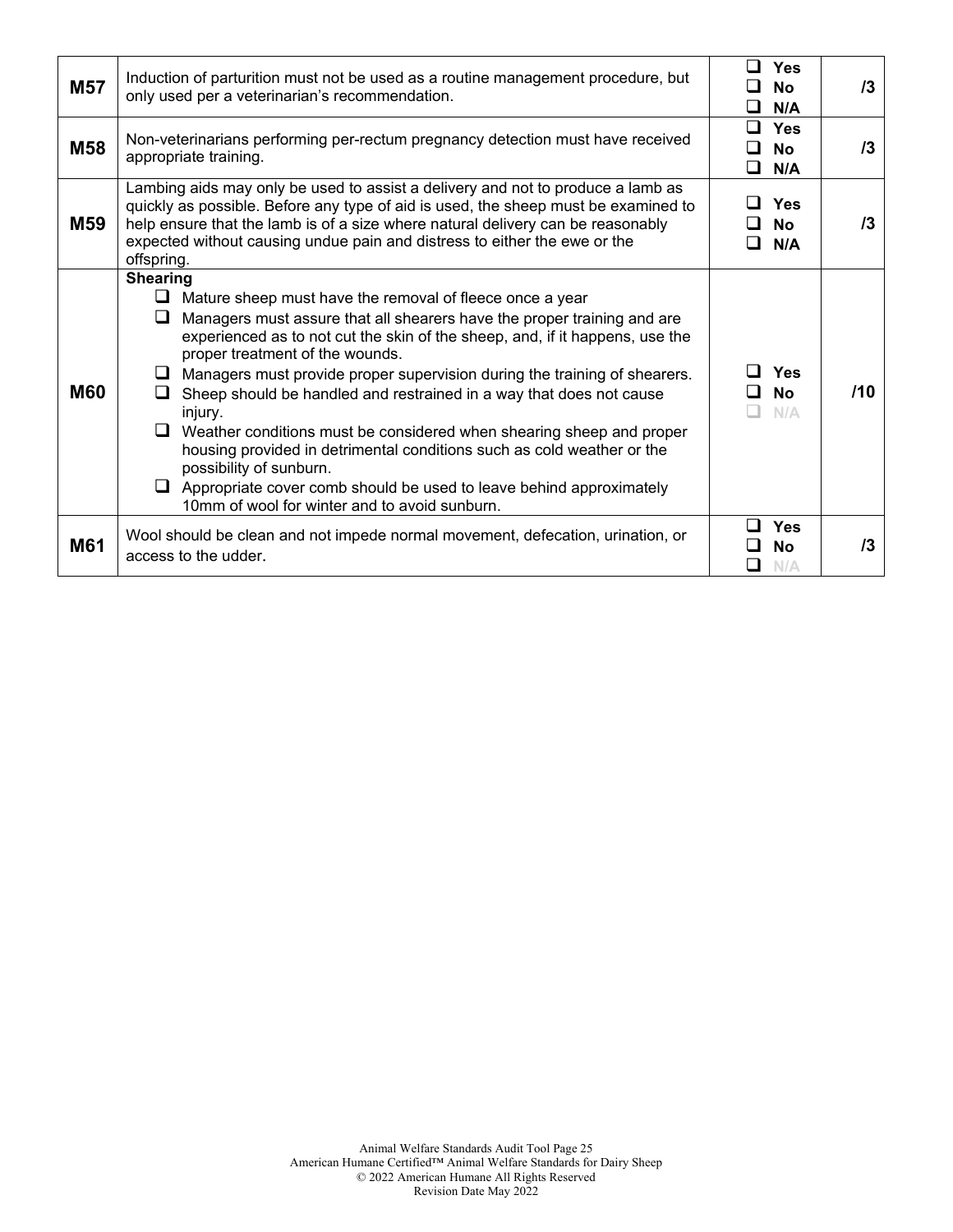| <b>M57</b>      | Induction of parturition must not be used as a routine management procedure, but<br>only used per a veterinarian's recommendation.                                                                                                                                                                                                                                                                                                                                                                                                                                                                                                                                                                                                                                             | ⊓<br><b>Yes</b><br><b>No</b><br>l 1<br>$\Box$<br>N/A | 13  |
|-----------------|--------------------------------------------------------------------------------------------------------------------------------------------------------------------------------------------------------------------------------------------------------------------------------------------------------------------------------------------------------------------------------------------------------------------------------------------------------------------------------------------------------------------------------------------------------------------------------------------------------------------------------------------------------------------------------------------------------------------------------------------------------------------------------|------------------------------------------------------|-----|
| M58             | Non-veterinarians performing per-rectum pregnancy detection must have received<br>appropriate training.                                                                                                                                                                                                                                                                                                                                                                                                                                                                                                                                                                                                                                                                        | $\Box$<br><b>Yes</b><br>l 1<br>No<br>□<br>N/A        | 13  |
| M <sub>59</sub> | Lambing aids may only be used to assist a delivery and not to produce a lamb as<br>quickly as possible. Before any type of aid is used, the sheep must be examined to<br>help ensure that the lamb is of a size where natural delivery can be reasonably<br>expected without causing undue pain and distress to either the ewe or the<br>offspring.                                                                                                                                                                                                                                                                                                                                                                                                                            | <b>Yes</b><br><b>No</b><br>N/A                       | 13  |
| <b>M60</b>      | <b>Shearing</b><br>$\Box$ Mature sheep must have the removal of fleece once a year<br>Managers must assure that all shearers have the proper training and are<br>⊔<br>experienced as to not cut the skin of the sheep, and, if it happens, use the<br>proper treatment of the wounds.<br>$\Box$ Managers must provide proper supervision during the training of shearers.<br>Sheep should be handled and restrained in a way that does not cause<br>injury.<br>$\Box$ Weather conditions must be considered when shearing sheep and proper<br>housing provided in detrimental conditions such as cold weather or the<br>possibility of sunburn.<br>$\Box$ Appropriate cover comb should be used to leave behind approximately<br>10mm of wool for winter and to avoid sunburn. | Yes<br><b>No</b><br>N/A                              | 110 |
| M61             | Wool should be clean and not impede normal movement, defecation, urination, or<br>access to the udder.                                                                                                                                                                                                                                                                                                                                                                                                                                                                                                                                                                                                                                                                         | <b>Yes</b><br>No<br>N/A                              | 13  |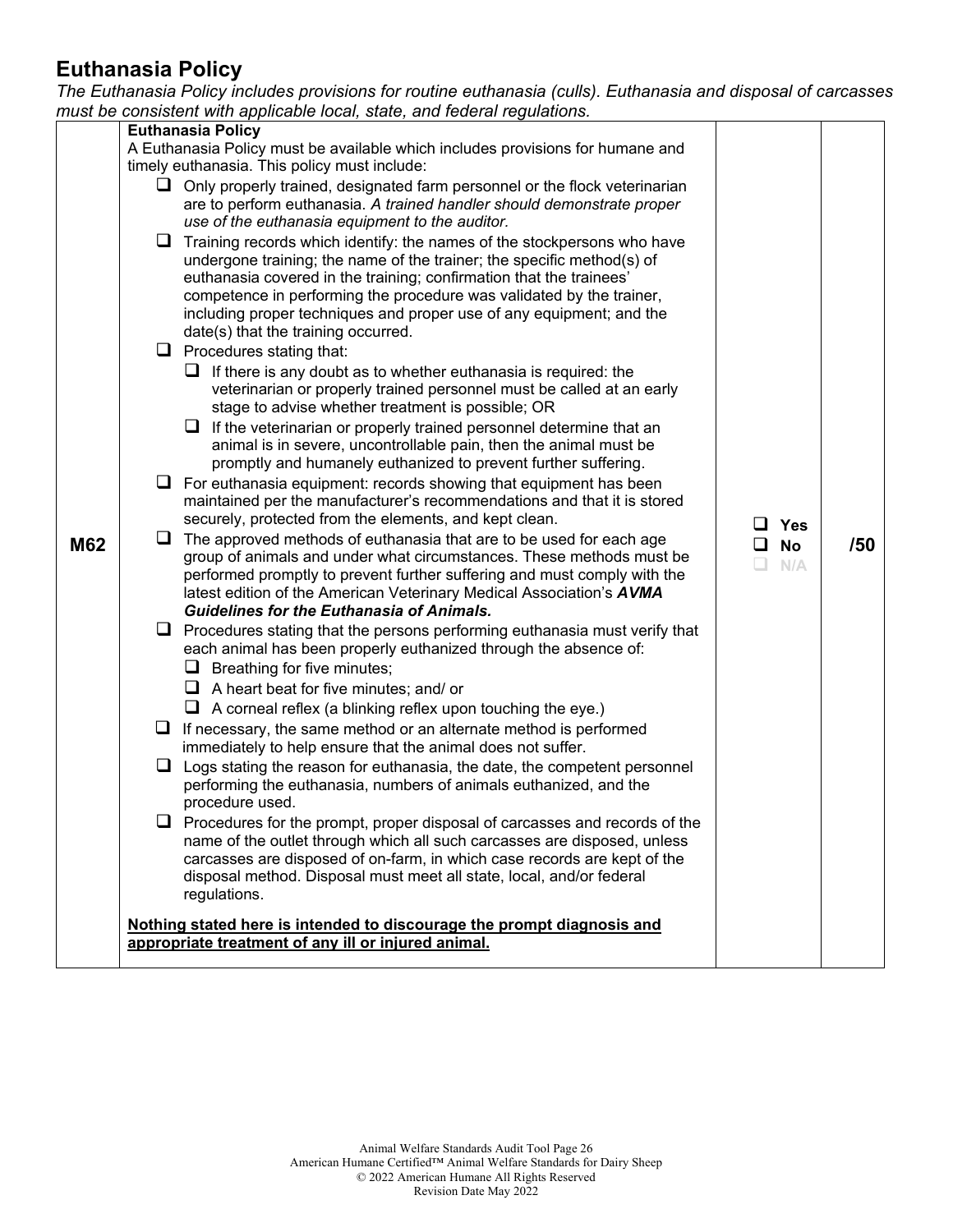### **Euthanasia Policy**

*The Euthanasia Policy includes provisions for routine euthanasia (culls). Euthanasia and disposal of carcasses* 

|     |                                                                                                                                            | must be consistent with applicable local, state, and federal regulations.                                                                     |                 |     |
|-----|--------------------------------------------------------------------------------------------------------------------------------------------|-----------------------------------------------------------------------------------------------------------------------------------------------|-----------------|-----|
|     |                                                                                                                                            | <b>Euthanasia Policy</b>                                                                                                                      |                 |     |
|     |                                                                                                                                            | A Euthanasia Policy must be available which includes provisions for humane and                                                                |                 |     |
|     |                                                                                                                                            | timely euthanasia. This policy must include:                                                                                                  |                 |     |
|     |                                                                                                                                            | $\Box$ Only properly trained, designated farm personnel or the flock veterinarian                                                             |                 |     |
|     |                                                                                                                                            | are to perform euthanasia. A trained handler should demonstrate proper                                                                        |                 |     |
|     |                                                                                                                                            | use of the euthanasia equipment to the auditor.                                                                                               |                 |     |
|     |                                                                                                                                            | $\Box$ Training records which identify: the names of the stockpersons who have                                                                |                 |     |
|     |                                                                                                                                            | undergone training; the name of the trainer; the specific method(s) of<br>euthanasia covered in the training; confirmation that the trainees' |                 |     |
|     |                                                                                                                                            | competence in performing the procedure was validated by the trainer,                                                                          |                 |     |
|     |                                                                                                                                            | including proper techniques and proper use of any equipment; and the                                                                          |                 |     |
|     |                                                                                                                                            | date(s) that the training occurred.                                                                                                           |                 |     |
|     |                                                                                                                                            | $\Box$ Procedures stating that:                                                                                                               |                 |     |
|     |                                                                                                                                            | $\Box$ If there is any doubt as to whether euthanasia is required: the                                                                        |                 |     |
|     |                                                                                                                                            | veterinarian or properly trained personnel must be called at an early                                                                         |                 |     |
|     |                                                                                                                                            | stage to advise whether treatment is possible; OR                                                                                             |                 |     |
|     |                                                                                                                                            | $\Box$ If the veterinarian or properly trained personnel determine that an                                                                    |                 |     |
|     |                                                                                                                                            | animal is in severe, uncontrollable pain, then the animal must be                                                                             |                 |     |
|     | promptly and humanely euthanized to prevent further suffering.<br>$\Box$ For euthanasia equipment: records showing that equipment has been |                                                                                                                                               |                 |     |
|     |                                                                                                                                            |                                                                                                                                               |                 |     |
|     |                                                                                                                                            | maintained per the manufacturer's recommendations and that it is stored                                                                       |                 |     |
|     |                                                                                                                                            | securely, protected from the elements, and kept clean.                                                                                        | $\Box$ Yes      |     |
| M62 | $\Box$                                                                                                                                     | The approved methods of euthanasia that are to be used for each age                                                                           | <b>No</b><br>⊔. | /50 |
|     |                                                                                                                                            | group of animals and under what circumstances. These methods must be                                                                          | N/A<br>L.       |     |
|     | performed promptly to prevent further suffering and must comply with the                                                                   |                                                                                                                                               |                 |     |
|     |                                                                                                                                            | latest edition of the American Veterinary Medical Association's AVMA<br><b>Guidelines for the Euthanasia of Animals.</b>                      |                 |     |
|     |                                                                                                                                            | $\Box$ Procedures stating that the persons performing euthanasia must verify that                                                             |                 |     |
|     |                                                                                                                                            | each animal has been properly euthanized through the absence of:                                                                              |                 |     |
|     |                                                                                                                                            | $\Box$ Breathing for five minutes;                                                                                                            |                 |     |
|     |                                                                                                                                            | $\Box$ A heart beat for five minutes; and/ or                                                                                                 |                 |     |
|     |                                                                                                                                            | $\Box$ A corneal reflex (a blinking reflex upon touching the eye.)                                                                            |                 |     |
|     | u.                                                                                                                                         | If necessary, the same method or an alternate method is performed                                                                             |                 |     |
|     |                                                                                                                                            | immediately to help ensure that the animal does not suffer.                                                                                   |                 |     |
|     |                                                                                                                                            | $\Box$ Logs stating the reason for euthanasia, the date, the competent personnel                                                              |                 |     |
|     |                                                                                                                                            | performing the euthanasia, numbers of animals euthanized, and the                                                                             |                 |     |
|     |                                                                                                                                            | procedure used.                                                                                                                               |                 |     |
|     |                                                                                                                                            | $\Box$ Procedures for the prompt, proper disposal of carcasses and records of the                                                             |                 |     |
|     |                                                                                                                                            | name of the outlet through which all such carcasses are disposed, unless                                                                      |                 |     |
|     |                                                                                                                                            | carcasses are disposed of on-farm, in which case records are kept of the                                                                      |                 |     |
|     |                                                                                                                                            | disposal method. Disposal must meet all state, local, and/or federal                                                                          |                 |     |
|     |                                                                                                                                            | regulations.                                                                                                                                  |                 |     |
|     |                                                                                                                                            | Nothing stated here is intended to discourage the prompt diagnosis and                                                                        |                 |     |
|     |                                                                                                                                            | appropriate treatment of any ill or injured animal.                                                                                           |                 |     |
|     |                                                                                                                                            |                                                                                                                                               |                 |     |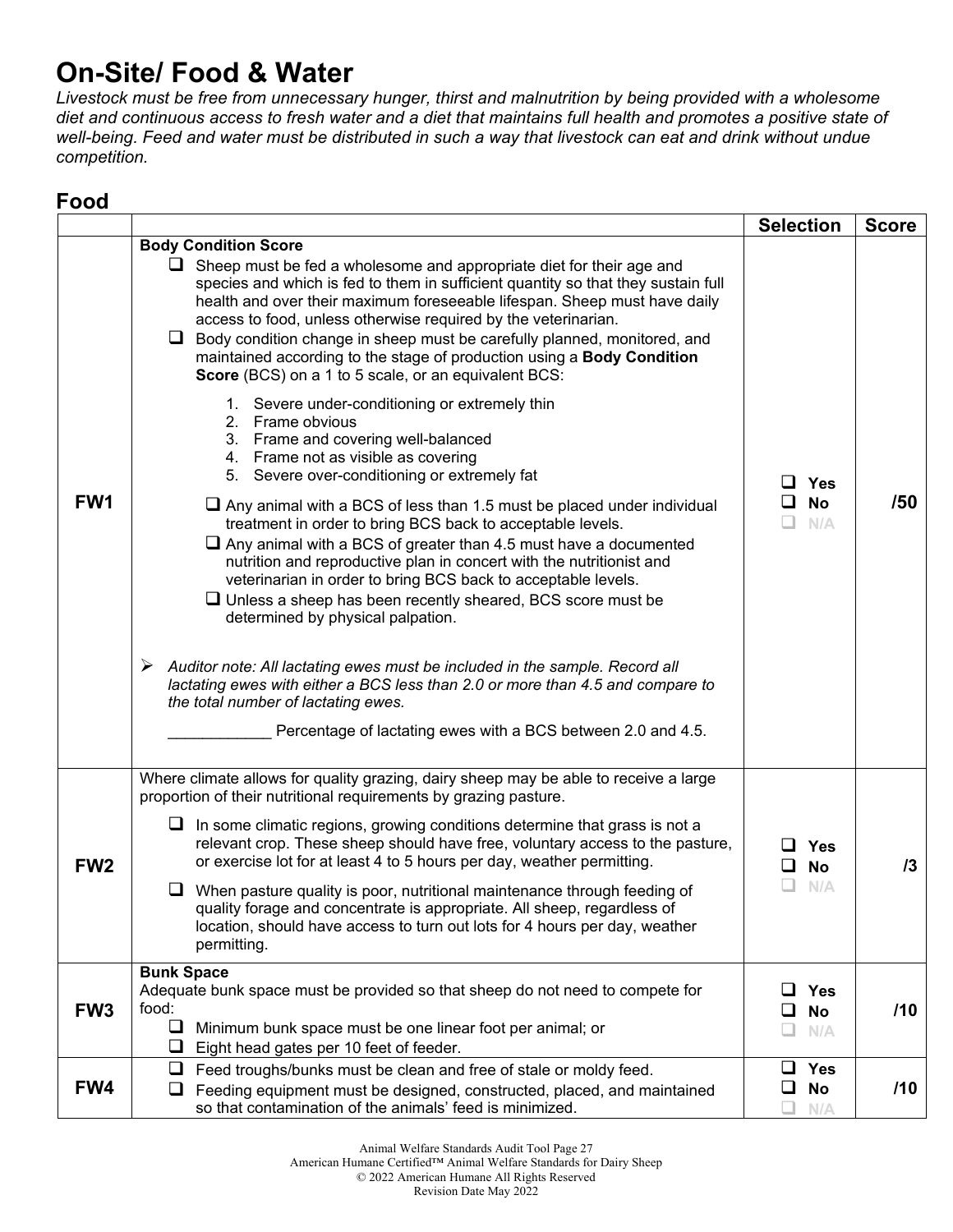## **On-Site/ Food & Water**

*Livestock must be free from unnecessary hunger, thirst and malnutrition by being provided with a wholesome diet and continuous access to fresh water and a diet that maintains full health and promotes a positive state of well-being. Feed and water must be distributed in such a way that livestock can eat and drink without undue competition.* 

#### **Food**

|                 |                                                                                                                                                                                                                                                                                                                                                                                                                                                                                                                                                                                                                                                                                                                                                                                                                                                                                                                                                                                                                                                                                                                                                                                                                                                                                                                                                                                                                                                                                                                                              | <b>Selection</b>                               | <b>Score</b> |
|-----------------|----------------------------------------------------------------------------------------------------------------------------------------------------------------------------------------------------------------------------------------------------------------------------------------------------------------------------------------------------------------------------------------------------------------------------------------------------------------------------------------------------------------------------------------------------------------------------------------------------------------------------------------------------------------------------------------------------------------------------------------------------------------------------------------------------------------------------------------------------------------------------------------------------------------------------------------------------------------------------------------------------------------------------------------------------------------------------------------------------------------------------------------------------------------------------------------------------------------------------------------------------------------------------------------------------------------------------------------------------------------------------------------------------------------------------------------------------------------------------------------------------------------------------------------------|------------------------------------------------|--------------|
| FW <sub>1</sub> | <b>Body Condition Score</b><br>$\Box$ Sheep must be fed a wholesome and appropriate diet for their age and<br>species and which is fed to them in sufficient quantity so that they sustain full<br>health and over their maximum foreseeable lifespan. Sheep must have daily<br>access to food, unless otherwise required by the veterinarian.<br>Body condition change in sheep must be carefully planned, monitored, and<br>⊔<br>maintained according to the stage of production using a Body Condition<br>Score (BCS) on a 1 to 5 scale, or an equivalent BCS:<br>1. Severe under-conditioning or extremely thin<br>2. Frame obvious<br>3. Frame and covering well-balanced<br>4. Frame not as visible as covering<br>5. Severe over-conditioning or extremely fat<br>$\Box$ Any animal with a BCS of less than 1.5 must be placed under individual<br>treatment in order to bring BCS back to acceptable levels.<br>$\Box$ Any animal with a BCS of greater than 4.5 must have a documented<br>nutrition and reproductive plan in concert with the nutritionist and<br>veterinarian in order to bring BCS back to acceptable levels.<br>$\Box$ Unless a sheep has been recently sheared, BCS score must be<br>determined by physical palpation.<br>$\triangleright$ Auditor note: All lactating ewes must be included in the sample. Record all<br>lactating ewes with either a BCS less than 2.0 or more than 4.5 and compare to<br>the total number of lactating ewes.<br>Percentage of lactating ewes with a BCS between 2.0 and 4.5. | Yes<br>ப<br><b>No</b><br>N/A                   | /50          |
| FW <sub>2</sub> | Where climate allows for quality grazing, dairy sheep may be able to receive a large<br>proportion of their nutritional requirements by grazing pasture.<br>$\Box$ In some climatic regions, growing conditions determine that grass is not a<br>relevant crop. These sheep should have free, voluntary access to the pasture,<br>or exercise lot for at least 4 to 5 hours per day, weather permitting.<br>When pasture quality is poor, nutritional maintenance through feeding of<br>quality forage and concentrate is appropriate. All sheep, regardless of<br>location, should have access to turn out lots for 4 hours per day, weather<br>permitting.                                                                                                                                                                                                                                                                                                                                                                                                                                                                                                                                                                                                                                                                                                                                                                                                                                                                                 | ப<br>Yes<br><b>No</b><br>N/A                   | 13           |
| FW <sub>3</sub> | <b>Bunk Space</b><br>Adequate bunk space must be provided so that sheep do not need to compete for<br>food:<br>❏<br>Minimum bunk space must be one linear foot per animal; or<br>❏<br>Eight head gates per 10 feet of feeder.                                                                                                                                                                                                                                                                                                                                                                                                                                                                                                                                                                                                                                                                                                                                                                                                                                                                                                                                                                                                                                                                                                                                                                                                                                                                                                                | <b>Yes</b><br>ப<br><b>No</b><br>ப<br>N/A<br>L. | /10          |
| FW4             | ❏<br>Feed troughs/bunks must be clean and free of stale or moldy feed.<br>Feeding equipment must be designed, constructed, placed, and maintained<br>⊔<br>so that contamination of the animals' feed is minimized.                                                                                                                                                                                                                                                                                                                                                                                                                                                                                                                                                                                                                                                                                                                                                                                                                                                                                                                                                                                                                                                                                                                                                                                                                                                                                                                           | ❏<br><b>Yes</b><br><b>No</b><br>ப<br>N/A       | /10          |

American Humane Certified™ Animal Welfare Standards for Dairy Sheep

© 2022 American Humane All Rights Reserved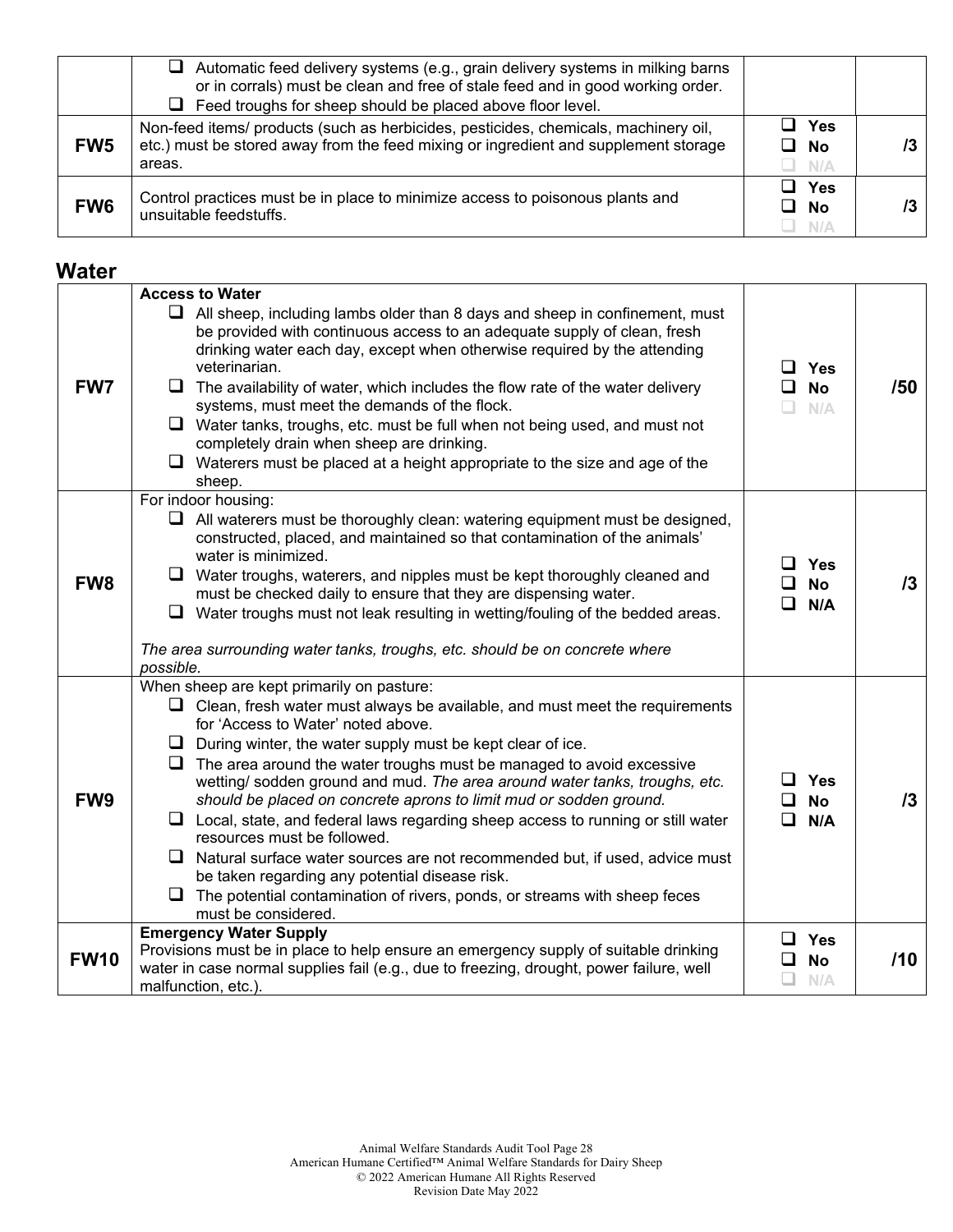|                 | $\Box$ Automatic feed delivery systems (e.g., grain delivery systems in milking barns<br>or in corrals) must be clean and free of stale feed and in good working order.<br>$\Box$ Feed troughs for sheep should be placed above floor level. |                                  |  |
|-----------------|----------------------------------------------------------------------------------------------------------------------------------------------------------------------------------------------------------------------------------------------|----------------------------------|--|
| FW <sub>5</sub> | Non-feed items/ products (such as herbicides, pesticides, chemicals, machinery oil,<br>etc.) must be stored away from the feed mixing or ingredient and supplement storage<br>areas.                                                         | ⊿ Yes<br>$\Box$ No<br>$\Box$ N/A |  |
| FW <sub>6</sub> | Control practices must be in place to minimize access to poisonous plants and<br>unsuitable feedstuffs.                                                                                                                                      | ∃ Yes<br>⊔ No<br>_I N/A          |  |

#### **Water**

|                 | <b>Access to Water</b>                                                                                                                                                                                                                                                                                                                                                                                                                                                                                                                                                                                                                                                                                                                                                                                     |                                                                |     |
|-----------------|------------------------------------------------------------------------------------------------------------------------------------------------------------------------------------------------------------------------------------------------------------------------------------------------------------------------------------------------------------------------------------------------------------------------------------------------------------------------------------------------------------------------------------------------------------------------------------------------------------------------------------------------------------------------------------------------------------------------------------------------------------------------------------------------------------|----------------------------------------------------------------|-----|
| FW7             | $\Box$ All sheep, including lambs older than 8 days and sheep in confinement, must<br>be provided with continuous access to an adequate supply of clean, fresh<br>drinking water each day, except when otherwise required by the attending<br>veterinarian.<br>$\Box$ The availability of water, which includes the flow rate of the water delivery<br>systems, must meet the demands of the flock.<br>$\Box$ Water tanks, troughs, etc. must be full when not being used, and must not<br>completely drain when sheep are drinking.<br>$\Box$ Waterers must be placed at a height appropriate to the size and age of the<br>sheep.                                                                                                                                                                        | $\Box$<br><b>Yes</b><br><b>□</b><br><b>No</b><br>$\Box$<br>N/A | /50 |
|                 | For indoor housing:                                                                                                                                                                                                                                                                                                                                                                                                                                                                                                                                                                                                                                                                                                                                                                                        |                                                                |     |
| FW <sub>8</sub> | $\Box$ All waterers must be thoroughly clean: watering equipment must be designed,<br>constructed, placed, and maintained so that contamination of the animals'<br>water is minimized.<br>$\Box$ Water troughs, waterers, and nipples must be kept thoroughly cleaned and<br>must be checked daily to ensure that they are dispensing water.<br>$\Box$ Water troughs must not leak resulting in wetting/fouling of the bedded areas.<br>The area surrounding water tanks, troughs, etc. should be on concrete where<br>possible.                                                                                                                                                                                                                                                                           | <b>Yes</b><br>$\mathsf{L}$<br><b>No</b><br>ப<br>$\Box$<br>N/A  | /3  |
|                 | When sheep are kept primarily on pasture:                                                                                                                                                                                                                                                                                                                                                                                                                                                                                                                                                                                                                                                                                                                                                                  |                                                                |     |
| FW <sub>9</sub> | $\Box$ Clean, fresh water must always be available, and must meet the requirements<br>for 'Access to Water' noted above.<br>$\Box$ During winter, the water supply must be kept clear of ice.<br>$\Box$ The area around the water troughs must be managed to avoid excessive<br>wetting/ sodden ground and mud. The area around water tanks, troughs, etc.<br>should be placed on concrete aprons to limit mud or sodden ground.<br>$\Box$ Local, state, and federal laws regarding sheep access to running or still water<br>resources must be followed.<br>$\Box$ Natural surface water sources are not recommended but, if used, advice must<br>be taken regarding any potential disease risk.<br>The potential contamination of rivers, ponds, or streams with sheep feces<br>ப<br>must be considered. | <b>Yes</b><br>ப<br>0<br><b>No</b><br>$\Box$<br>N/A             | /3  |
|                 | <b>Emergency Water Supply</b>                                                                                                                                                                                                                                                                                                                                                                                                                                                                                                                                                                                                                                                                                                                                                                              | $\Box$<br><b>Yes</b>                                           |     |
| <b>FW10</b>     | Provisions must be in place to help ensure an emergency supply of suitable drinking<br>water in case normal supplies fail (e.g., due to freezing, drought, power failure, well<br>malfunction, etc.).                                                                                                                                                                                                                                                                                                                                                                                                                                                                                                                                                                                                      | <b>No</b><br>ப<br>N/A                                          | /10 |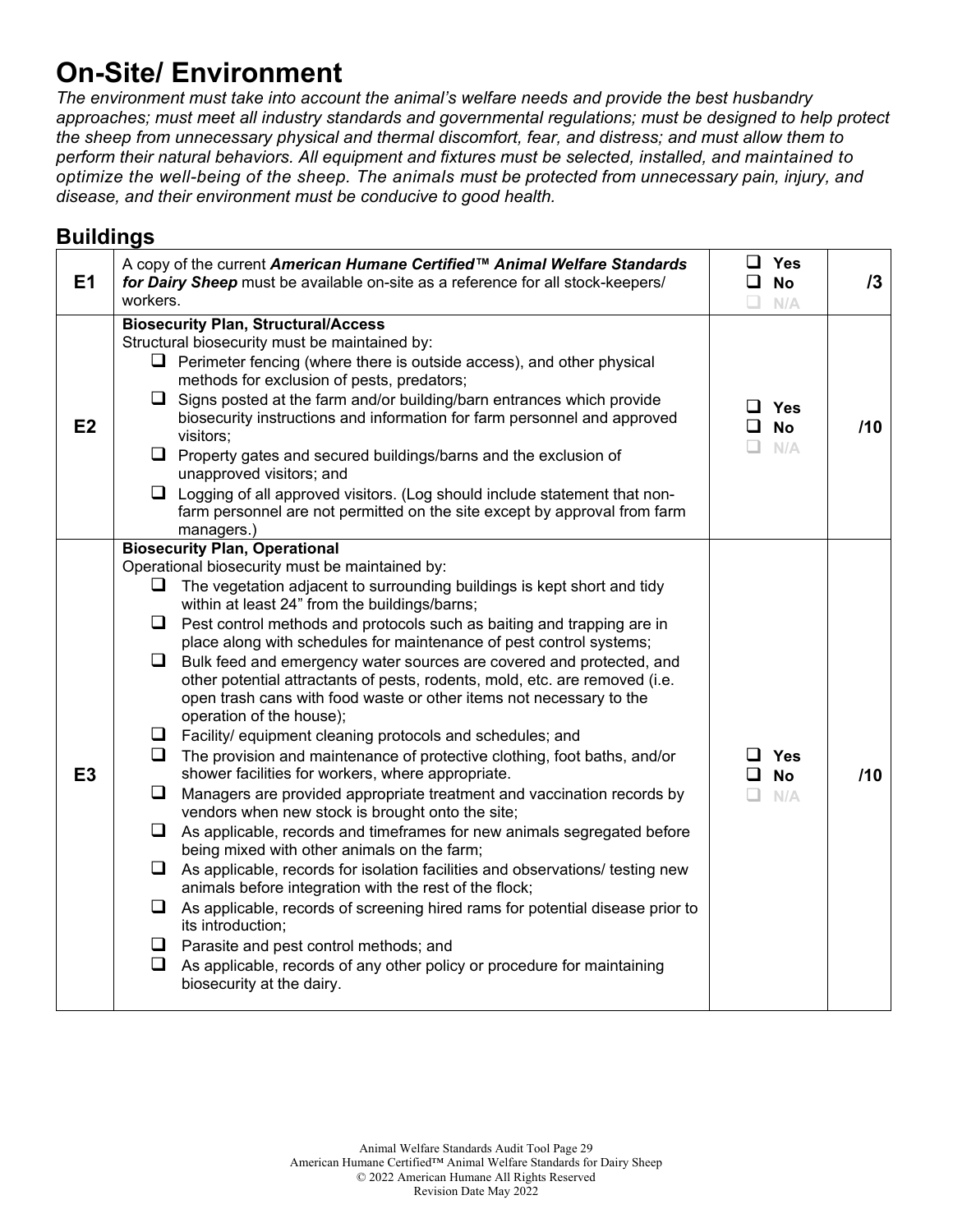## **On-Site/ Environment**

*The environment must take into account the animal's welfare needs and provide the best husbandry approaches; must meet all industry standards and governmental regulations; must be designed to help protect the sheep from unnecessary physical and thermal discomfort, fear, and distress; and must allow them to perform their natural behaviors. All equipment and fixtures must be selected, installed, and maintained to optimize the well-being of the sheep. The animals must be protected from unnecessary pain, injury, and disease, and their environment must be conducive to good health.*

#### **Buildings**

| E1             | A copy of the current American Humane Certified™ Animal Welfare Standards<br>for Dairy Sheep must be available on-site as a reference for all stock-keepers/<br>workers.                                                                                                                                                                                                                                                                                                                                                                                                                                                                                                                                                                                                                                                                                                                                                                                                                                                                                                                                                                                                                                                                                                                                                                                                                                                                                                                                                                                                | <b>Yes</b><br>ப<br><b>No</b><br>$\Box$<br>N/A       | 13  |
|----------------|-------------------------------------------------------------------------------------------------------------------------------------------------------------------------------------------------------------------------------------------------------------------------------------------------------------------------------------------------------------------------------------------------------------------------------------------------------------------------------------------------------------------------------------------------------------------------------------------------------------------------------------------------------------------------------------------------------------------------------------------------------------------------------------------------------------------------------------------------------------------------------------------------------------------------------------------------------------------------------------------------------------------------------------------------------------------------------------------------------------------------------------------------------------------------------------------------------------------------------------------------------------------------------------------------------------------------------------------------------------------------------------------------------------------------------------------------------------------------------------------------------------------------------------------------------------------------|-----------------------------------------------------|-----|
| E <sub>2</sub> | <b>Biosecurity Plan, Structural/Access</b><br>Structural biosecurity must be maintained by:<br>$\Box$ Perimeter fencing (where there is outside access), and other physical<br>methods for exclusion of pests, predators;<br>$\Box$ Signs posted at the farm and/or building/barn entrances which provide<br>biosecurity instructions and information for farm personnel and approved<br>visitors;<br>$\Box$ Property gates and secured buildings/barns and the exclusion of<br>unapproved visitors; and<br>$\Box$ Logging of all approved visitors. (Log should include statement that non-<br>farm personnel are not permitted on the site except by approval from farm<br>managers.)                                                                                                                                                                                                                                                                                                                                                                                                                                                                                                                                                                                                                                                                                                                                                                                                                                                                                 | <b>.</b><br>Yes<br><b>No</b><br>$\Box$<br>□.<br>N/A | /10 |
| E <sub>3</sub> | <b>Biosecurity Plan, Operational</b><br>Operational biosecurity must be maintained by:<br>The vegetation adjacent to surrounding buildings is kept short and tidy<br>ப<br>within at least 24" from the buildings/barns;<br>$\Box$ Pest control methods and protocols such as baiting and trapping are in<br>place along with schedules for maintenance of pest control systems;<br>$\Box$<br>Bulk feed and emergency water sources are covered and protected, and<br>other potential attractants of pests, rodents, mold, etc. are removed (i.e.<br>open trash cans with food waste or other items not necessary to the<br>operation of the house);<br>$\Box$ Facility/ equipment cleaning protocols and schedules; and<br>$\Box$<br>The provision and maintenance of protective clothing, foot baths, and/or<br>shower facilities for workers, where appropriate.<br>⊔<br>Managers are provided appropriate treatment and vaccination records by<br>vendors when new stock is brought onto the site;<br>$\Box$ As applicable, records and timeframes for new animals segregated before<br>being mixed with other animals on the farm;<br>As applicable, records for isolation facilities and observations/ testing new<br>⊔<br>animals before integration with the rest of the flock;<br>$\Box$<br>As applicable, records of screening hired rams for potential disease prior to<br>its introduction;<br>Parasite and pest control methods; and<br>┙<br>$\Box$<br>As applicable, records of any other policy or procedure for maintaining<br>biosecurity at the dairy. | ⊿ Yes<br><b>No</b><br>$\Box$<br>n.<br>N/A           | /10 |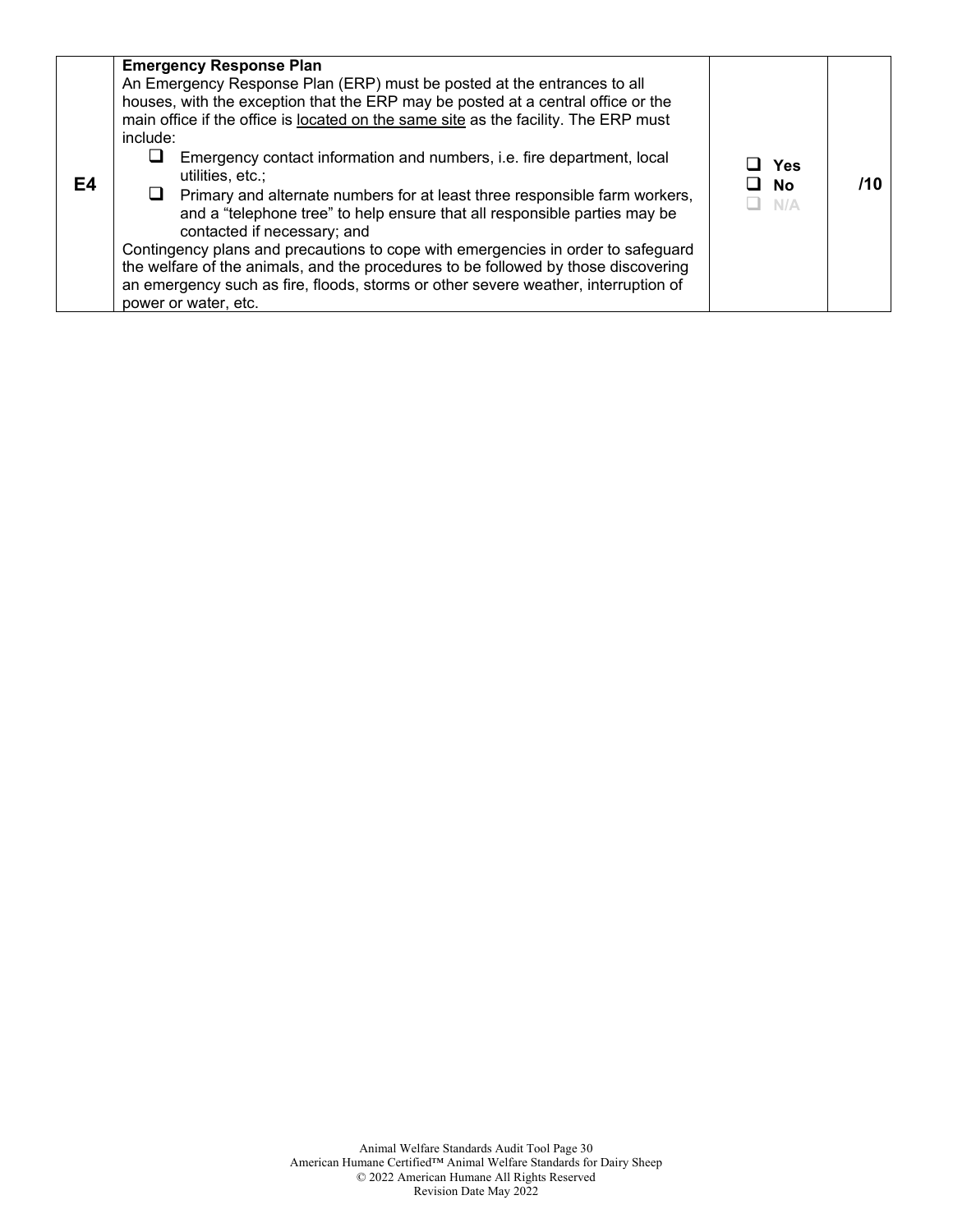| E4 | <b>Emergency Response Plan</b><br>An Emergency Response Plan (ERP) must be posted at the entrances to all<br>houses, with the exception that the ERP may be posted at a central office or the<br>main office if the office is located on the same site as the facility. The ERP must<br>include:<br>Emergency contact information and numbers, i.e. fire department, local<br>⊔<br>utilities, etc.;<br>$\Box$ Primary and alternate numbers for at least three responsible farm workers,<br>and a "telephone tree" to help ensure that all responsible parties may be<br>contacted if necessary; and<br>Contingency plans and precautions to cope with emergencies in order to safeguard<br>the welfare of the animals, and the procedures to be followed by those discovering<br>an emergency such as fire, floods, storms or other severe weather, interruption of<br>power or water, etc. | Yes<br>No<br>N/A | /10 |
|----|----------------------------------------------------------------------------------------------------------------------------------------------------------------------------------------------------------------------------------------------------------------------------------------------------------------------------------------------------------------------------------------------------------------------------------------------------------------------------------------------------------------------------------------------------------------------------------------------------------------------------------------------------------------------------------------------------------------------------------------------------------------------------------------------------------------------------------------------------------------------------------------------|------------------|-----|
|----|----------------------------------------------------------------------------------------------------------------------------------------------------------------------------------------------------------------------------------------------------------------------------------------------------------------------------------------------------------------------------------------------------------------------------------------------------------------------------------------------------------------------------------------------------------------------------------------------------------------------------------------------------------------------------------------------------------------------------------------------------------------------------------------------------------------------------------------------------------------------------------------------|------------------|-----|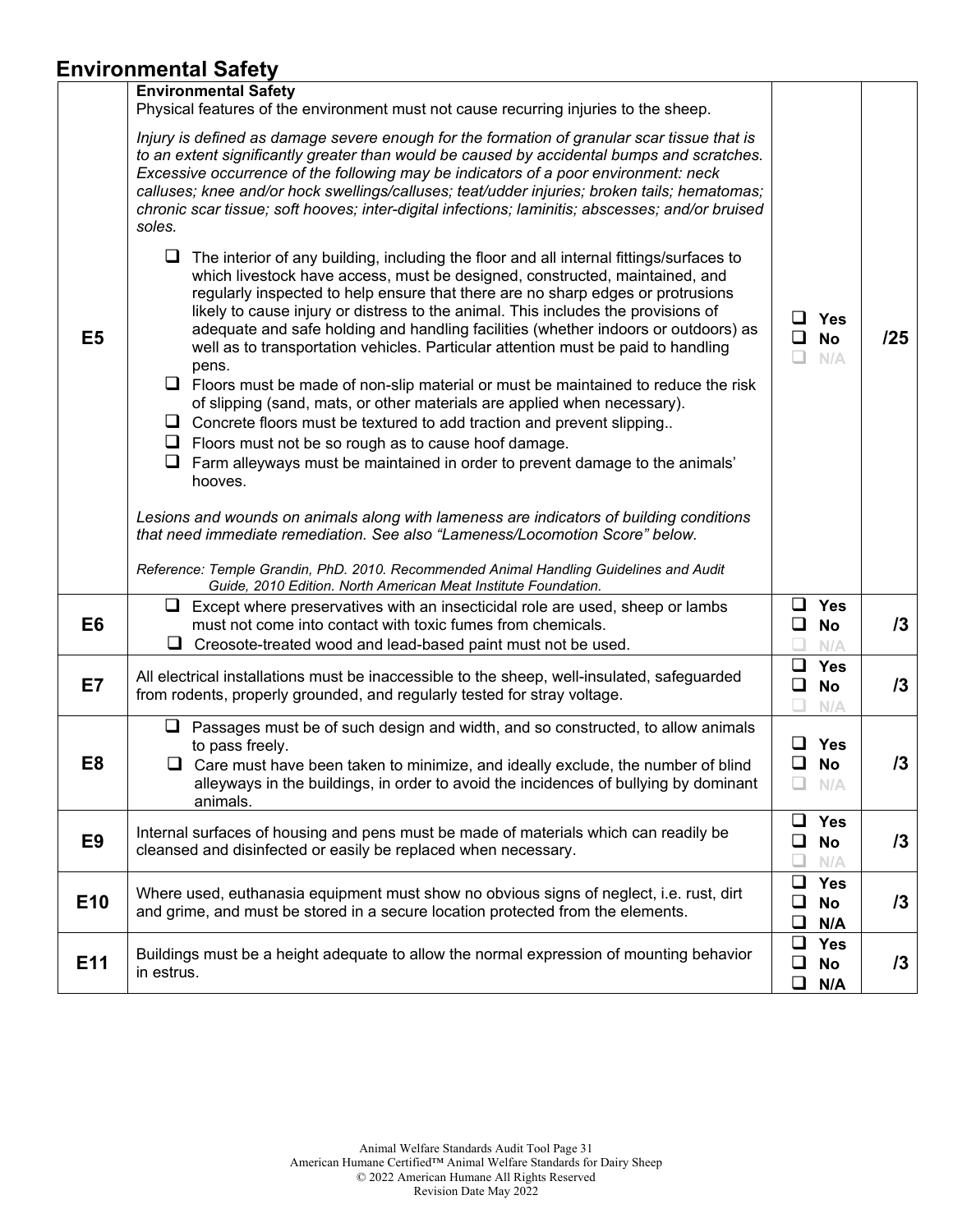## **Environmental Safety**

|                 | .                                                                                                                                                                                                                                                                                                                                                                                                                                                                                                                                                                                                                                                                                                                                                                                                                                                                                                                                                           |                   |                                |     |
|-----------------|-------------------------------------------------------------------------------------------------------------------------------------------------------------------------------------------------------------------------------------------------------------------------------------------------------------------------------------------------------------------------------------------------------------------------------------------------------------------------------------------------------------------------------------------------------------------------------------------------------------------------------------------------------------------------------------------------------------------------------------------------------------------------------------------------------------------------------------------------------------------------------------------------------------------------------------------------------------|-------------------|--------------------------------|-----|
|                 | <b>Environmental Safety</b><br>Physical features of the environment must not cause recurring injuries to the sheep.                                                                                                                                                                                                                                                                                                                                                                                                                                                                                                                                                                                                                                                                                                                                                                                                                                         |                   |                                |     |
|                 | Injury is defined as damage severe enough for the formation of granular scar tissue that is<br>to an extent significantly greater than would be caused by accidental bumps and scratches.<br>Excessive occurrence of the following may be indicators of a poor environment: neck<br>calluses; knee and/or hock swellings/calluses; teat/udder injuries; broken tails; hematomas;<br>chronic scar tissue; soft hooves; inter-digital infections; laminitis; abscesses; and/or bruised<br>soles.                                                                                                                                                                                                                                                                                                                                                                                                                                                              |                   |                                |     |
| E <sub>5</sub>  | $\Box$ The interior of any building, including the floor and all internal fittings/surfaces to<br>which livestock have access, must be designed, constructed, maintained, and<br>regularly inspected to help ensure that there are no sharp edges or protrusions<br>likely to cause injury or distress to the animal. This includes the provisions of<br>adequate and safe holding and handling facilities (whether indoors or outdoors) as<br>well as to transportation vehicles. Particular attention must be paid to handling<br>pens.<br>$\Box$ Floors must be made of non-slip material or must be maintained to reduce the risk<br>of slipping (sand, mats, or other materials are applied when necessary).<br>$\Box$ Concrete floors must be textured to add traction and prevent slipping<br>$\Box$ Floors must not be so rough as to cause hoof damage.<br>Farm alleyways must be maintained in order to prevent damage to the animals'<br>hooves. | ப<br>$\Box$<br>H. | Yes<br><b>No</b><br>N/A        | /25 |
|                 | Lesions and wounds on animals along with lameness are indicators of building conditions<br>that need immediate remediation. See also "Lameness/Locomotion Score" below.<br>Reference: Temple Grandin, PhD. 2010. Recommended Animal Handling Guidelines and Audit<br>Guide, 2010 Edition. North American Meat Institute Foundation.                                                                                                                                                                                                                                                                                                                                                                                                                                                                                                                                                                                                                         |                   |                                |     |
| E <sub>6</sub>  | $\Box$ Except where preservatives with an insecticidal role are used, sheep or lambs<br>must not come into contact with toxic fumes from chemicals.<br>u.<br>Creosote-treated wood and lead-based paint must not be used.                                                                                                                                                                                                                                                                                                                                                                                                                                                                                                                                                                                                                                                                                                                                   | $\Box$<br>$\Box$  | <b>Yes</b><br>No<br>N/A        | 13  |
| E7              | All electrical installations must be inaccessible to the sheep, well-insulated, safeguarded<br>from rodents, properly grounded, and regularly tested for stray voltage.                                                                                                                                                                                                                                                                                                                                                                                                                                                                                                                                                                                                                                                                                                                                                                                     | ❏<br>❏            | <b>Yes</b><br><b>No</b><br>N/A | 13  |
| E8              | $\Box$ Passages must be of such design and width, and so constructed, to allow animals<br>to pass freely.<br>$\Box$ Care must have been taken to minimize, and ideally exclude, the number of blind<br>alleyways in the buildings, in order to avoid the incidences of bullying by dominant<br>animals.                                                                                                                                                                                                                                                                                                                                                                                                                                                                                                                                                                                                                                                     | ப<br>❏<br>⊔       | <b>Yes</b><br><b>No</b><br>N/A | 13  |
| E <sub>9</sub>  | Internal surfaces of housing and pens must be made of materials which can readily be<br>cleansed and disinfected or easily be replaced when necessary.                                                                                                                                                                                                                                                                                                                                                                                                                                                                                                                                                                                                                                                                                                                                                                                                      | ❏<br>❏            | <b>Yes</b><br>No<br>N/A        | 13  |
| E <sub>10</sub> | Where used, euthanasia equipment must show no obvious signs of neglect, i.e. rust, dirt<br>and grime, and must be stored in a secure location protected from the elements.                                                                                                                                                                                                                                                                                                                                                                                                                                                                                                                                                                                                                                                                                                                                                                                  | $\Box$<br>❏<br>❏  | <b>Yes</b><br><b>No</b><br>N/A | 13  |
| E11             | Buildings must be a height adequate to allow the normal expression of mounting behavior<br>in estrus.                                                                                                                                                                                                                                                                                                                                                                                                                                                                                                                                                                                                                                                                                                                                                                                                                                                       | ❏<br>❏<br>❏       | <b>Yes</b><br>No<br>N/A        | 13  |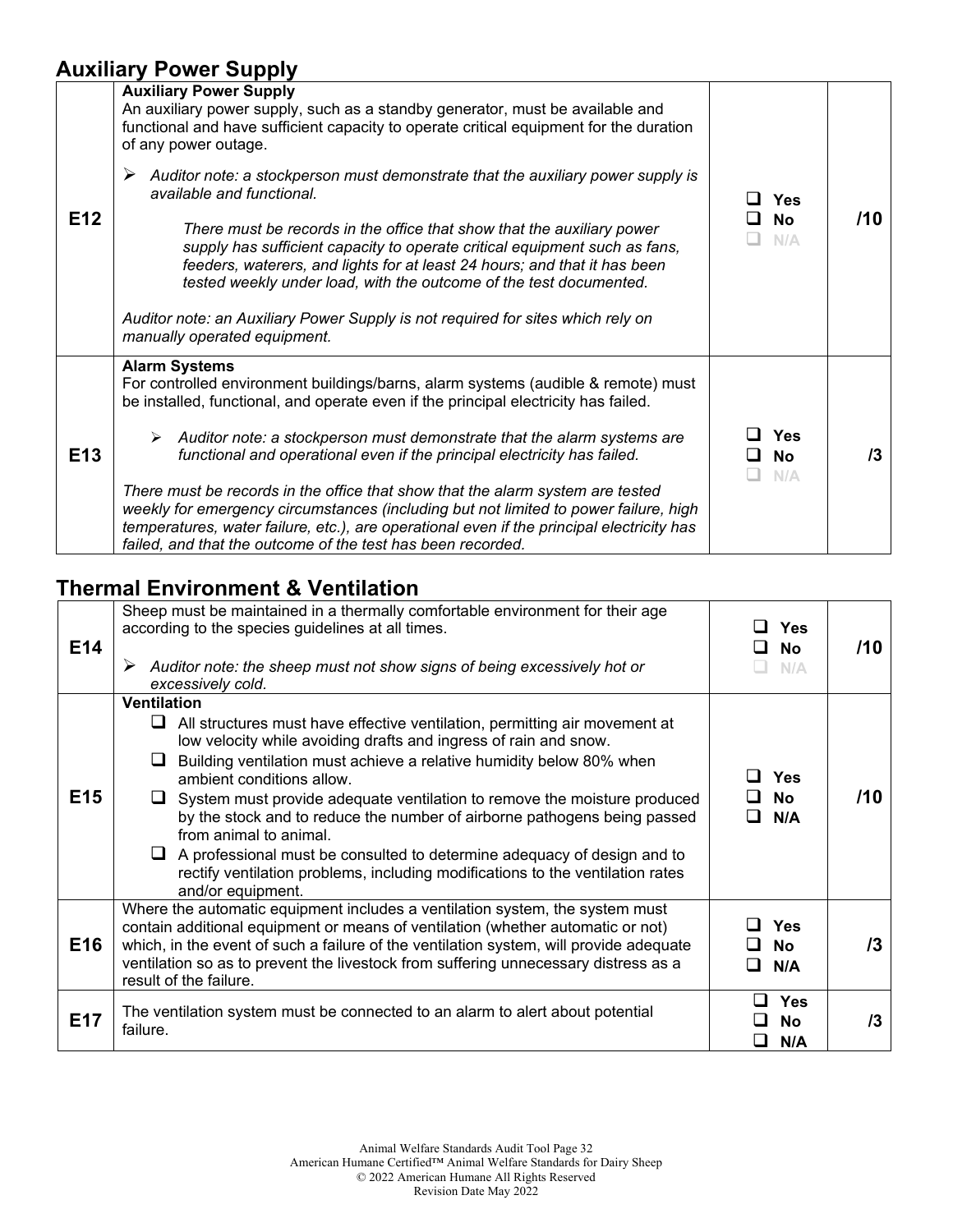### **Auxiliary Power Supply**

| E12 | <b>Auxiliary Power Supply</b><br>An auxiliary power supply, such as a standby generator, must be available and<br>functional and have sufficient capacity to operate critical equipment for the duration<br>of any power outage.<br>Auditor note: a stockperson must demonstrate that the auxiliary power supply is<br>➤<br>available and functional.<br>There must be records in the office that show that the auxiliary power<br>supply has sufficient capacity to operate critical equipment such as fans,<br>feeders, waterers, and lights for at least 24 hours; and that it has been<br>tested weekly under load, with the outcome of the test documented.<br>Auditor note: an Auxiliary Power Supply is not required for sites which rely on<br>manually operated equipment. | <b>Yes</b><br><b>No</b><br>- 1<br>N/A | /10 |
|-----|-------------------------------------------------------------------------------------------------------------------------------------------------------------------------------------------------------------------------------------------------------------------------------------------------------------------------------------------------------------------------------------------------------------------------------------------------------------------------------------------------------------------------------------------------------------------------------------------------------------------------------------------------------------------------------------------------------------------------------------------------------------------------------------|---------------------------------------|-----|
| E13 | <b>Alarm Systems</b><br>For controlled environment buildings/barns, alarm systems (audible & remote) must<br>be installed, functional, and operate even if the principal electricity has failed.<br>$\triangleright$ Auditor note: a stockperson must demonstrate that the alarm systems are<br>functional and operational even if the principal electricity has failed.<br>There must be records in the office that show that the alarm system are tested<br>weekly for emergency circumstances (including but not limited to power failure, high<br>temperatures, water failure, etc.), are operational even if the principal electricity has<br>failed, and that the outcome of the test has been recorded.                                                                      | <b>Yes</b><br><b>No</b><br>N/A        | /3  |

## **Thermal Environment & Ventilation**

| E14 | Sheep must be maintained in a thermally comfortable environment for their age<br>according to the species guidelines at all times.<br>Auditor note: the sheep must not show signs of being excessively hot or<br>➤<br>excessively cold.                                                                                                                                                                                                                                                                                                                                                                                                                   | <b>Yes</b><br><b>No</b><br><b>.</b><br>N/A | /10 |
|-----|-----------------------------------------------------------------------------------------------------------------------------------------------------------------------------------------------------------------------------------------------------------------------------------------------------------------------------------------------------------------------------------------------------------------------------------------------------------------------------------------------------------------------------------------------------------------------------------------------------------------------------------------------------------|--------------------------------------------|-----|
| E15 | <b>Ventilation</b><br>All structures must have effective ventilation, permitting air movement at<br>ப<br>low velocity while avoiding drafts and ingress of rain and snow.<br>Building ventilation must achieve a relative humidity below 80% when<br>ambient conditions allow.<br>$\Box$ System must provide adequate ventilation to remove the moisture produced<br>by the stock and to reduce the number of airborne pathogens being passed<br>from animal to animal.<br>A professional must be consulted to determine adequacy of design and to<br>rectify ventilation problems, including modifications to the ventilation rates<br>and/or equipment. | Yes<br><b>No</b><br>N/A                    | /10 |
| E16 | Where the automatic equipment includes a ventilation system, the system must<br>contain additional equipment or means of ventilation (whether automatic or not)<br>which, in the event of such a failure of the ventilation system, will provide adequate<br>ventilation so as to prevent the livestock from suffering unnecessary distress as a<br>result of the failure.                                                                                                                                                                                                                                                                                | <b>Yes</b><br>No<br>N/A                    | /3  |
| E17 | The ventilation system must be connected to an alarm to alert about potential<br>failure.                                                                                                                                                                                                                                                                                                                                                                                                                                                                                                                                                                 | <b>Yes</b><br><b>No</b><br>N/A             | /3  |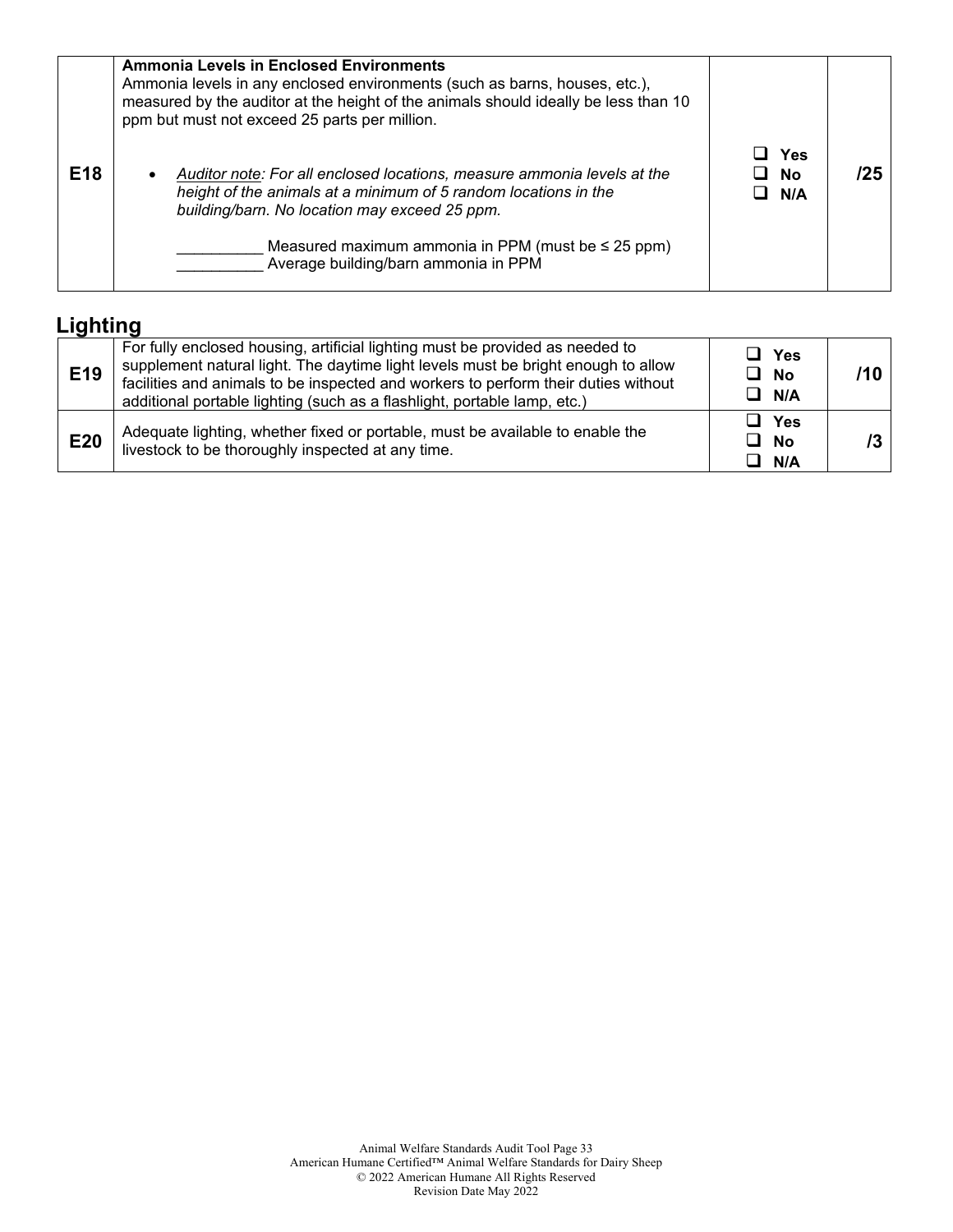|                 | <b>Ammonia Levels in Enclosed Environments</b><br>Ammonia levels in any enclosed environments (such as barns, houses, etc.),<br>measured by the auditor at the height of the animals should ideally be less than 10<br>ppm but must not exceed 25 parts per million. |                  |     |
|-----------------|----------------------------------------------------------------------------------------------------------------------------------------------------------------------------------------------------------------------------------------------------------------------|------------------|-----|
| E <sub>18</sub> | Auditor note: For all enclosed locations, measure ammonia levels at the<br>height of the animals at a minimum of 5 random locations in the<br>building/barn. No location may exceed 25 ppm.                                                                          | Yes<br>No<br>N/A | /25 |
|                 | Measured maximum ammonia in PPM (must be $\leq$ 25 ppm)<br>Average building/barn ammonia in PPM                                                                                                                                                                      |                  |     |

## **Lighting**

| E19        | For fully enclosed housing, artificial lighting must be provided as needed to<br>supplement natural light. The daytime light levels must be bright enough to allow<br>facilities and animals to be inspected and workers to perform their duties without<br>additional portable lighting (such as a flashlight, portable lamp, etc.) | $\sqcup$ Yes<br>$\Box$ No<br>$\Box$ N/A |  |
|------------|--------------------------------------------------------------------------------------------------------------------------------------------------------------------------------------------------------------------------------------------------------------------------------------------------------------------------------------|-----------------------------------------|--|
| <b>E20</b> | Adequate lighting, whether fixed or portable, must be available to enable the<br>livestock to be thoroughly inspected at any time.                                                                                                                                                                                                   | $\sqcup$ Yes<br><b>No</b><br>ப<br>N/A   |  |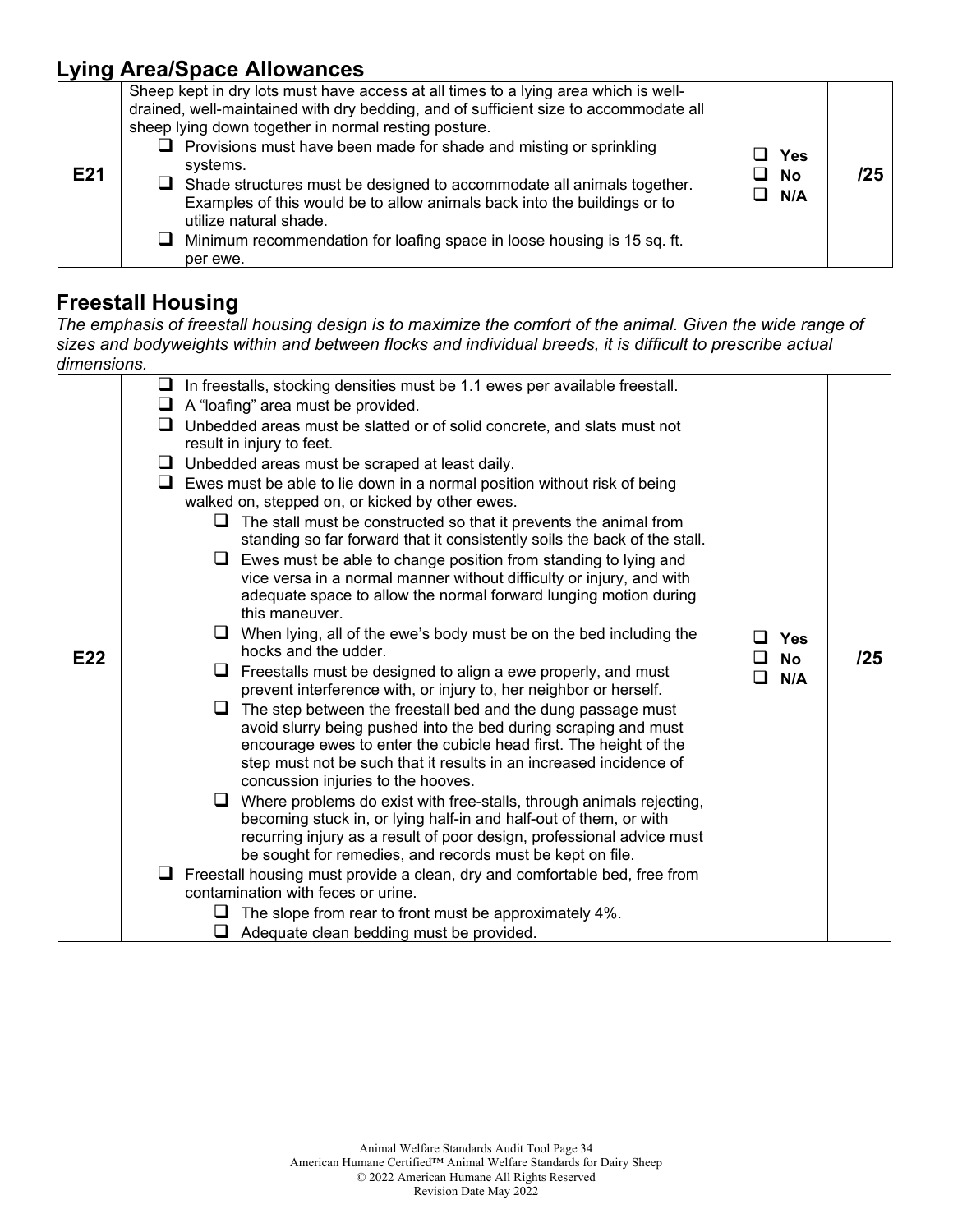### **Lying Area/Space Allowances**

| E21 | Sheep kept in dry lots must have access at all times to a lying area which is well-<br>drained, well-maintained with dry bedding, and of sufficient size to accommodate all<br>sheep lying down together in normal resting posture.<br>$\Box$ Provisions must have been made for shade and misting or sprinkling<br>systems.<br>$\Box$ Shade structures must be designed to accommodate all animals together.<br>Examples of this would be to allow animals back into the buildings or to<br>utilize natural shade.<br>$\Box$ Minimum recommendation for loafing space in loose housing is 15 sq. ft.<br>per ewe. | ⊔ Yes<br>$\Box$ No<br>$\Box$ N/A | /25 |
|-----|-------------------------------------------------------------------------------------------------------------------------------------------------------------------------------------------------------------------------------------------------------------------------------------------------------------------------------------------------------------------------------------------------------------------------------------------------------------------------------------------------------------------------------------------------------------------------------------------------------------------|----------------------------------|-----|
|-----|-------------------------------------------------------------------------------------------------------------------------------------------------------------------------------------------------------------------------------------------------------------------------------------------------------------------------------------------------------------------------------------------------------------------------------------------------------------------------------------------------------------------------------------------------------------------------------------------------------------------|----------------------------------|-----|

#### **Freestall Housing**

*The emphasis of freestall housing design is to maximize the comfort of the animal. Given the wide range of sizes and bodyweights within and between flocks and individual breeds, it is difficult to prescribe actual dimensions.* 

| E22 | $\Box$ In freestalls, stocking densities must be 1.1 ewes per available freestall.<br>$\Box$ A "loafing" area must be provided.<br>Unbedded areas must be slatted or of solid concrete, and slats must not<br>ப<br>result in injury to feet.<br>$\Box$ Unbedded areas must be scraped at least daily.<br>$\Box$ Ewes must be able to lie down in a normal position without risk of being<br>walked on, stepped on, or kicked by other ewes.<br>$\Box$ The stall must be constructed so that it prevents the animal from<br>standing so far forward that it consistently soils the back of the stall.<br>Ewes must be able to change position from standing to lying and<br>ப<br>vice versa in a normal manner without difficulty or injury, and with<br>adequate space to allow the normal forward lunging motion during<br>this maneuver.<br>When lying, all of the ewe's body must be on the bed including the<br>hocks and the udder.<br>Freestalls must be designed to align a ewe properly, and must<br>ப<br>prevent interference with, or injury to, her neighbor or herself.<br>The step between the freestall bed and the dung passage must<br>u<br>avoid slurry being pushed into the bed during scraping and must<br>encourage ewes to enter the cubicle head first. The height of the<br>step must not be such that it results in an increased incidence of<br>concussion injuries to the hooves.<br>Where problems do exist with free-stalls, through animals rejecting,<br>becoming stuck in, or lying half-in and half-out of them, or with<br>recurring injury as a result of poor design, professional advice must<br>be sought for remedies, and records must be kept on file.<br>$\Box$ Freestall housing must provide a clean, dry and comfortable bed, free from | <b>Yes</b><br><b>No</b><br>□<br>N/A<br>П | /25 |
|-----|--------------------------------------------------------------------------------------------------------------------------------------------------------------------------------------------------------------------------------------------------------------------------------------------------------------------------------------------------------------------------------------------------------------------------------------------------------------------------------------------------------------------------------------------------------------------------------------------------------------------------------------------------------------------------------------------------------------------------------------------------------------------------------------------------------------------------------------------------------------------------------------------------------------------------------------------------------------------------------------------------------------------------------------------------------------------------------------------------------------------------------------------------------------------------------------------------------------------------------------------------------------------------------------------------------------------------------------------------------------------------------------------------------------------------------------------------------------------------------------------------------------------------------------------------------------------------------------------------------------------------------------------------------------------------------------------------------------------------------------------------------------------------------------|------------------------------------------|-----|
|     |                                                                                                                                                                                                                                                                                                                                                                                                                                                                                                                                                                                                                                                                                                                                                                                                                                                                                                                                                                                                                                                                                                                                                                                                                                                                                                                                                                                                                                                                                                                                                                                                                                                                                                                                                                                      |                                          |     |
|     |                                                                                                                                                                                                                                                                                                                                                                                                                                                                                                                                                                                                                                                                                                                                                                                                                                                                                                                                                                                                                                                                                                                                                                                                                                                                                                                                                                                                                                                                                                                                                                                                                                                                                                                                                                                      |                                          |     |
|     | contamination with feces or urine.                                                                                                                                                                                                                                                                                                                                                                                                                                                                                                                                                                                                                                                                                                                                                                                                                                                                                                                                                                                                                                                                                                                                                                                                                                                                                                                                                                                                                                                                                                                                                                                                                                                                                                                                                   |                                          |     |
|     |                                                                                                                                                                                                                                                                                                                                                                                                                                                                                                                                                                                                                                                                                                                                                                                                                                                                                                                                                                                                                                                                                                                                                                                                                                                                                                                                                                                                                                                                                                                                                                                                                                                                                                                                                                                      |                                          |     |
|     | The slope from rear to front must be approximately 4%.<br>ப                                                                                                                                                                                                                                                                                                                                                                                                                                                                                                                                                                                                                                                                                                                                                                                                                                                                                                                                                                                                                                                                                                                                                                                                                                                                                                                                                                                                                                                                                                                                                                                                                                                                                                                          |                                          |     |
|     | Adequate clean bedding must be provided.                                                                                                                                                                                                                                                                                                                                                                                                                                                                                                                                                                                                                                                                                                                                                                                                                                                                                                                                                                                                                                                                                                                                                                                                                                                                                                                                                                                                                                                                                                                                                                                                                                                                                                                                             |                                          |     |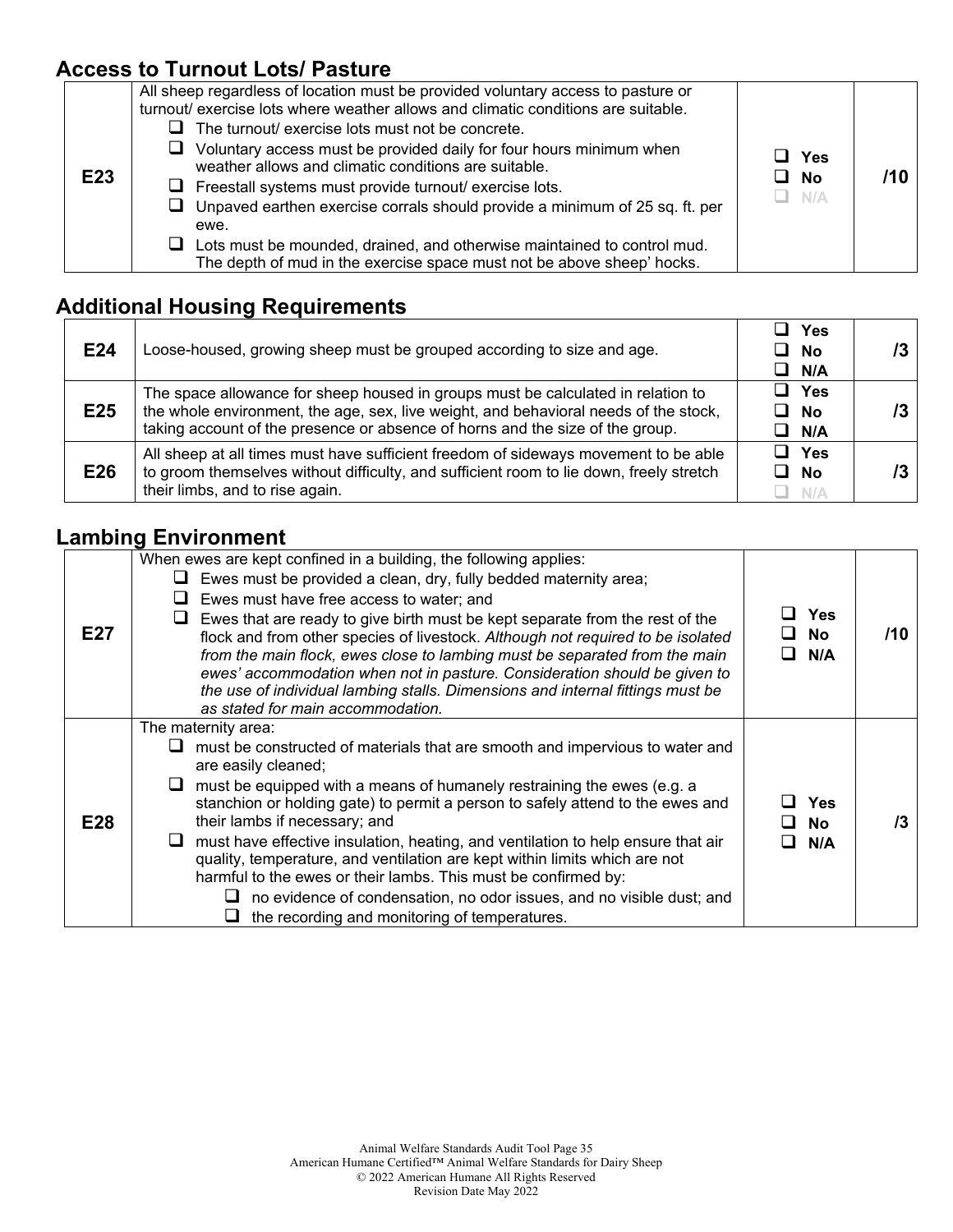## **Access to Turnout Lots/ Pasture**

| E23 | All sheep regardless of location must be provided voluntary access to pasture or<br>turnout/ exercise lots where weather allows and climatic conditions are suitable.<br>The turnout/ exercise lots must not be concrete.<br>Voluntary access must be provided daily for four hours minimum when<br>u.<br>weather allows and climatic conditions are suitable.<br>$\Box$ Freestall systems must provide turnout/ exercise lots.<br>$\Box$ Unpaved earthen exercise corrals should provide a minimum of 25 sq. ft. per<br>ewe.<br>Lots must be mounded, drained, and otherwise maintained to control mud.<br>ப<br>The depth of mud in the exercise space must not be above sheep' hocks. | Yes<br>$\Box$ No<br>$\Box$ N/A |  |
|-----|-----------------------------------------------------------------------------------------------------------------------------------------------------------------------------------------------------------------------------------------------------------------------------------------------------------------------------------------------------------------------------------------------------------------------------------------------------------------------------------------------------------------------------------------------------------------------------------------------------------------------------------------------------------------------------------------|--------------------------------|--|
|-----|-----------------------------------------------------------------------------------------------------------------------------------------------------------------------------------------------------------------------------------------------------------------------------------------------------------------------------------------------------------------------------------------------------------------------------------------------------------------------------------------------------------------------------------------------------------------------------------------------------------------------------------------------------------------------------------------|--------------------------------|--|

## **Additional Housing Requirements**

| E24 | Loose-housed, growing sheep must be grouped according to size and age.                                                                                                                                                                                    | Yes<br>$\Box$ No<br>$\Box$ N/A |  |
|-----|-----------------------------------------------------------------------------------------------------------------------------------------------------------------------------------------------------------------------------------------------------------|--------------------------------|--|
| E25 | The space allowance for sheep housed in groups must be calculated in relation to<br>the whole environment, the age, sex, live weight, and behavioral needs of the stock,<br>taking account of the presence or absence of horns and the size of the group. | $\square$ Yes<br>□ No<br>N/A   |  |
| E26 | All sheep at all times must have sufficient freedom of sideways movement to be able<br>to groom themselves without difficulty, and sufficient room to lie down, freely stretch<br>their limbs, and to rise again.                                         | $\Box$ Yes<br>□ No<br>N/A      |  |

┯

## **Lambing Environment**

| E27 | When ewes are kept confined in a building, the following applies:<br>Ewes must be provided a clean, dry, fully bedded maternity area;<br>Ewes must have free access to water; and<br>Ewes that are ready to give birth must be kept separate from the rest of the<br>flock and from other species of livestock. Although not required to be isolated<br>from the main flock, ewes close to lambing must be separated from the main<br>ewes' accommodation when not in pasture. Consideration should be given to<br>the use of individual lambing stalls. Dimensions and internal fittings must be<br>as stated for main accommodation.                                                     | <b>Yes</b><br>No.<br>N/A | /10 |
|-----|--------------------------------------------------------------------------------------------------------------------------------------------------------------------------------------------------------------------------------------------------------------------------------------------------------------------------------------------------------------------------------------------------------------------------------------------------------------------------------------------------------------------------------------------------------------------------------------------------------------------------------------------------------------------------------------------|--------------------------|-----|
| E28 | The maternity area:<br>must be constructed of materials that are smooth and impervious to water and<br>are easily cleaned;<br>must be equipped with a means of humanely restraining the ewes (e.g. a<br>ப<br>stanchion or holding gate) to permit a person to safely attend to the ewes and<br>their lambs if necessary; and<br>must have effective insulation, heating, and ventilation to help ensure that air<br>quality, temperature, and ventilation are kept within limits which are not<br>harmful to the ewes or their lambs. This must be confirmed by:<br>no evidence of condensation, no odor issues, and no visible dust; and<br>the recording and monitoring of temperatures. | Yes<br><b>No</b><br>N/A  | 73  |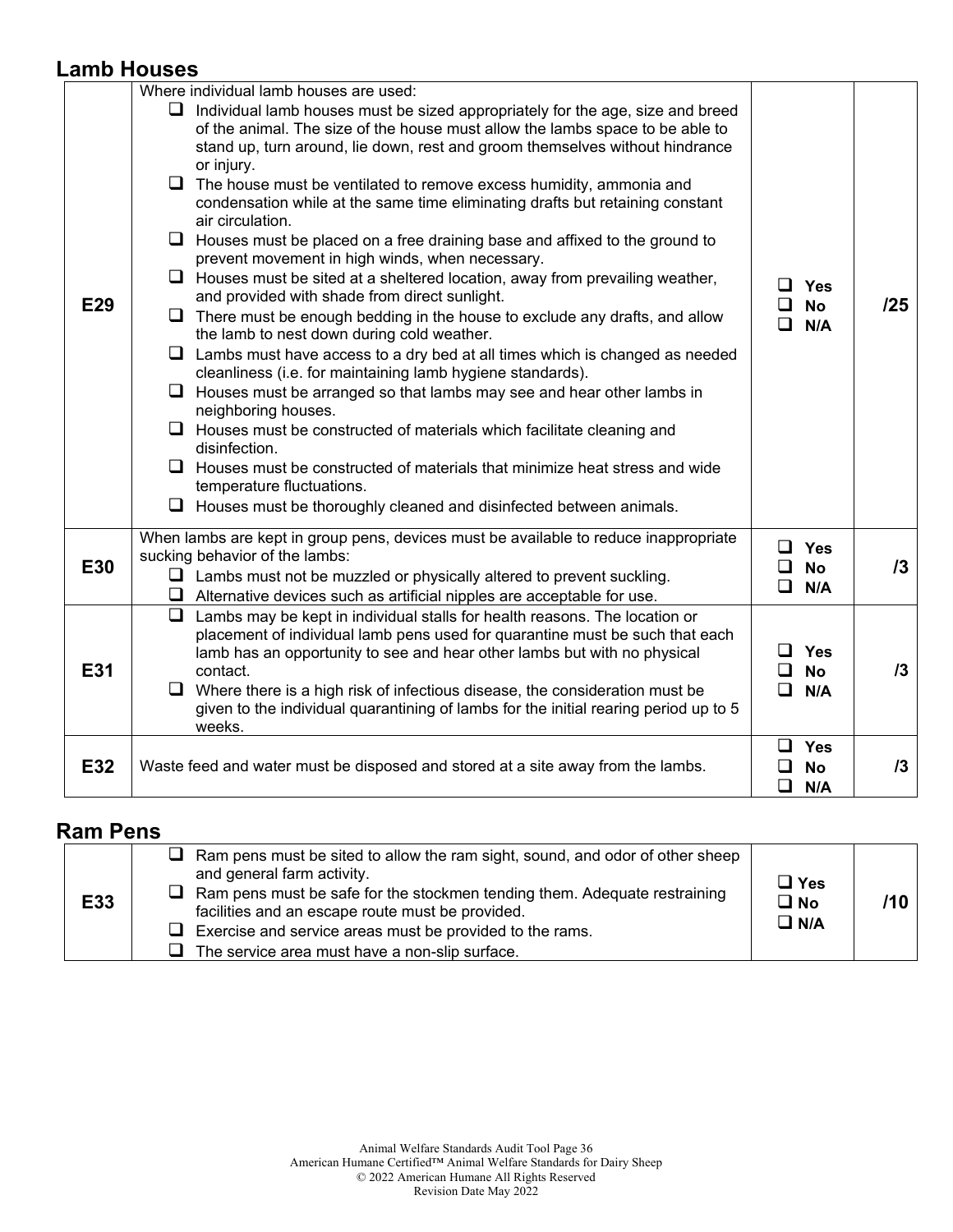#### **Lamb Houses**

|            | Where individual lamb houses are used:                                                                                                                                                                                                                                                                                                                                                                                                                                                                                                                                                                                                                                                                                                                                                                                                                                                                                                                                                                                                                                                                                                                                                                                                                                                                                                                                                                                             |                                                 |     |
|------------|------------------------------------------------------------------------------------------------------------------------------------------------------------------------------------------------------------------------------------------------------------------------------------------------------------------------------------------------------------------------------------------------------------------------------------------------------------------------------------------------------------------------------------------------------------------------------------------------------------------------------------------------------------------------------------------------------------------------------------------------------------------------------------------------------------------------------------------------------------------------------------------------------------------------------------------------------------------------------------------------------------------------------------------------------------------------------------------------------------------------------------------------------------------------------------------------------------------------------------------------------------------------------------------------------------------------------------------------------------------------------------------------------------------------------------|-------------------------------------------------|-----|
| <b>E29</b> | Individual lamb houses must be sized appropriately for the age, size and breed<br>ப<br>of the animal. The size of the house must allow the lambs space to be able to<br>stand up, turn around, lie down, rest and groom themselves without hindrance<br>or injury.<br>$\Box$ The house must be ventilated to remove excess humidity, ammonia and<br>condensation while at the same time eliminating drafts but retaining constant<br>air circulation.<br>$\Box$ Houses must be placed on a free draining base and affixed to the ground to<br>prevent movement in high winds, when necessary.<br>$\Box$ Houses must be sited at a sheltered location, away from prevailing weather,<br>and provided with shade from direct sunlight.<br>$\Box$ There must be enough bedding in the house to exclude any drafts, and allow<br>the lamb to nest down during cold weather.<br>$\Box$ Lambs must have access to a dry bed at all times which is changed as needed<br>cleanliness (i.e. for maintaining lamb hygiene standards).<br>$\Box$ Houses must be arranged so that lambs may see and hear other lambs in<br>neighboring houses.<br>$\Box$ Houses must be constructed of materials which facilitate cleaning and<br>disinfection.<br>$\Box$ Houses must be constructed of materials that minimize heat stress and wide<br>temperature fluctuations.<br>$\Box$ Houses must be thoroughly cleaned and disinfected between animals. | <b>Yes</b><br>□<br><b>No</b><br>П<br>N/A        | 125 |
| <b>E30</b> | When lambs are kept in group pens, devices must be available to reduce inappropriate<br>sucking behavior of the lambs:<br>$\Box$ Lambs must not be muzzled or physically altered to prevent suckling.<br>$\Box$ Alternative devices such as artificial nipples are acceptable for use.                                                                                                                                                                                                                                                                                                                                                                                                                                                                                                                                                                                                                                                                                                                                                                                                                                                                                                                                                                                                                                                                                                                                             | $\Box$ Yes<br>$\Box$<br><b>No</b><br>$\Box$ N/A | /3  |
| E31        | $\Box$<br>Lambs may be kept in individual stalls for health reasons. The location or<br>placement of individual lamb pens used for quarantine must be such that each<br>lamb has an opportunity to see and hear other lambs but with no physical<br>contact.<br>$\Box$ Where there is a high risk of infectious disease, the consideration must be<br>given to the individual quarantining of lambs for the initial rearing period up to 5<br>weeks.                                                                                                                                                                                                                                                                                                                                                                                                                                                                                                                                                                                                                                                                                                                                                                                                                                                                                                                                                                               | <b>Yes</b><br><b>No</b><br>ப<br>❏<br>N/A        | 13  |
| E32        | Waste feed and water must be disposed and stored at a site away from the lambs.                                                                                                                                                                                                                                                                                                                                                                                                                                                                                                                                                                                                                                                                                                                                                                                                                                                                                                                                                                                                                                                                                                                                                                                                                                                                                                                                                    | $\Box$<br>Yes<br>□<br><b>No</b><br>❏<br>N/A     | 13  |

#### **Ram Pens**

| <b>E33</b> | $\Box$ Ram pens must be sited to allow the ram sight, sound, and odor of other sheep<br>and general farm activity.<br>$\Box$ Ram pens must be safe for the stockmen tending them. Adequate restraining<br>facilities and an escape route must be provided.<br>$\Box$ Exercise and service areas must be provided to the rams.<br>$\Box$ The service area must have a non-slip surface. | $\Box$ Yes<br>$\square$ No<br>$\square$ N/A | /10 |
|------------|----------------------------------------------------------------------------------------------------------------------------------------------------------------------------------------------------------------------------------------------------------------------------------------------------------------------------------------------------------------------------------------|---------------------------------------------|-----|
|------------|----------------------------------------------------------------------------------------------------------------------------------------------------------------------------------------------------------------------------------------------------------------------------------------------------------------------------------------------------------------------------------------|---------------------------------------------|-----|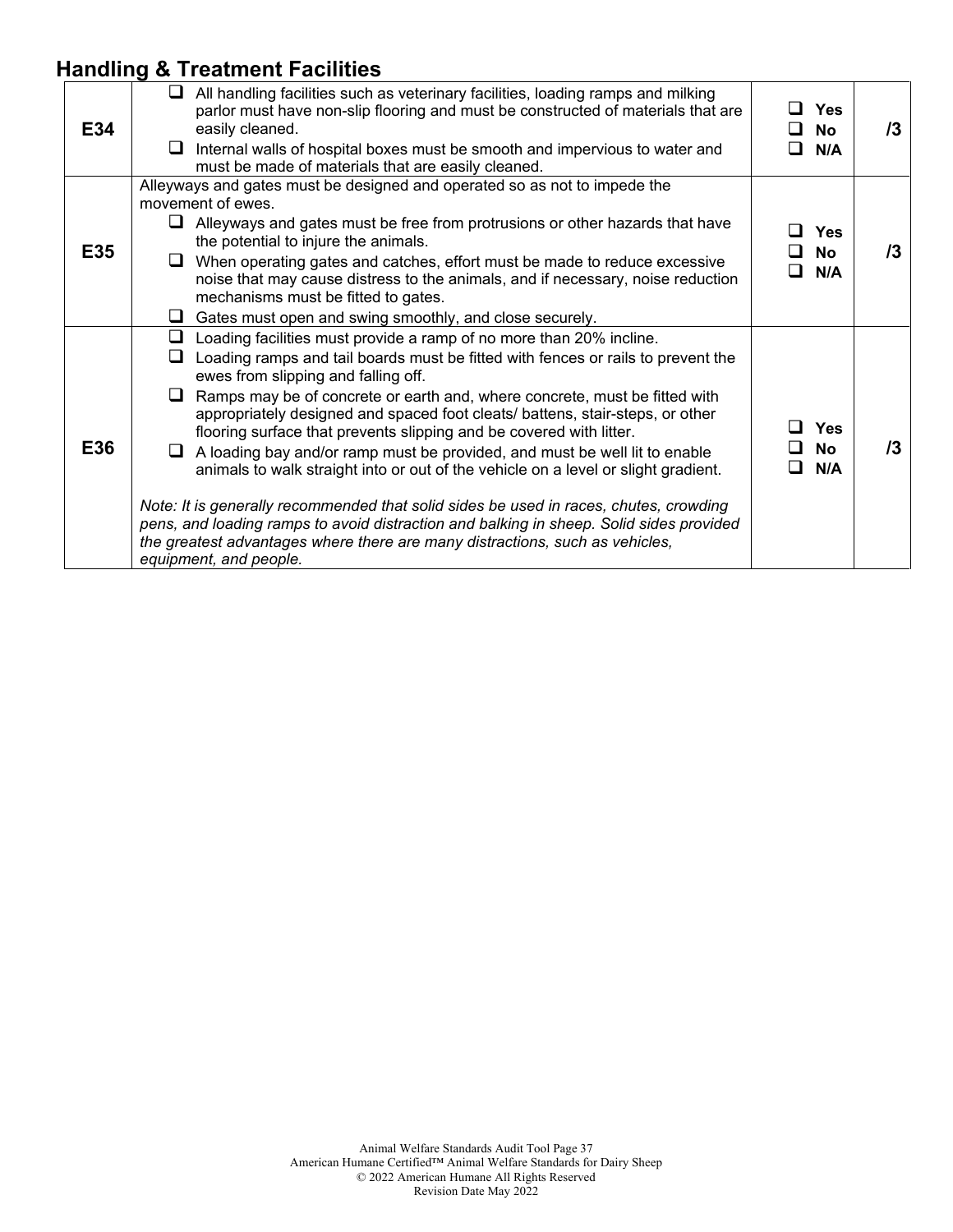## **Handling & Treatment Facilities**

| E34 | All handling facilities such as veterinary facilities, loading ramps and milking<br>ப<br>parlor must have non-slip flooring and must be constructed of materials that are<br>easily cleaned.<br>Internal walls of hospital boxes must be smooth and impervious to water and<br>u.<br>must be made of materials that are easily cleaned.                                                                                                                                                                                                                                                                                                                                                                                                                                                                                                                                                                                     | $\square$ Yes<br>⊔ No<br>N/A<br>□              | 73 |
|-----|-----------------------------------------------------------------------------------------------------------------------------------------------------------------------------------------------------------------------------------------------------------------------------------------------------------------------------------------------------------------------------------------------------------------------------------------------------------------------------------------------------------------------------------------------------------------------------------------------------------------------------------------------------------------------------------------------------------------------------------------------------------------------------------------------------------------------------------------------------------------------------------------------------------------------------|------------------------------------------------|----|
| E35 | Alleyways and gates must be designed and operated so as not to impede the<br>movement of ewes.<br>Alleyways and gates must be free from protrusions or other hazards that have<br>the potential to injure the animals.<br>When operating gates and catches, effort must be made to reduce excessive<br>⊔<br>noise that may cause distress to the animals, and if necessary, noise reduction<br>mechanisms must be fitted to gates.<br>Gates must open and swing smoothly, and close securely.<br>⊔.                                                                                                                                                                                                                                                                                                                                                                                                                         | <b>Yes</b><br>No<br>- 1<br>N/A                 | /3 |
| E36 | Loading facilities must provide a ramp of no more than 20% incline.<br>⊔<br>Loading ramps and tail boards must be fitted with fences or rails to prevent the<br>ப<br>ewes from slipping and falling off.<br>Ramps may be of concrete or earth and, where concrete, must be fitted with<br>u.<br>appropriately designed and spaced foot cleats/ battens, stair-steps, or other<br>flooring surface that prevents slipping and be covered with litter.<br>A loading bay and/or ramp must be provided, and must be well lit to enable<br>ப<br>animals to walk straight into or out of the vehicle on a level or slight gradient.<br>Note: It is generally recommended that solid sides be used in races, chutes, crowding<br>pens, and loading ramps to avoid distraction and balking in sheep. Solid sides provided<br>the greatest advantages where there are many distractions, such as vehicles,<br>equipment, and people. | □ Yes<br><b>No</b><br>ப<br>N/A<br>$\mathbf{I}$ | /3 |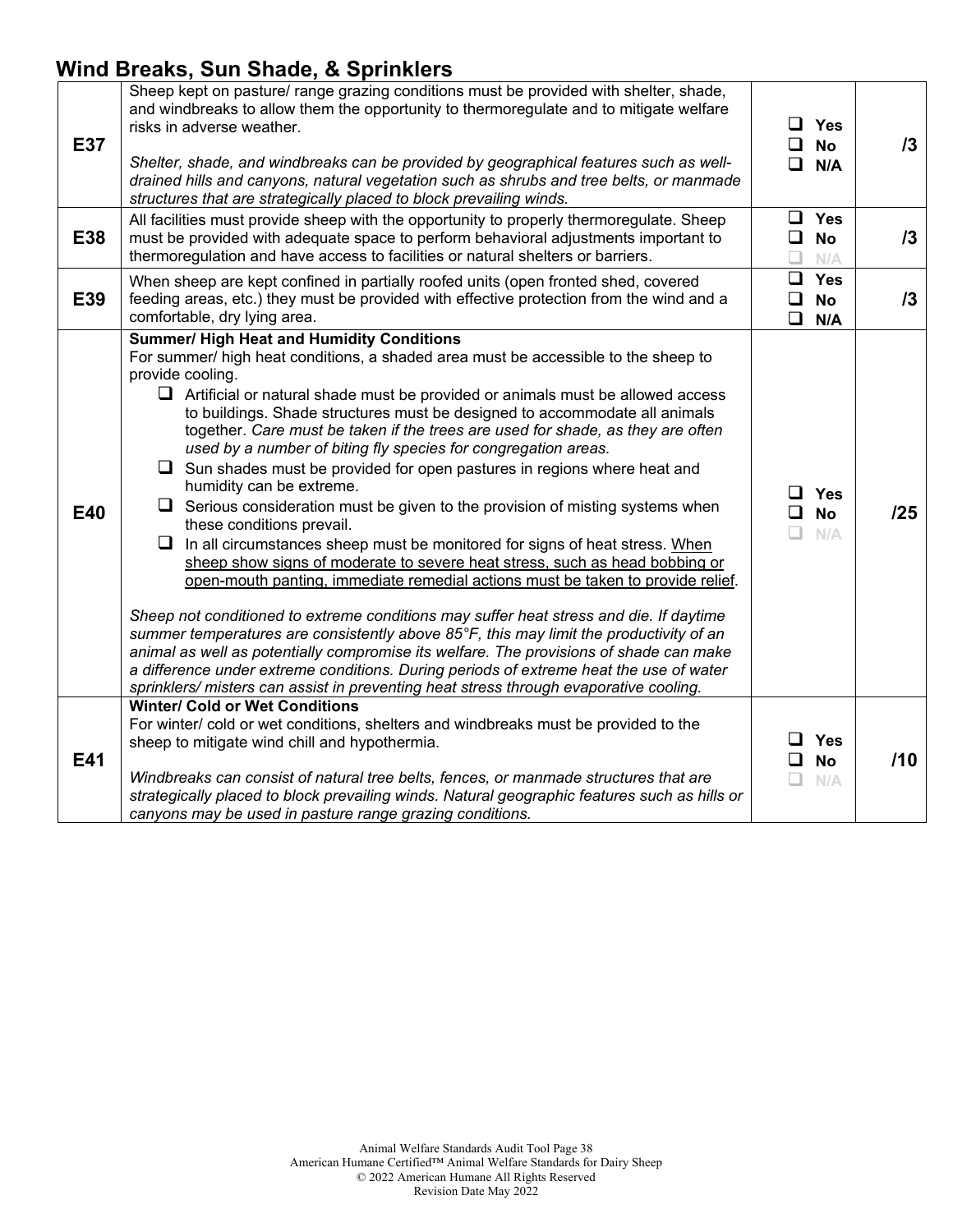## **Wind Breaks, Sun Shade, & Sprinklers**

| E37<br>E38 | Sheep kept on pasture/ range grazing conditions must be provided with shelter, shade,<br>and windbreaks to allow them the opportunity to thermoregulate and to mitigate welfare<br>risks in adverse weather.<br>Shelter, shade, and windbreaks can be provided by geographical features such as well-<br>drained hills and canyons, natural vegetation such as shrubs and tree belts, or manmade<br>structures that are strategically placed to block prevailing winds.<br>All facilities must provide sheep with the opportunity to properly thermoregulate. Sheep<br>must be provided with adequate space to perform behavioral adjustments important to<br>thermoregulation and have access to facilities or natural shelters or barriers.<br>When sheep are kept confined in partially roofed units (open fronted shed, covered                                                                                                                                                                                                                                                                                                                                                                                                                                                                                                                                                                                                               | ப                | $\Box$ Yes<br>$\Box$ No<br>$\Box$ N/A<br>$\Box$ Yes<br>$\square$ No<br>N/A<br>$\Box$ Yes | 13<br>13 |
|------------|---------------------------------------------------------------------------------------------------------------------------------------------------------------------------------------------------------------------------------------------------------------------------------------------------------------------------------------------------------------------------------------------------------------------------------------------------------------------------------------------------------------------------------------------------------------------------------------------------------------------------------------------------------------------------------------------------------------------------------------------------------------------------------------------------------------------------------------------------------------------------------------------------------------------------------------------------------------------------------------------------------------------------------------------------------------------------------------------------------------------------------------------------------------------------------------------------------------------------------------------------------------------------------------------------------------------------------------------------------------------------------------------------------------------------------------------------|------------------|------------------------------------------------------------------------------------------|----------|
| E39        | feeding areas, etc.) they must be provided with effective protection from the wind and a<br>comfortable, dry lying area.                                                                                                                                                                                                                                                                                                                                                                                                                                                                                                                                                                                                                                                                                                                                                                                                                                                                                                                                                                                                                                                                                                                                                                                                                                                                                                                          | $\Box$<br>$\Box$ | <b>No</b><br>N/A                                                                         | 13       |
| E40        | <b>Summer/ High Heat and Humidity Conditions</b><br>For summer/ high heat conditions, a shaded area must be accessible to the sheep to<br>provide cooling.<br>$\Box$ Artificial or natural shade must be provided or animals must be allowed access<br>to buildings. Shade structures must be designed to accommodate all animals<br>together. Care must be taken if the trees are used for shade, as they are often<br>used by a number of biting fly species for congregation areas.<br>$\Box$ Sun shades must be provided for open pastures in regions where heat and<br>humidity can be extreme.<br>$\Box$ Serious consideration must be given to the provision of misting systems when<br>these conditions prevail.<br>$\Box$ In all circumstances sheep must be monitored for signs of heat stress. When<br>sheep show signs of moderate to severe heat stress, such as head bobbing or<br>open-mouth panting, immediate remedial actions must be taken to provide relief.<br>Sheep not conditioned to extreme conditions may suffer heat stress and die. If daytime<br>summer temperatures are consistently above 85°F, this may limit the productivity of an<br>animal as well as potentially compromise its welfare. The provisions of shade can make<br>a difference under extreme conditions. During periods of extreme heat the use of water<br>sprinklers/ misters can assist in preventing heat stress through evaporative cooling. | <b>□</b>         | $\Box$ Yes<br><b>No</b><br>N/A                                                           | /25      |
| E41        | <b>Winter/ Cold or Wet Conditions</b><br>For winter/ cold or wet conditions, shelters and windbreaks must be provided to the<br>sheep to mitigate wind chill and hypothermia.<br>Windbreaks can consist of natural tree belts, fences, or manmade structures that are<br>strategically placed to block prevailing winds. Natural geographic features such as hills or<br>canyons may be used in pasture range grazing conditions.                                                                                                                                                                                                                                                                                                                                                                                                                                                                                                                                                                                                                                                                                                                                                                                                                                                                                                                                                                                                                 | $\Box$           | $\Box$ Yes<br><b>No</b><br>N/A                                                           | /10      |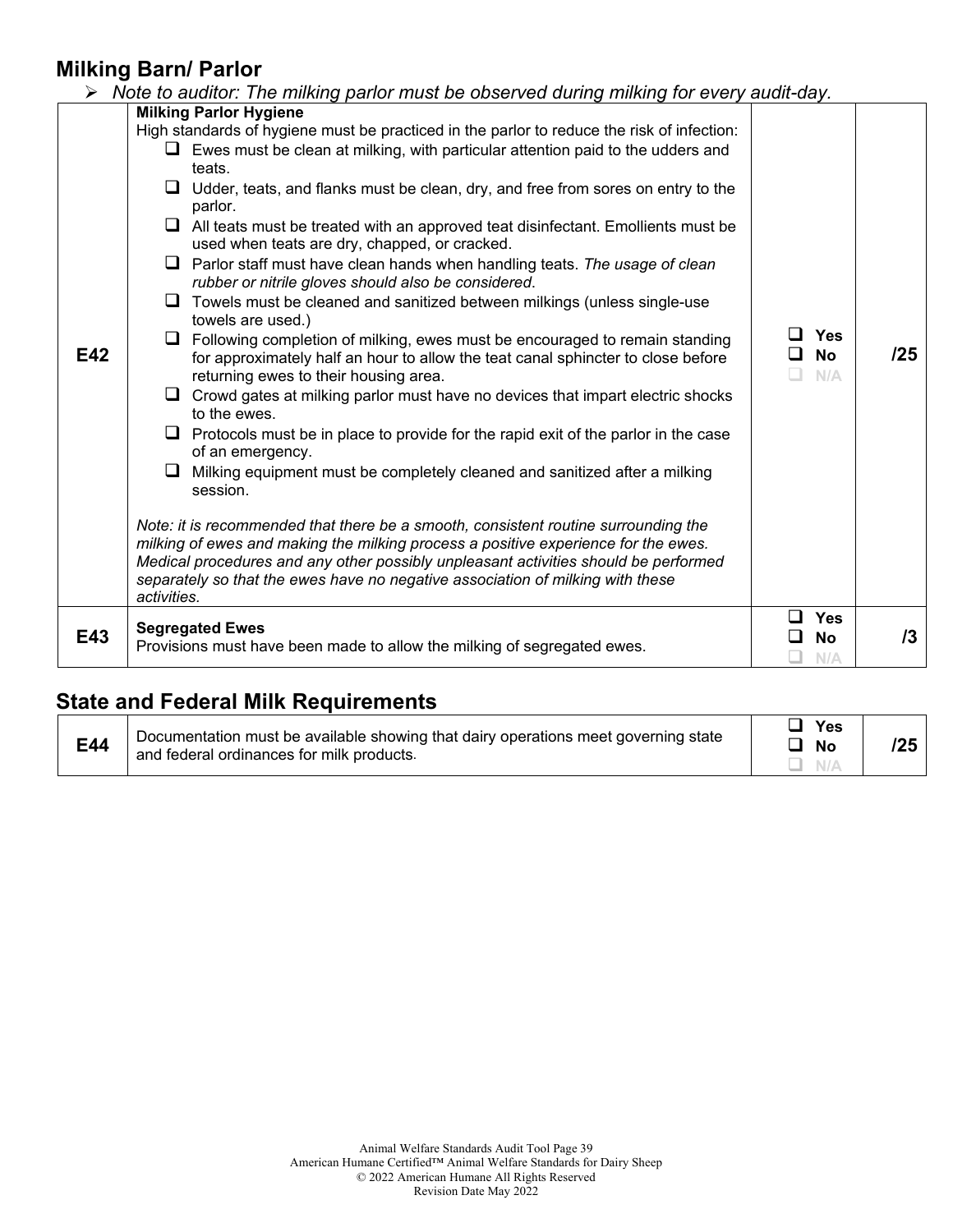### **Milking Barn/ Parlor**

|     | Note to auditor: The milking parlor must be observed during milking for every audit-day.                                                                                                                                                                                                                                                                         |                                |     |
|-----|------------------------------------------------------------------------------------------------------------------------------------------------------------------------------------------------------------------------------------------------------------------------------------------------------------------------------------------------------------------|--------------------------------|-----|
|     | <b>Milking Parlor Hygiene</b>                                                                                                                                                                                                                                                                                                                                    |                                |     |
|     | High standards of hygiene must be practiced in the parlor to reduce the risk of infection:                                                                                                                                                                                                                                                                       |                                |     |
|     | $\Box$ Ewes must be clean at milking, with particular attention paid to the udders and<br>teats.                                                                                                                                                                                                                                                                 |                                |     |
|     | Udder, teats, and flanks must be clean, dry, and free from sores on entry to the<br>⊔<br>parlor.                                                                                                                                                                                                                                                                 |                                |     |
|     | ⊔<br>All teats must be treated with an approved teat disinfectant. Emollients must be<br>used when teats are dry, chapped, or cracked.                                                                                                                                                                                                                           |                                |     |
|     | Parlor staff must have clean hands when handling teats. The usage of clean<br>⊔<br>rubber or nitrile gloves should also be considered.                                                                                                                                                                                                                           |                                |     |
|     | Towels must be cleaned and sanitized between milkings (unless single-use<br>⊔<br>towels are used.)                                                                                                                                                                                                                                                               |                                |     |
| E42 | Following completion of milking, ewes must be encouraged to remain standing<br>⊔<br>for approximately half an hour to allow the teat canal sphincter to close before<br>returning ewes to their housing area.                                                                                                                                                    | <b>Yes</b><br><b>No</b><br>N/A | /25 |
|     | Crowd gates at milking parlor must have no devices that impart electric shocks<br>⊔<br>to the ewes.                                                                                                                                                                                                                                                              |                                |     |
|     | ⊔<br>Protocols must be in place to provide for the rapid exit of the parlor in the case<br>of an emergency.                                                                                                                                                                                                                                                      |                                |     |
|     | Milking equipment must be completely cleaned and sanitized after a milking<br>⊔<br>session.                                                                                                                                                                                                                                                                      |                                |     |
|     | Note: it is recommended that there be a smooth, consistent routine surrounding the<br>milking of ewes and making the milking process a positive experience for the ewes.<br>Medical procedures and any other possibly unpleasant activities should be performed<br>separately so that the ewes have no negative association of milking with these<br>activities. |                                |     |
| E43 | <b>Segregated Ewes</b><br>Provisions must have been made to allow the milking of segregated ewes.                                                                                                                                                                                                                                                                | <b>Yes</b><br><b>No</b><br>N/A | 13  |

## **State and Federal Milk Requirements**

| E44 | Documentation must be available showing that dairy operations meet governing state<br>and federal ordinances for milk products. | Nο |  |
|-----|---------------------------------------------------------------------------------------------------------------------------------|----|--|
|-----|---------------------------------------------------------------------------------------------------------------------------------|----|--|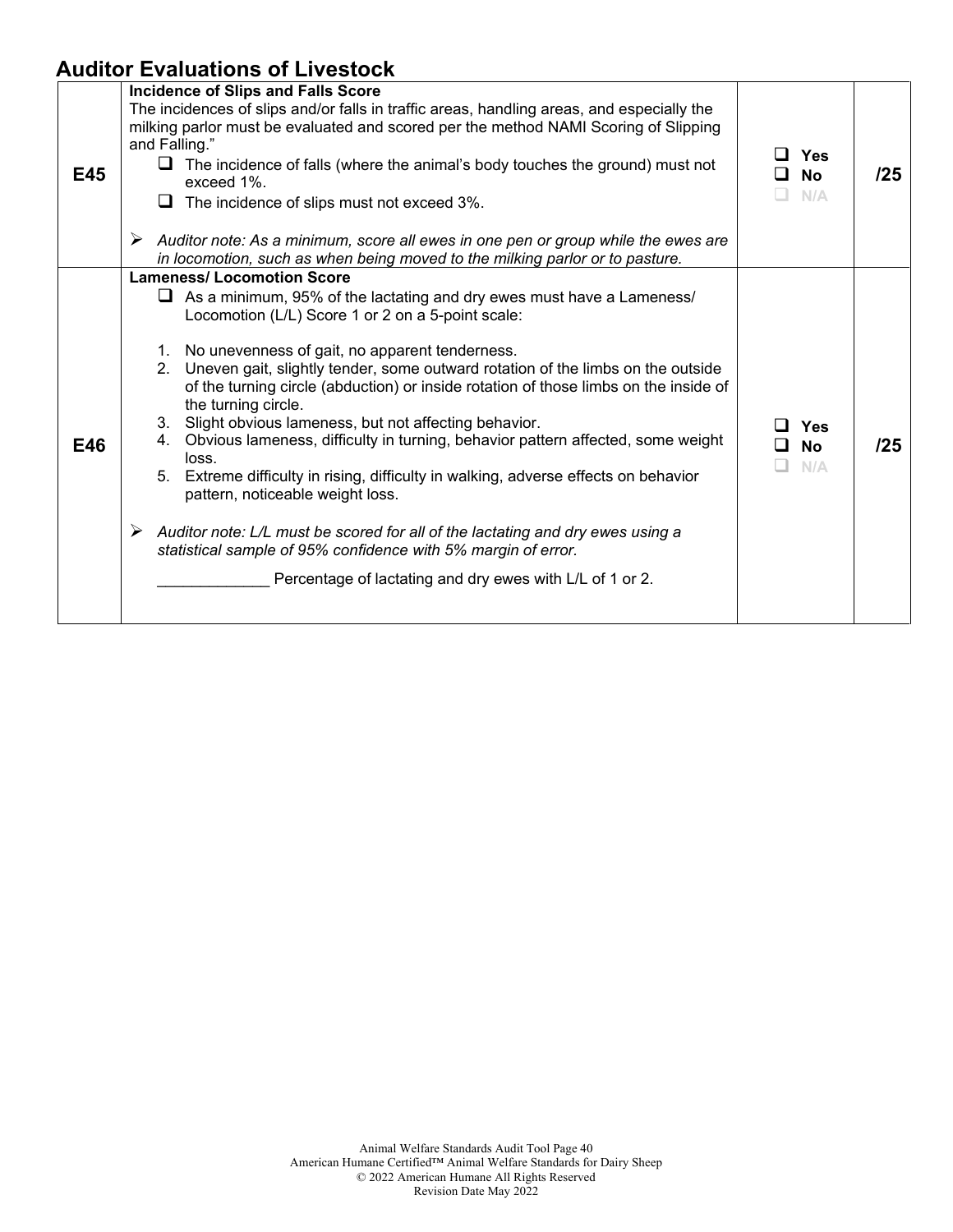## **Auditor Evaluations of Livestock**

|     | Incidence of Slips and Falls Score                                                                                                                                                                                                                                                                                                                                                                                                                                                                                                                                                                                                                                                                                                                                                                                                                                                                                                        |                                 |     |
|-----|-------------------------------------------------------------------------------------------------------------------------------------------------------------------------------------------------------------------------------------------------------------------------------------------------------------------------------------------------------------------------------------------------------------------------------------------------------------------------------------------------------------------------------------------------------------------------------------------------------------------------------------------------------------------------------------------------------------------------------------------------------------------------------------------------------------------------------------------------------------------------------------------------------------------------------------------|---------------------------------|-----|
| E45 | The incidences of slips and/or falls in traffic areas, handling areas, and especially the<br>milking parlor must be evaluated and scored per the method NAMI Scoring of Slipping<br>and Falling."<br>$\Box$ The incidence of falls (where the animal's body touches the ground) must not<br>exceed 1%.<br>$\Box$ The incidence of slips must not exceed 3%.<br>Auditor note: As a minimum, score all ewes in one pen or group while the ewes are                                                                                                                                                                                                                                                                                                                                                                                                                                                                                          | $\Box$ Yes<br>□ No<br>N/A<br>H. | /25 |
|     | in locomotion, such as when being moved to the milking parlor or to pasture.                                                                                                                                                                                                                                                                                                                                                                                                                                                                                                                                                                                                                                                                                                                                                                                                                                                              |                                 |     |
| E46 | <b>Lameness/ Locomotion Score</b><br>$\Box$ As a minimum, 95% of the lactating and dry ewes must have a Lameness/<br>Locomotion (L/L) Score 1 or 2 on a 5-point scale:<br>1. No unevenness of gait, no apparent tenderness.<br>2. Uneven gait, slightly tender, some outward rotation of the limbs on the outside<br>of the turning circle (abduction) or inside rotation of those limbs on the inside of<br>the turning circle.<br>3. Slight obvious lameness, but not affecting behavior.<br>4. Obvious lameness, difficulty in turning, behavior pattern affected, some weight<br>loss.<br>5. Extreme difficulty in rising, difficulty in walking, adverse effects on behavior<br>pattern, noticeable weight loss.<br>Auditor note: L/L must be scored for all of the lactating and dry ewes using a<br>➤<br>statistical sample of 95% confidence with 5% margin of error.<br>Percentage of lactating and dry ewes with L/L of 1 or 2. | Yes<br>l 1<br>□ No<br>N/A       | 125 |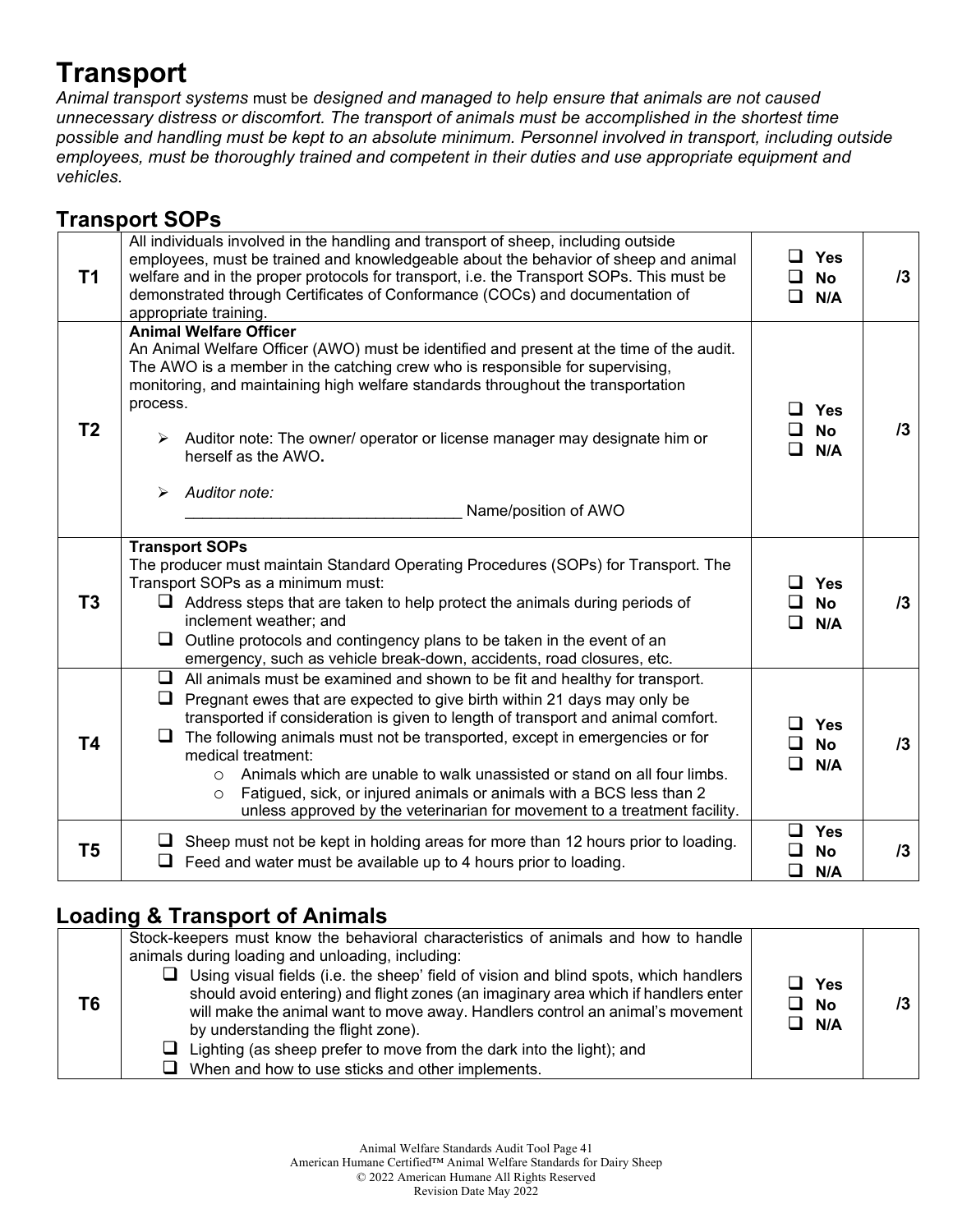## **Transport**

*Animal transport systems* must be *designed and managed to help ensure that animals are not caused unnecessary distress or discomfort. The transport of animals must be accomplished in the shortest time possible and handling must be kept to an absolute minimum. Personnel involved in transport, including outside employees, must be thoroughly trained and competent in their duties and use appropriate equipment and vehicles.*

## **Transport SOPs**

| T1             | All individuals involved in the handling and transport of sheep, including outside<br>employees, must be trained and knowledgeable about the behavior of sheep and animal<br>welfare and in the proper protocols for transport, i.e. the Transport SOPs. This must be<br>demonstrated through Certificates of Conformance (COCs) and documentation of<br>appropriate training.                                                                                                                                                                                                                                | <b>Yes</b><br><b>No</b><br>ப<br>□<br>N/A       | 13 |
|----------------|---------------------------------------------------------------------------------------------------------------------------------------------------------------------------------------------------------------------------------------------------------------------------------------------------------------------------------------------------------------------------------------------------------------------------------------------------------------------------------------------------------------------------------------------------------------------------------------------------------------|------------------------------------------------|----|
| T <sub>2</sub> | <b>Animal Welfare Officer</b><br>An Animal Welfare Officer (AWO) must be identified and present at the time of the audit.<br>The AWO is a member in the catching crew who is responsible for supervising,<br>monitoring, and maintaining high welfare standards throughout the transportation<br>process.<br>$\triangleright$ Auditor note: The owner/ operator or license manager may designate him or<br>herself as the AWO.<br>Auditor note:<br>➤<br>Name/position of AWO                                                                                                                                  | Yes<br>$\mathbf{I}$<br><b>No</b><br>N/A        | /3 |
| T <sub>3</sub> | <b>Transport SOPs</b><br>The producer must maintain Standard Operating Procedures (SOPs) for Transport. The<br>Transport SOPs as a minimum must:<br>$\Box$ Address steps that are taken to help protect the animals during periods of<br>inclement weather; and<br>Outline protocols and contingency plans to be taken in the event of an<br>emergency, such as vehicle break-down, accidents, road closures, etc.                                                                                                                                                                                            | <b>Yes</b><br>$\perp$<br><b>No</b><br>N/A<br>ப | 13 |
| <b>T4</b>      | $\Box$ All animals must be examined and shown to be fit and healthy for transport.<br>Pregnant ewes that are expected to give birth within 21 days may only be<br>transported if consideration is given to length of transport and animal comfort.<br>The following animals must not be transported, except in emergencies or for<br>medical treatment:<br>Animals which are unable to walk unassisted or stand on all four limbs.<br>$\circ$<br>Fatigued, sick, or injured animals or animals with a BCS less than 2<br>$\circ$<br>unless approved by the veterinarian for movement to a treatment facility. | Yes<br>l I<br><b>No</b><br>N/A<br>ப            | 13 |
| T <sub>5</sub> | $\Box$ Sheep must not be kept in holding areas for more than 12 hours prior to loading.<br>$\Box$ Feed and water must be available up to 4 hours prior to loading.                                                                                                                                                                                                                                                                                                                                                                                                                                            | $\Box$<br><b>Yes</b><br><b>No</b><br>◻<br>N/A  | 13 |

### **Loading & Transport of Animals**

| T6 | Stock-keepers must know the behavioral characteristics of animals and how to handle<br>animals during loading and unloading, including:<br>$\Box$ Using visual fields (i.e. the sheep' field of vision and blind spots, which handlers<br>should avoid entering) and flight zones (an imaginary area which if handlers enter<br>will make the animal want to move away. Handlers control an animal's movement<br>by understanding the flight zone).<br>$\Box$ Lighting (as sheep prefer to move from the dark into the light); and<br>$\Box$ When and how to use sticks and other implements. | $\sqcup$ Yes<br>$\Box$ No<br>$\Box$ N/A |  |
|----|-----------------------------------------------------------------------------------------------------------------------------------------------------------------------------------------------------------------------------------------------------------------------------------------------------------------------------------------------------------------------------------------------------------------------------------------------------------------------------------------------------------------------------------------------------------------------------------------------|-----------------------------------------|--|
|----|-----------------------------------------------------------------------------------------------------------------------------------------------------------------------------------------------------------------------------------------------------------------------------------------------------------------------------------------------------------------------------------------------------------------------------------------------------------------------------------------------------------------------------------------------------------------------------------------------|-----------------------------------------|--|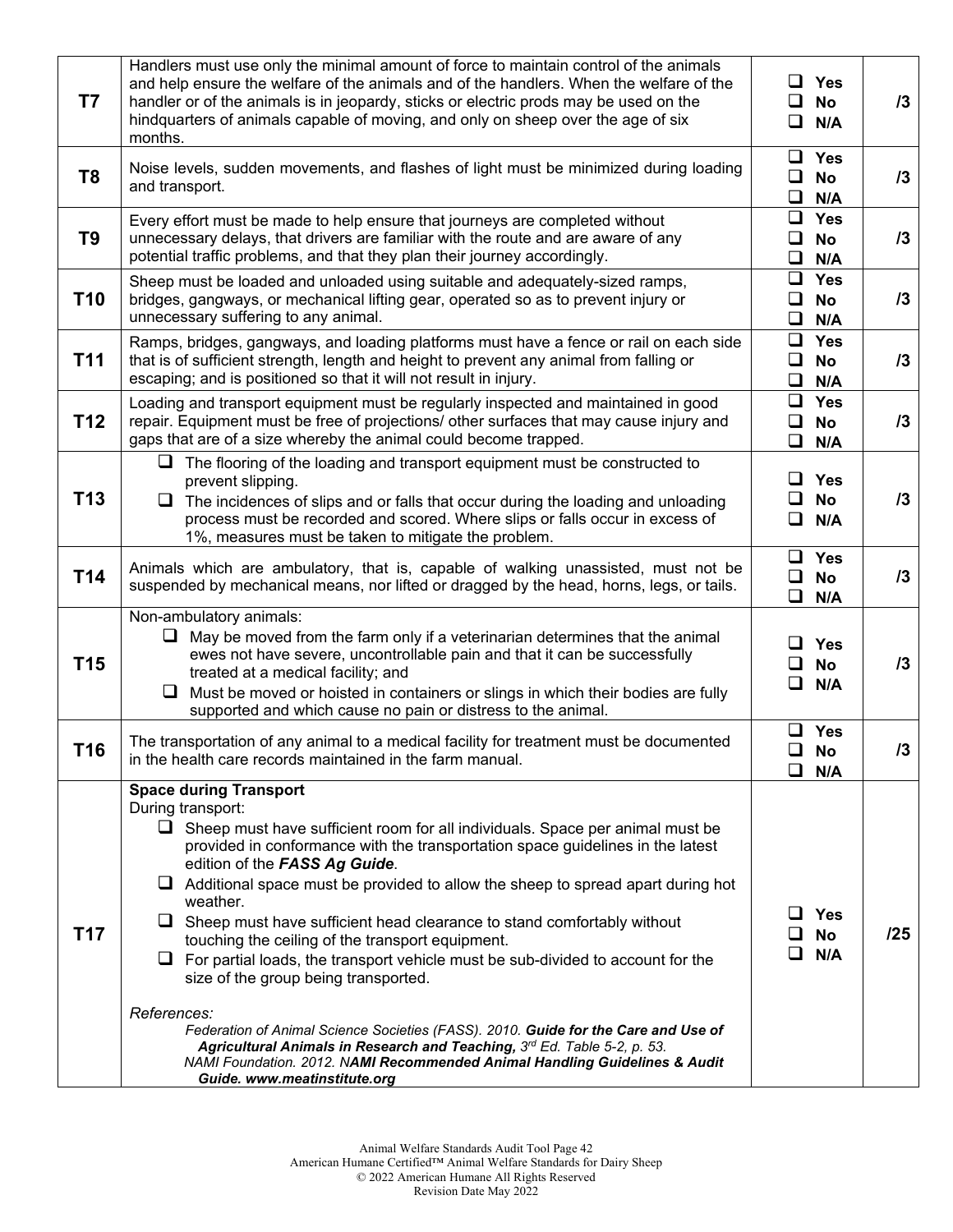| T7              | Handlers must use only the minimal amount of force to maintain control of the animals<br>and help ensure the welfare of the animals and of the handlers. When the welfare of the<br>handler or of the animals is in jeopardy, sticks or electric prods may be used on the<br>hindquarters of animals capable of moving, and only on sheep over the age of six<br>months.                                                                                                                                                                                                                                                                                                                                                                                                                                                                                                                                                                  | ⊔ ⊢<br>ப<br>ப              | Yes<br><b>No</b><br>N/A               | 13  |
|-----------------|-------------------------------------------------------------------------------------------------------------------------------------------------------------------------------------------------------------------------------------------------------------------------------------------------------------------------------------------------------------------------------------------------------------------------------------------------------------------------------------------------------------------------------------------------------------------------------------------------------------------------------------------------------------------------------------------------------------------------------------------------------------------------------------------------------------------------------------------------------------------------------------------------------------------------------------------|----------------------------|---------------------------------------|-----|
| T <sub>8</sub>  | Noise levels, sudden movements, and flashes of light must be minimized during loading<br>and transport.                                                                                                                                                                                                                                                                                                                                                                                                                                                                                                                                                                                                                                                                                                                                                                                                                                   | ப<br>$\Box$                | $\Box$ Yes<br><b>No</b><br>N/A        | 13  |
| T <sub>9</sub>  | Every effort must be made to help ensure that journeys are completed without<br>unnecessary delays, that drivers are familiar with the route and are aware of any<br>potential traffic problems, and that they plan their journey accordingly.                                                                                                                                                                                                                                                                                                                                                                                                                                                                                                                                                                                                                                                                                            | $\Box$<br>$\Box$<br>$\Box$ | <b>Yes</b><br>No<br>N/A               | 13  |
| T <sub>10</sub> | Sheep must be loaded and unloaded using suitable and adequately-sized ramps,<br>bridges, gangways, or mechanical lifting gear, operated so as to prevent injury or<br>unnecessary suffering to any animal.                                                                                                                                                                                                                                                                                                                                                                                                                                                                                                                                                                                                                                                                                                                                | 0<br>ப<br>$\Box$           | <b>Yes</b><br><b>No</b><br>N/A        | 13  |
| T <sub>11</sub> | Ramps, bridges, gangways, and loading platforms must have a fence or rail on each side<br>that is of sufficient strength, length and height to prevent any animal from falling or<br>escaping; and is positioned so that it will not result in injury.                                                                                                                                                                                                                                                                                                                                                                                                                                                                                                                                                                                                                                                                                    | 0<br>$\Box$                | $\Box$ Yes<br>No<br>N/A               | 13  |
| T <sub>12</sub> | Loading and transport equipment must be regularly inspected and maintained in good<br>repair. Equipment must be free of projections/ other surfaces that may cause injury and<br>gaps that are of a size whereby the animal could become trapped.                                                                                                                                                                                                                                                                                                                                                                                                                                                                                                                                                                                                                                                                                         | Q.<br>O<br>$\Box$          | <b>Yes</b><br>No<br>N/A               | 13  |
| T <sub>13</sub> | $\Box$ The flooring of the loading and transport equipment must be constructed to<br>prevent slipping.<br>$\Box$ The incidences of slips and or falls that occur during the loading and unloading<br>process must be recorded and scored. Where slips or falls occur in excess of<br>1%, measures must be taken to mitigate the problem.                                                                                                                                                                                                                                                                                                                                                                                                                                                                                                                                                                                                  | ⊔.<br>ப<br>❏               | <b>Yes</b><br><b>No</b><br>N/A        | 13  |
| T14             | Animals which are ambulatory, that is, capable of walking unassisted, must not be<br>suspended by mechanical means, nor lifted or dragged by the head, horns, legs, or tails.                                                                                                                                                                                                                                                                                                                                                                                                                                                                                                                                                                                                                                                                                                                                                             | 0<br>Q.                    | $\Box$ Yes<br>No<br>N/A               | 13  |
| T <sub>15</sub> | Non-ambulatory animals:<br>May be moved from the farm only if a veterinarian determines that the animal<br>u<br>ewes not have severe, uncontrollable pain and that it can be successfully<br>treated at a medical facility; and<br>Must be moved or hoisted in containers or slings in which their bodies are fully<br>❏<br>supported and which cause no pain or distress to the animal.                                                                                                                                                                                                                                                                                                                                                                                                                                                                                                                                                  | ப<br>ப                     | $\Box$ Yes<br><b>No</b><br>N/A        | 13  |
| T <sub>16</sub> | The transportation of any animal to a medical facility for treatment must be documented<br>in the health care records maintained in the farm manual.                                                                                                                                                                                                                                                                                                                                                                                                                                                                                                                                                                                                                                                                                                                                                                                      |                            | $\Box$ Yes<br>$\Box$ No<br>$\Box$ N/A | 13. |
| T17             | <b>Space during Transport</b><br>During transport:<br>$\Box$ Sheep must have sufficient room for all individuals. Space per animal must be<br>provided in conformance with the transportation space guidelines in the latest<br>edition of the FASS Ag Guide.<br>$\Box$ Additional space must be provided to allow the sheep to spread apart during hot<br>weather.<br>$\Box$ Sheep must have sufficient head clearance to stand comfortably without<br>touching the ceiling of the transport equipment.<br>$\Box$ For partial loads, the transport vehicle must be sub-divided to account for the<br>size of the group being transported.<br>References:<br>Federation of Animal Science Societies (FASS). 2010. Guide for the Care and Use of<br>Agricultural Animals in Research and Teaching, 3rd Ed. Table 5-2, p. 53.<br>NAMI Foundation. 2012. NAMI Recommended Animal Handling Guidelines & Audit<br>Guide. www.meatinstitute.org |                            | <b>Yes</b><br>No<br>N/A               | /25 |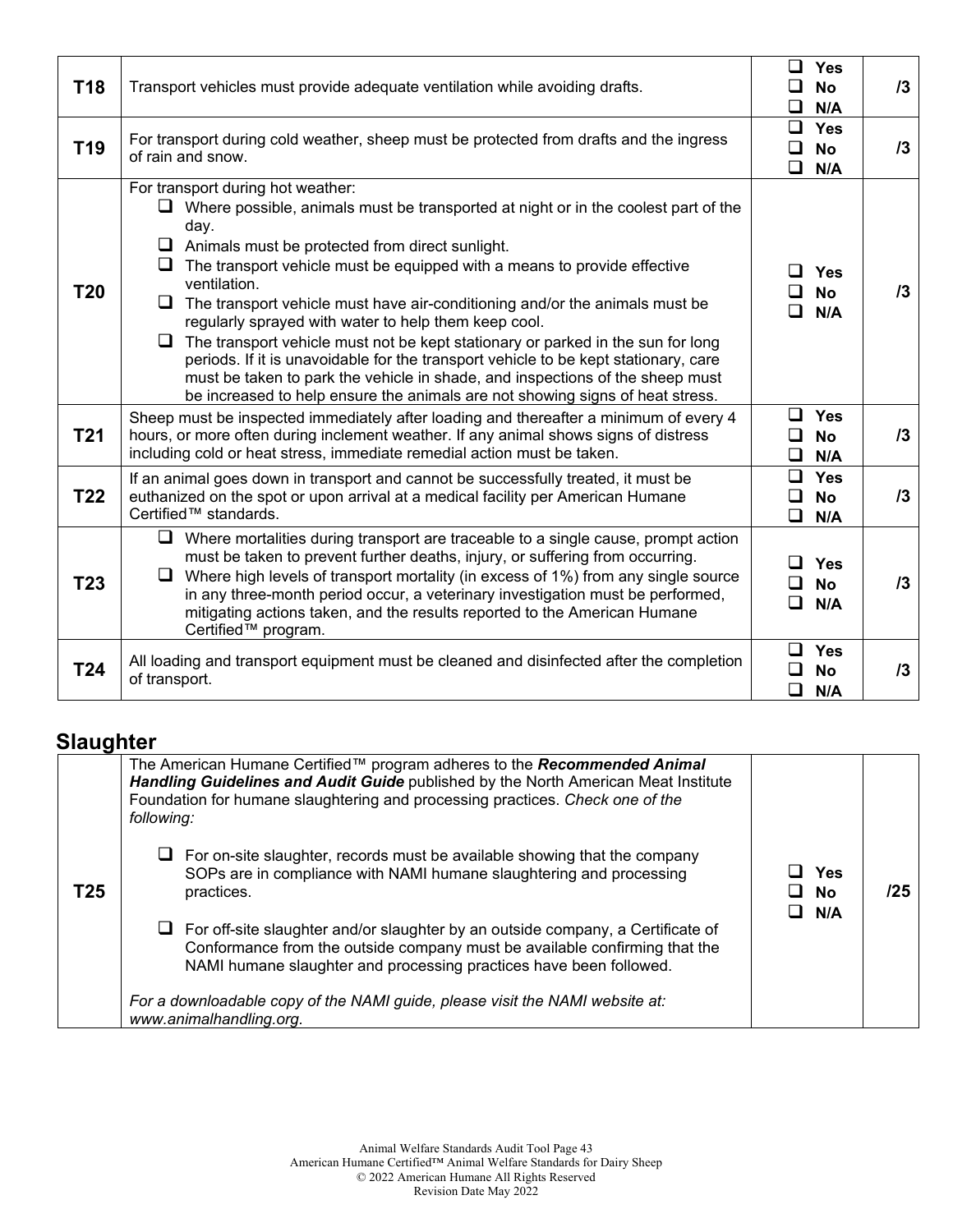| <b>T18</b>      | Transport vehicles must provide adequate ventilation while avoiding drafts.                                                                                                                                                                                                                                                                                                                                                                                                                                                                                                                                                                                                                                                                                                                          | Yes<br>ப<br><b>No</b><br>◻<br>N/A                       | $\sqrt{3}$ |
|-----------------|------------------------------------------------------------------------------------------------------------------------------------------------------------------------------------------------------------------------------------------------------------------------------------------------------------------------------------------------------------------------------------------------------------------------------------------------------------------------------------------------------------------------------------------------------------------------------------------------------------------------------------------------------------------------------------------------------------------------------------------------------------------------------------------------------|---------------------------------------------------------|------------|
| T <sub>19</sub> | For transport during cold weather, sheep must be protected from drafts and the ingress<br>of rain and snow.                                                                                                                                                                                                                                                                                                                                                                                                                                                                                                                                                                                                                                                                                          | Yes<br>$\Box$<br>◻<br><b>No</b><br>❏<br>N/A             | $\sqrt{3}$ |
| T20             | For transport during hot weather:<br>$\Box$ Where possible, animals must be transported at night or in the coolest part of the<br>day.<br>$\Box$ Animals must be protected from direct sunlight.<br>$\Box$ The transport vehicle must be equipped with a means to provide effective<br>ventilation.<br>$\Box$ The transport vehicle must have air-conditioning and/or the animals must be<br>regularly sprayed with water to help them keep cool.<br>$\Box$ The transport vehicle must not be kept stationary or parked in the sun for long<br>periods. If it is unavoidable for the transport vehicle to be kept stationary, care<br>must be taken to park the vehicle in shade, and inspections of the sheep must<br>be increased to help ensure the animals are not showing signs of heat stress. | <b>Yes</b><br>LΙ<br><b>No</b><br>N/A<br>ப               | 13         |
| <b>T21</b>      | Sheep must be inspected immediately after loading and thereafter a minimum of every 4<br>hours, or more often during inclement weather. If any animal shows signs of distress<br>including cold or heat stress, immediate remedial action must be taken.                                                                                                                                                                                                                                                                                                                                                                                                                                                                                                                                             | $\Box$ Yes<br>◻<br><b>No</b><br>$\Box$<br>N/A           | 13         |
| <b>T22</b>      | If an animal goes down in transport and cannot be successfully treated, it must be<br>euthanized on the spot or upon arrival at a medical facility per American Humane<br>Certified™ standards.                                                                                                                                                                                                                                                                                                                                                                                                                                                                                                                                                                                                      | $\Box$<br><b>Yes</b><br>◻<br><b>No</b><br>$\Box$<br>N/A | 13         |
| T <sub>23</sub> | $\Box$ Where mortalities during transport are traceable to a single cause, prompt action<br>must be taken to prevent further deaths, injury, or suffering from occurring.<br>$\Box$ Where high levels of transport mortality (in excess of 1%) from any single source<br>in any three-month period occur, a veterinary investigation must be performed,<br>mitigating actions taken, and the results reported to the American Humane<br>Certified™ program.                                                                                                                                                                                                                                                                                                                                          | $\Box$<br><b>Yes</b><br>◻<br><b>No</b><br>◻<br>N/A      | 13         |
| T24             | All loading and transport equipment must be cleaned and disinfected after the completion<br>of transport.                                                                                                                                                                                                                                                                                                                                                                                                                                                                                                                                                                                                                                                                                            | Yes<br>$\Box$<br>◻<br><b>No</b><br>$\Box$<br>N/A        | 13         |

## **Slaughter**

|     | The American Humane Certified™ program adheres to the Recommended Animal<br>Handling Guidelines and Audit Guide published by the North American Meat Institute<br>Foundation for humane slaughtering and processing practices. Check one of the<br>following: |                    |     |
|-----|---------------------------------------------------------------------------------------------------------------------------------------------------------------------------------------------------------------------------------------------------------------|--------------------|-----|
| T25 | For on-site slaughter, records must be available showing that the company<br>SOPs are in compliance with NAMI humane slaughtering and processing<br>practices.                                                                                                | Yes<br>⊔ No<br>N/A | /25 |
|     | For off-site slaughter and/or slaughter by an outside company, a Certificate of<br>Conformance from the outside company must be available confirming that the<br>NAMI humane slaughter and processing practices have been followed.                           |                    |     |
|     | For a downloadable copy of the NAMI guide, please visit the NAMI website at:<br>www.animalhandling.org.                                                                                                                                                       |                    |     |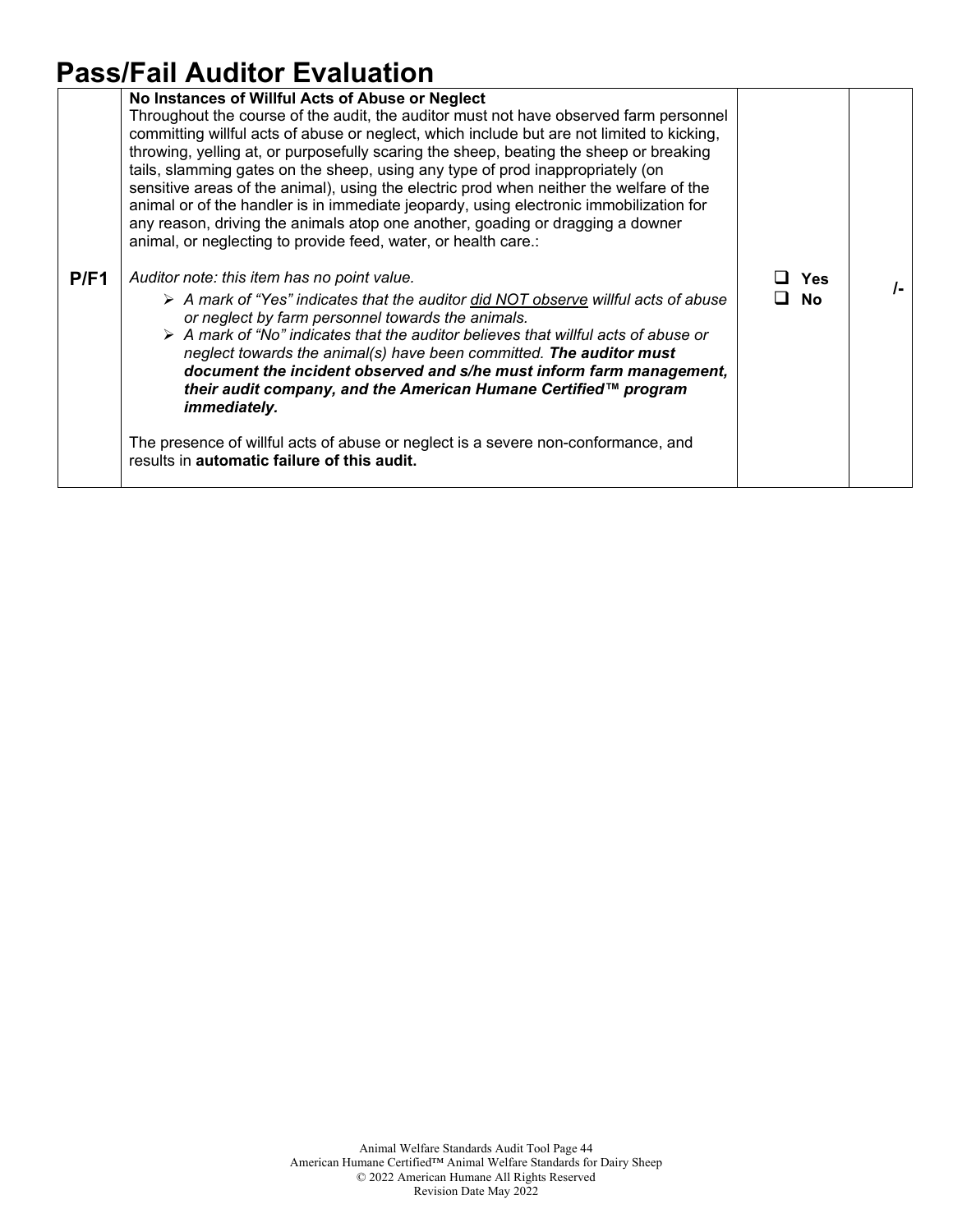## **Pass/Fail Auditor Evaluation**

|      | No Instances of Willful Acts of Abuse or Neglect<br>Throughout the course of the audit, the auditor must not have observed farm personnel<br>committing willful acts of abuse or neglect, which include but are not limited to kicking,<br>throwing, yelling at, or purposefully scaring the sheep, beating the sheep or breaking<br>tails, slamming gates on the sheep, using any type of prod inappropriately (on<br>sensitive areas of the animal), using the electric prod when neither the welfare of the<br>animal or of the handler is in immediate jeopardy, using electronic immobilization for<br>any reason, driving the animals atop one another, goading or dragging a downer |                         |    |
|------|--------------------------------------------------------------------------------------------------------------------------------------------------------------------------------------------------------------------------------------------------------------------------------------------------------------------------------------------------------------------------------------------------------------------------------------------------------------------------------------------------------------------------------------------------------------------------------------------------------------------------------------------------------------------------------------------|-------------------------|----|
|      | animal, or neglecting to provide feed, water, or health care.:                                                                                                                                                                                                                                                                                                                                                                                                                                                                                                                                                                                                                             |                         |    |
| P/F1 | Auditor note: this item has no point value.<br>A mark of "Yes" indicates that the auditor did NOT observe willful acts of abuse<br>or neglect by farm personnel towards the animals.<br>$\triangleright$ A mark of "No" indicates that the auditor believes that willful acts of abuse or<br>neglect towards the animal(s) have been committed. The auditor must<br>document the incident observed and s/he must inform farm management,<br>their audit company, and the American Humane Certified™ program<br>immediately.<br>The presence of willful acts of abuse or neglect is a severe non-conformance, and<br>results in automatic failure of this audit.                            | <b>Yes</b><br><b>No</b> | I- |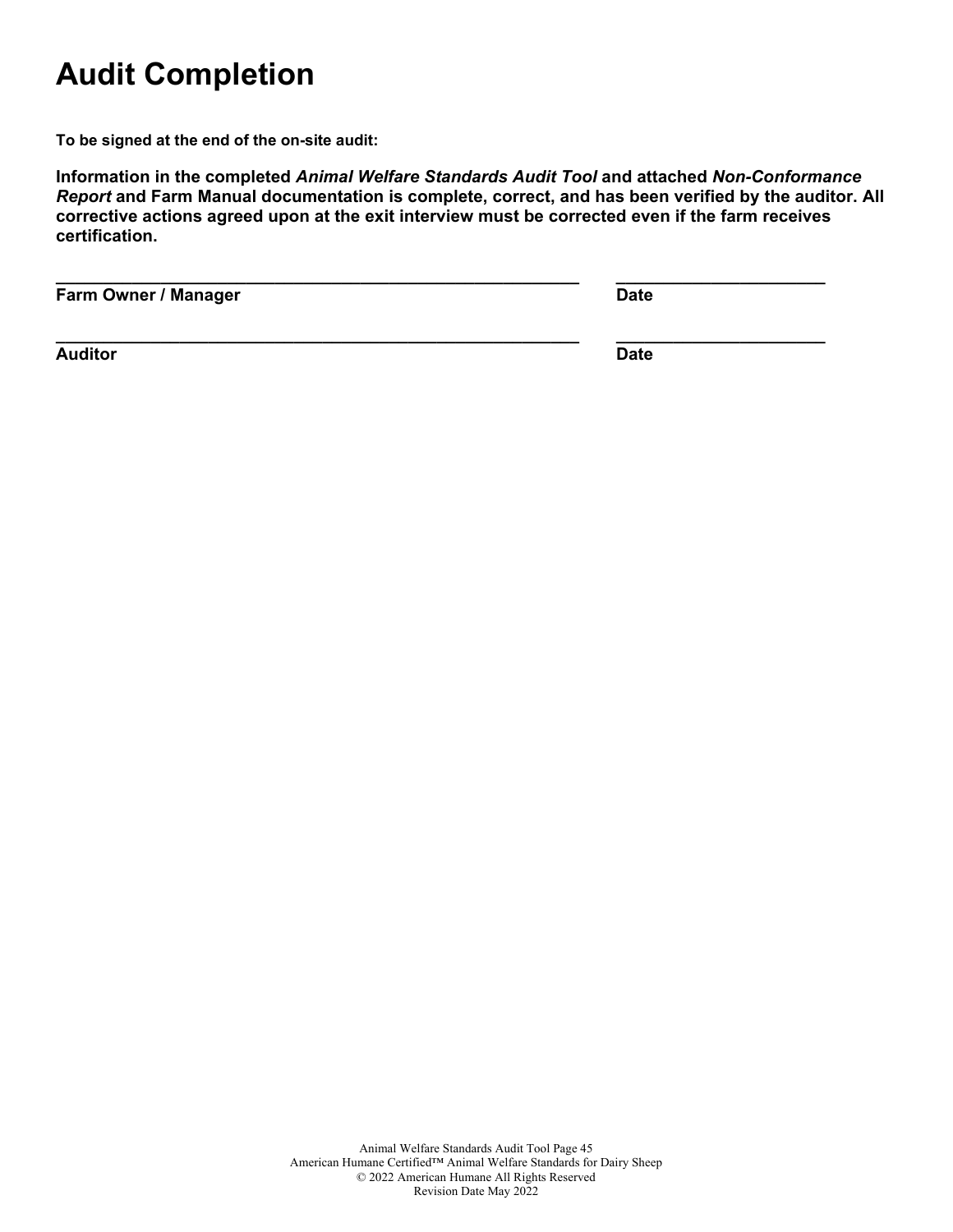## **Audit Completion**

**To be signed at the end of the on-site audit:**

**Information in the completed** *Animal Welfare Standards Audit Tool* **and attached** *Non-Conformance Report* **and Farm Manual documentation is complete, correct, and has been verified by the auditor. All corrective actions agreed upon at the exit interview must be corrected even if the farm receives certification.**

**\_\_\_\_\_\_\_\_\_\_\_\_\_\_\_\_\_\_\_\_\_\_\_\_\_\_\_\_\_\_\_\_\_\_\_\_\_\_\_\_\_\_\_\_\_\_\_\_\_\_\_\_\_\_\_ \_\_\_\_\_\_\_\_\_\_\_\_\_\_\_\_\_\_\_\_\_\_**

**Farm Owner / Manager Date** 

**\_\_\_\_\_\_\_\_\_\_\_\_\_\_\_\_\_\_\_\_\_\_\_\_\_\_\_\_\_\_\_\_\_\_\_\_\_\_\_\_\_\_\_\_\_\_\_\_\_\_\_\_\_\_\_ \_\_\_\_\_\_\_\_\_\_\_\_\_\_\_\_\_\_\_\_\_\_**

**Auditor Date**